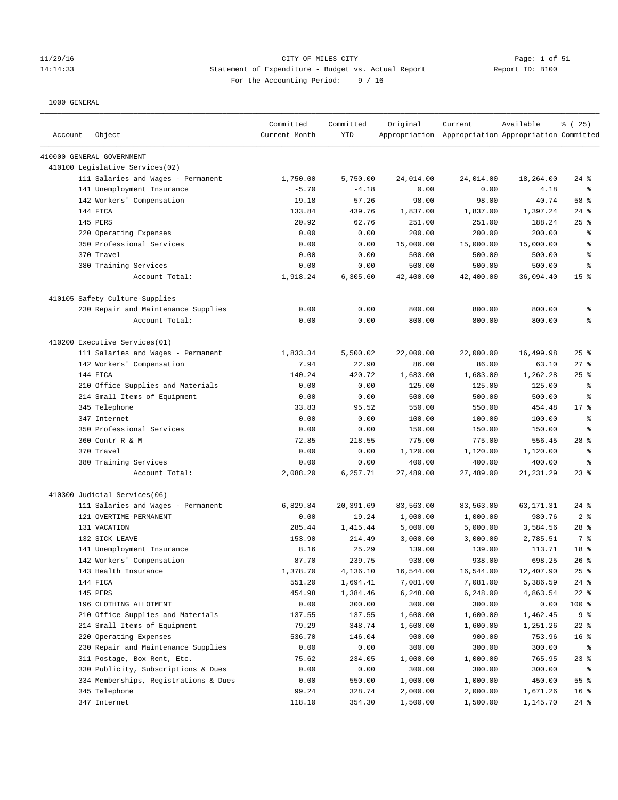#### 11/29/16 CITY OF MILES CITY Page: 1 of 51 14:14:33 Statement of Expenditure - Budget vs. Actual Report Report ID: B100 For the Accounting Period: 9 / 16

| Account | Object                                | Committed<br>Current Month | Committed<br>YTD | Original  | Current<br>Appropriation Appropriation Appropriation Committed | Available   | % (25)          |
|---------|---------------------------------------|----------------------------|------------------|-----------|----------------------------------------------------------------|-------------|-----------------|
|         | 410000 GENERAL GOVERNMENT             |                            |                  |           |                                                                |             |                 |
|         | 410100 Legislative Services(02)       |                            |                  |           |                                                                |             |                 |
|         | 111 Salaries and Wages - Permanent    | 1,750.00                   | 5,750.00         | 24,014.00 | 24,014.00                                                      | 18,264.00   | $24$ %          |
|         | 141 Unemployment Insurance            | $-5.70$                    | $-4.18$          | 0.00      | 0.00                                                           | 4.18        | ి               |
|         | 142 Workers' Compensation             | 19.18                      | 57.26            | 98.00     | 98.00                                                          | 40.74       | 58 %            |
|         | 144 FICA                              | 133.84                     | 439.76           | 1,837.00  | 1,837.00                                                       | 1,397.24    | $24$ %          |
|         | <b>145 PERS</b>                       | 20.92                      | 62.76            | 251.00    | 251.00                                                         | 188.24      | 25%             |
|         | 220 Operating Expenses                | 0.00                       | 0.00             | 200.00    | 200.00                                                         | 200.00      | g,              |
|         | 350 Professional Services             | 0.00                       | 0.00             | 15,000.00 | 15,000.00                                                      | 15,000.00   | န္              |
|         | 370 Travel                            | 0.00                       | 0.00             | 500.00    | 500.00                                                         | 500.00      | န့              |
|         | 380 Training Services                 | 0.00                       | 0.00             | 500.00    | 500.00                                                         | 500.00      | န္              |
|         | Account Total:                        | 1,918.24                   | 6,305.60         | 42,400.00 | 42,400.00                                                      | 36,094.40   | 15 <sup>°</sup> |
|         | 410105 Safety Culture-Supplies        |                            |                  |           |                                                                |             |                 |
|         | 230 Repair and Maintenance Supplies   | 0.00                       | 0.00             | 800.00    | 800.00                                                         | 800.00      | ್ಠಿ             |
|         | Account Total:                        | 0.00                       | 0.00             | 800.00    | 800.00                                                         | 800.00      | ి               |
|         | 410200 Executive Services(01)         |                            |                  |           |                                                                |             |                 |
|         | 111 Salaries and Wages - Permanent    | 1,833.34                   | 5,500.02         | 22,000.00 | 22,000.00                                                      | 16,499.98   | $25$ %          |
|         | 142 Workers' Compensation             | 7.94                       | 22.90            | 86.00     | 86.00                                                          | 63.10       | 27%             |
|         | 144 FICA                              | 140.24                     | 420.72           | 1,683.00  | 1,683.00                                                       | 1,262.28    | $25$ %          |
|         | 210 Office Supplies and Materials     | 0.00                       | 0.00             | 125.00    | 125.00                                                         | 125.00      | နွ              |
|         | 214 Small Items of Equipment          | 0.00                       | 0.00             | 500.00    | 500.00                                                         | 500.00      | နွ              |
|         | 345 Telephone                         | 33.83                      | 95.52            | 550.00    | 550.00                                                         | 454.48      | $17*$           |
|         | 347 Internet                          | 0.00                       | 0.00             | 100.00    | 100.00                                                         | 100.00      | န့              |
|         | 350 Professional Services             | 0.00                       | 0.00             | 150.00    | 150.00                                                         | 150.00      | န္              |
|         | 360 Contr R & M                       | 72.85                      | 218.55           | 775.00    | 775.00                                                         | 556.45      | 28 <sup>8</sup> |
|         | 370 Travel                            | 0.00                       | 0.00             | 1,120.00  | 1,120.00                                                       | 1,120.00    | နွ              |
|         | 380 Training Services                 | 0.00                       | 0.00             | 400.00    | 400.00                                                         | 400.00      | န္              |
|         | Account Total:                        | 2,088.20                   | 6,257.71         | 27,489.00 | 27,489.00                                                      | 21, 231. 29 | $23$ %          |
|         | 410300 Judicial Services(06)          |                            |                  |           |                                                                |             |                 |
|         | 111 Salaries and Wages - Permanent    | 6,829.84                   | 20,391.69        | 83,563.00 | 83,563.00                                                      | 63,171.31   | $24$ %          |
|         | 121 OVERTIME-PERMANENT                | 0.00                       | 19.24            | 1,000.00  | 1,000.00                                                       | 980.76      | 2 <sup>8</sup>  |
|         | 131 VACATION                          | 285.44                     | 1,415.44         | 5,000.00  | 5,000.00                                                       | 3,584.56    | $28$ %          |
|         | 132 SICK LEAVE                        | 153.90                     | 214.49           | 3,000.00  | 3,000.00                                                       | 2,785.51    | 7 %             |
|         | 141 Unemployment Insurance            | 8.16                       | 25.29            | 139.00    | 139.00                                                         | 113.71      | 18 %            |
|         | 142 Workers' Compensation             | 87.70                      | 239.75           | 938.00    | 938.00                                                         | 698.25      | 26%             |
|         | 143 Health Insurance                  | 1,378.70                   | 4,136.10         | 16,544.00 | 16,544.00                                                      | 12,407.90   | 25%             |
|         | 144 FICA                              | 551.20                     | 1,694.41         | 7,081.00  | 7,081.00                                                       | 5,386.59    | $24$ %          |
|         | 145 PERS                              | 454.98                     | 1,384.46         | 6,248.00  | 6,248.00                                                       | 4,863.54    | $22$ %          |
|         | 196 CLOTHING ALLOTMENT                | 0.00                       | 300.00           | 300.00    | 300.00                                                         | 0.00        | 100 %           |
|         | 210 Office Supplies and Materials     | 137.55                     | 137.55           | 1,600.00  | 1,600.00                                                       | 1,462.45    | 9 <sup>°</sup>  |
|         | 214 Small Items of Equipment          | 79.29                      | 348.74           | 1,600.00  | 1,600.00                                                       | 1,251.26    | $22$ %          |
|         | 220 Operating Expenses                | 536.70                     | 146.04           | 900.00    | 900.00                                                         | 753.96      | 16 %            |
|         | 230 Repair and Maintenance Supplies   | 0.00                       | 0.00             | 300.00    | 300.00                                                         | 300.00      | ႜ               |
|         | 311 Postage, Box Rent, Etc.           | 75.62                      | 234.05           | 1,000.00  | 1,000.00                                                       | 765.95      | $23$ $%$        |
|         | 330 Publicity, Subscriptions & Dues   | 0.00                       | 0.00             | 300.00    | 300.00                                                         | 300.00      | ႜ               |
|         | 334 Memberships, Registrations & Dues | 0.00                       | 550.00           | 1,000.00  | 1,000.00                                                       | 450.00      | 55%             |
|         | 345 Telephone                         | 99.24                      | 328.74           | 2,000.00  | 2,000.00                                                       | 1,671.26    | 16 <sup>°</sup> |
|         | 347 Internet                          | 118.10                     | 354.30           | 1,500.00  | 1,500.00                                                       | 1,145.70    | $24$ %          |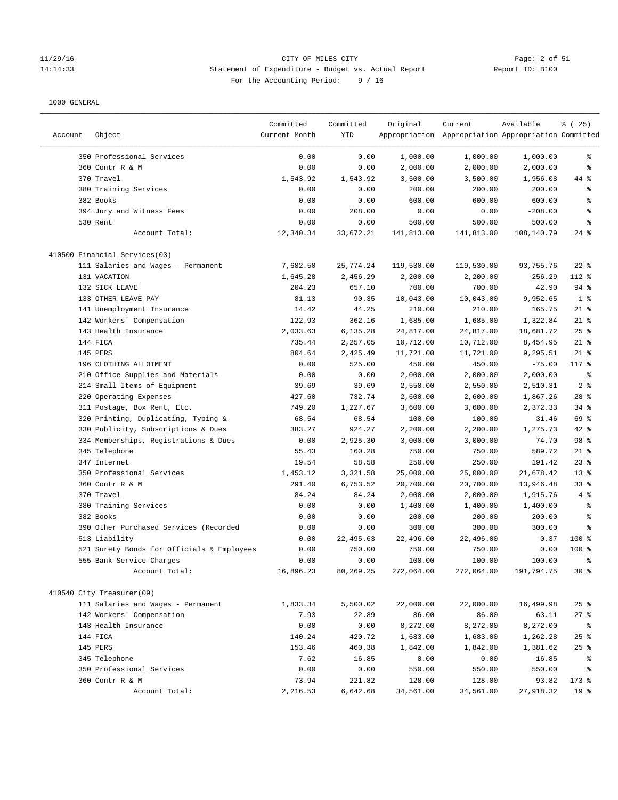#### 11/29/16 CITY OF MILES CITY Page: 2 of 51 14:14:33 Statement of Expenditure - Budget vs. Actual Report Report ID: B100 For the Accounting Period: 9 / 16

|         |                                            | Committed     | Committed  | Original   | Current                                             | Available  | % (25)          |
|---------|--------------------------------------------|---------------|------------|------------|-----------------------------------------------------|------------|-----------------|
| Account | Object                                     | Current Month | <b>YTD</b> |            | Appropriation Appropriation Appropriation Committed |            |                 |
|         | 350 Professional Services                  | 0.00          | 0.00       | 1,000.00   | 1,000.00                                            | 1,000.00   | る               |
|         | 360 Contr R & M                            | 0.00          | 0.00       | 2,000.00   | 2,000.00                                            | 2,000.00   | နွ              |
|         | 370 Travel                                 | 1,543.92      | 1,543.92   | 3,500.00   | 3,500.00                                            | 1,956.08   | 44 %            |
|         | 380 Training Services                      | 0.00          | 0.00       | 200.00     | 200.00                                              | 200.00     | ್ಠಿ             |
|         | 382 Books                                  | 0.00          | 0.00       | 600.00     | 600.00                                              | 600.00     | ి               |
|         | 394 Jury and Witness Fees                  | 0.00          | 208.00     | 0.00       | 0.00                                                | $-208.00$  | る               |
|         | 530 Rent                                   | 0.00          | 0.00       | 500.00     | 500.00                                              | 500.00     | နွ              |
|         | Account Total:                             | 12,340.34     | 33,672.21  | 141,813.00 | 141,813.00                                          | 108,140.79 | $24$ %          |
|         | 410500 Financial Services(03)              |               |            |            |                                                     |            |                 |
|         | 111 Salaries and Wages - Permanent         | 7,682.50      | 25,774.24  | 119,530.00 | 119,530.00                                          | 93,755.76  | $22$ %          |
|         | 131 VACATION                               | 1,645.28      | 2,456.29   | 2,200.00   | 2,200.00                                            | $-256.29$  | 112 %           |
|         | 132 SICK LEAVE                             | 204.23        | 657.10     | 700.00     | 700.00                                              | 42.90      | $94$ %          |
|         | 133 OTHER LEAVE PAY                        | 81.13         | 90.35      | 10,043.00  | 10,043.00                                           | 9,952.65   | 1 <sup>8</sup>  |
|         | 141 Unemployment Insurance                 | 14.42         | 44.25      | 210.00     | 210.00                                              | 165.75     | $21$ %          |
|         | 142 Workers' Compensation                  | 122.93        | 362.16     | 1,685.00   | 1,685.00                                            | 1,322.84   | $21$ %          |
|         | 143 Health Insurance                       | 2,033.63      | 6,135.28   | 24,817.00  | 24,817.00                                           | 18,681.72  | 25%             |
|         | 144 FICA                                   | 735.44        | 2,257.05   | 10,712.00  | 10,712.00                                           | 8,454.95   | $21$ %          |
|         | 145 PERS                                   | 804.64        | 2,425.49   | 11,721.00  | 11,721.00                                           | 9,295.51   | $21$ %          |
|         | 196 CLOTHING ALLOTMENT                     | 0.00          | 525.00     | 450.00     | 450.00                                              | $-75.00$   | 117 %           |
|         | 210 Office Supplies and Materials          | 0.00          | 0.00       | 2,000.00   | 2,000.00                                            | 2,000.00   | $\epsilon$      |
|         | 214 Small Items of Equipment               | 39.69         | 39.69      | 2,550.00   | 2,550.00                                            | 2,510.31   | 2 <sup>8</sup>  |
|         | 220 Operating Expenses                     | 427.60        | 732.74     | 2,600.00   | 2,600.00                                            | 1,867.26   | $28$ %          |
|         | 311 Postage, Box Rent, Etc.                | 749.20        | 1,227.67   | 3,600.00   | 3,600.00                                            | 2,372.33   | 34%             |
|         | 320 Printing, Duplicating, Typing &        | 68.54         | 68.54      | 100.00     | 100.00                                              | 31.46      | 69 %            |
|         | 330 Publicity, Subscriptions & Dues        | 383.27        | 924.27     | 2,200.00   | 2,200.00                                            | 1,275.73   | 42 %            |
|         | 334 Memberships, Registrations & Dues      | 0.00          | 2,925.30   | 3,000.00   | 3,000.00                                            | 74.70      | 98 %            |
|         | 345 Telephone                              | 55.43         | 160.28     | 750.00     | 750.00                                              | 589.72     | $21$ %          |
|         | 347 Internet                               | 19.54         | 58.58      | 250.00     | 250.00                                              | 191.42     | $23$ %          |
|         | 350 Professional Services                  | 1,453.12      | 3,321.58   | 25,000.00  | 25,000.00                                           | 21,678.42  | $13*$           |
|         | 360 Contr R & M                            | 291.40        | 6,753.52   | 20,700.00  | 20,700.00                                           | 13,946.48  | $33$ $%$        |
|         | 370 Travel                                 | 84.24         | 84.24      | 2,000.00   | 2,000.00                                            | 1,915.76   | 4%              |
|         | 380 Training Services                      | 0.00          | 0.00       | 1,400.00   | 1,400.00                                            | 1,400.00   | နွ              |
|         | 382 Books                                  | 0.00          | 0.00       | 200.00     | 200.00                                              | 200.00     | る               |
|         | 390 Other Purchased Services (Recorded     | 0.00          | 0.00       | 300.00     | 300.00                                              | 300.00     | နွ              |
|         | 513 Liability                              | 0.00          | 22,495.63  | 22,496.00  | 22,496.00                                           | 0.37       | $100*$          |
|         | 521 Surety Bonds for Officials & Employees | 0.00          | 750.00     | 750.00     | 750.00                                              | 0.00       | $100*$          |
|         | 555 Bank Service Charges                   | 0.00          | 0.00       | 100.00     | 100.00                                              | 100.00     | ま               |
|         | Account Total:                             | 16,896.23     | 80,269.25  | 272,064.00 | 272,064.00                                          | 191,794.75 | $30*$           |
|         | 410540 City Treasurer(09)                  |               |            |            |                                                     |            |                 |
|         | 111 Salaries and Wages - Permanent         | 1,833.34      | 5,500.02   | 22,000.00  | 22,000.00                                           | 16,499.98  | $25$ %          |
|         | 142 Workers' Compensation                  | 7.93          | 22.89      | 86.00      | 86.00                                               | 63.11      | 27%             |
|         | 143 Health Insurance                       | 0.00          | 0.00       | 8,272.00   | 8,272.00                                            | 8,272.00   | ႜ               |
|         | 144 FICA                                   | 140.24        | 420.72     | 1,683.00   | 1,683.00                                            | 1,262.28   | $25$ %          |
|         | 145 PERS                                   | 153.46        | 460.38     | 1,842.00   | 1,842.00                                            | 1,381.62   | $25$ %          |
|         | 345 Telephone                              | 7.62          | 16.85      | 0.00       | 0.00                                                | $-16.85$   | ႜ               |
|         | 350 Professional Services                  | 0.00          | 0.00       | 550.00     | 550.00                                              | 550.00     | ိစ              |
|         | 360 Contr R & M                            | 73.94         | 221.82     | 128.00     | 128.00                                              | $-93.82$   | $173$ %         |
|         | Account Total:                             | 2,216.53      | 6,642.68   | 34,561.00  | 34,561.00                                           | 27,918.32  | 19 <sup>°</sup> |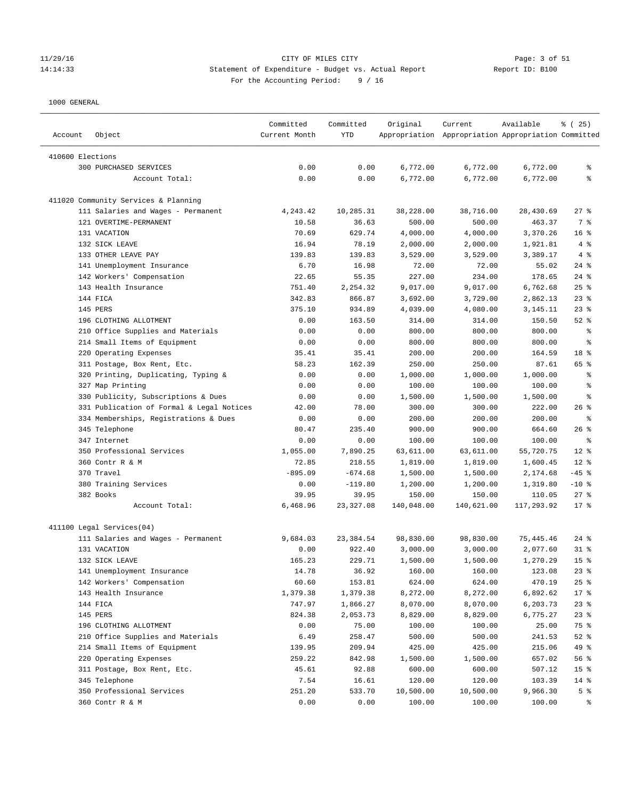## 11/29/16 CITY OF MILES CITY Page: 3 of 51 14:14:33 Statement of Expenditure - Budget vs. Actual Report Changer Report ID: B100 For the Accounting Period: 9 / 16

| Object<br>Account                                               | Committed<br>Current Month | Committed<br>YTD | Original   | Current<br>Appropriation Appropriation Appropriation Committed | Available  | % (25)          |
|-----------------------------------------------------------------|----------------------------|------------------|------------|----------------------------------------------------------------|------------|-----------------|
| 410600 Elections                                                |                            |                  |            |                                                                |            |                 |
| 300 PURCHASED SERVICES                                          | 0.00                       | 0.00             | 6,772.00   | 6,772.00                                                       | 6,772.00   | နွ              |
| Account Total:                                                  | 0.00                       | 0.00             | 6,772.00   | 6,772.00                                                       | 6,772.00   | ి               |
|                                                                 |                            |                  |            |                                                                |            |                 |
| 411020 Community Services & Planning                            |                            |                  |            |                                                                |            |                 |
| 111 Salaries and Wages - Permanent                              | 4,243.42                   | 10,285.31        | 38,228.00  | 38,716.00                                                      | 28,430.69  | 27%             |
| 121 OVERTIME-PERMANENT                                          | 10.58                      | 36.63            | 500.00     | 500.00                                                         | 463.37     | 7 %             |
| 131 VACATION                                                    | 70.69                      | 629.74           | 4,000.00   | 4,000.00                                                       | 3,370.26   | 16%             |
| 132 SICK LEAVE                                                  | 16.94                      | 78.19            | 2,000.00   | 2,000.00                                                       | 1,921.81   | 4%              |
| 133 OTHER LEAVE PAY                                             | 139.83                     | 139.83           | 3,529.00   | 3,529.00                                                       | 3,389.17   | 4%              |
| 141 Unemployment Insurance                                      | 6.70                       | 16.98            | 72.00      | 72.00                                                          | 55.02      | $24$ %          |
| 142 Workers' Compensation                                       | 22.65                      | 55.35            | 227.00     | 234.00                                                         | 178.65     | $24$ %          |
| 143 Health Insurance                                            | 751.40                     | 2,254.32         | 9,017.00   | 9,017.00                                                       | 6,762.68   | $25$ %          |
| 144 FICA                                                        | 342.83                     | 866.87           | 3,692.00   | 3,729.00                                                       | 2,862.13   | $23$ %          |
| 145 PERS                                                        | 375.10                     | 934.89           | 4,039.00   | 4,080.00                                                       | 3,145.11   | $23$ $%$        |
| 196 CLOTHING ALLOTMENT                                          | 0.00                       | 163.50           | 314.00     | 314.00                                                         | 150.50     | $52$ $%$        |
| 210 Office Supplies and Materials                               | 0.00                       | 0.00             | 800.00     | 800.00                                                         | 800.00     | နွ              |
| 214 Small Items of Equipment                                    | 0.00                       | 0.00             | 800.00     | 800.00                                                         | 800.00     | နွ              |
| 220 Operating Expenses                                          | 35.41                      | 35.41            | 200.00     | 200.00                                                         | 164.59     | 18 %            |
| 311 Postage, Box Rent, Etc.                                     | 58.23                      | 162.39           | 250.00     | 250.00                                                         | 87.61      | 65 %            |
| 320 Printing, Duplicating, Typing &                             | 0.00                       | 0.00             | 1,000.00   | 1,000.00                                                       | 1,000.00   | နွ              |
| 327 Map Printing                                                | 0.00                       | 0.00             | 100.00     | 100.00                                                         | 100.00     | နွ              |
| 330 Publicity, Subscriptions & Dues                             | 0.00                       | 0.00             | 1,500.00   | 1,500.00                                                       | 1,500.00   | နွ              |
| 331 Publication of Formal & Legal Notices                       | 42.00                      | 78.00            | 300.00     | 300.00                                                         | 222.00     | 26%             |
| 334 Memberships, Registrations & Dues                           | 0.00                       | 0.00             | 200.00     | 200.00                                                         | 200.00     | $\epsilon$      |
| 345 Telephone                                                   | 80.47                      | 235.40           | 900.00     | 900.00                                                         | 664.60     | $26$ %          |
| 347 Internet                                                    | 0.00                       | 0.00             | 100.00     | 100.00                                                         | 100.00     | ႜ               |
| 350 Professional Services                                       | 1,055.00                   | 7,890.25         | 63,611.00  | 63,611.00                                                      | 55,720.75  | $12*$           |
| 360 Contr R & M                                                 | 72.85                      | 218.55           | 1,819.00   | 1,819.00                                                       | 1,600.45   | $12*$           |
| 370 Travel                                                      | $-895.09$                  | $-674.68$        | 1,500.00   | 1,500.00                                                       | 2,174.68   | $-45$ %         |
| 380 Training Services                                           | 0.00                       | $-119.80$        | 1,200.00   | 1,200.00                                                       | 1,319.80   | $-10$ %         |
| 382 Books                                                       | 39.95                      | 39.95            | 150.00     | 150.00                                                         | 110.05     | $27$ %          |
| Account Total:                                                  | 6,468.96                   | 23, 327.08       | 140,048.00 | 140,621.00                                                     | 117,293.92 | $17*$           |
|                                                                 |                            |                  |            |                                                                |            |                 |
| 411100 Legal Services(04)<br>111 Salaries and Wages - Permanent | 9,684.03                   | 23,384.54        | 98,830.00  | 98,830.00                                                      | 75,445.46  | $24$ %          |
| 131 VACATION                                                    | 0.00                       | 922.40           | 3,000.00   | 3,000.00                                                       | 2,077.60   | $31$ %          |
| 132 SICK LEAVE                                                  | 165.23                     | 229.71           | 1,500.00   | 1,500.00                                                       | 1,270.29   | 15 <sup>8</sup> |
| 141 Unemployment Insurance                                      | 14.78                      | 36.92            | 160.00     | 160.00                                                         | 123.08     | $23$ $%$        |
| 142 Workers' Compensation                                       | 60.60                      | 153.81           | 624.00     | 624.00                                                         | 470.19     | $25$ %          |
| 143 Health Insurance                                            | 1,379.38                   | 1,379.38         | 8,272.00   | 8,272.00                                                       | 6,892.62   | $17*$           |
| 144 FICA                                                        | 747.97                     | 1,866.27         | 8,070.00   | 8,070.00                                                       | 6,203.73   | $23$ $%$        |
| 145 PERS                                                        | 824.38                     | 2,053.73         | 8,829.00   | 8,829.00                                                       | 6,775.27   | $23$ $%$        |
| 196 CLOTHING ALLOTMENT                                          | 0.00                       | 75.00            | 100.00     | 100.00                                                         | 25.00      | 75 %            |
| 210 Office Supplies and Materials                               | 6.49                       | 258.47           | 500.00     | 500.00                                                         | 241.53     | $52$ $%$        |
| 214 Small Items of Equipment                                    | 139.95                     | 209.94           | 425.00     | 425.00                                                         | 215.06     | 49 %            |
| 220 Operating Expenses                                          | 259.22                     | 842.98           | 1,500.00   | 1,500.00                                                       | 657.02     | 56 %            |
| 311 Postage, Box Rent, Etc.                                     | 45.61                      | 92.88            | 600.00     | 600.00                                                         | 507.12     | 15 <sup>°</sup> |
| 345 Telephone                                                   | 7.54                       | 16.61            | 120.00     | 120.00                                                         | 103.39     | 14 %            |
| 350 Professional Services                                       | 251.20                     | 533.70           | 10,500.00  | 10,500.00                                                      | 9,966.30   | 5 <sup>8</sup>  |
| 360 Contr R & M                                                 | 0.00                       | 0.00             | 100.00     | 100.00                                                         | 100.00     | ိစ              |
|                                                                 |                            |                  |            |                                                                |            |                 |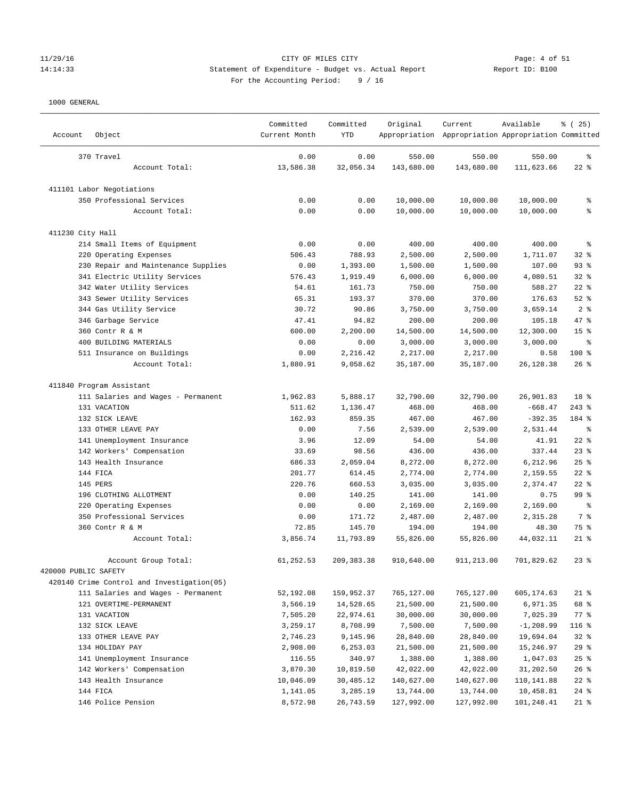# 11/29/16 Page: 4 of 51<br>14:14:33 Statement of Expenditure - Budget vs. Actual Report 11: Peport ID: B100 14:14:33 Statement of Expenditure - Budget vs. Actual Report Report ID: B100 For the Accounting Period: 9 / 16

| Account              | Object                                     | Committed<br>Current Month | Committed<br>YTD | Original   | Current<br>Appropriation Appropriation Appropriation Committed | Available    | % (25)                   |
|----------------------|--------------------------------------------|----------------------------|------------------|------------|----------------------------------------------------------------|--------------|--------------------------|
|                      | 370 Travel                                 | 0.00                       | 0.00             | 550.00     | 550.00                                                         | 550.00       | န့                       |
|                      | Account Total:                             | 13,586.38                  | 32,056.34        | 143,680.00 | 143,680.00                                                     | 111,623.66   | $22$ %                   |
|                      | 411101 Labor Negotiations                  |                            |                  |            |                                                                |              |                          |
|                      | 350 Professional Services                  | 0.00                       | 0.00             | 10,000.00  | 10,000.00                                                      | 10,000.00    | န့                       |
|                      | Account Total:                             | 0.00                       | 0.00             | 10,000.00  | 10,000.00                                                      | 10,000.00    | နွ                       |
| 411230 City Hall     |                                            |                            |                  |            |                                                                |              |                          |
|                      | 214 Small Items of Equipment               | 0.00                       | 0.00             | 400.00     | 400.00                                                         | 400.00       | န့                       |
|                      | 220 Operating Expenses                     | 506.43                     | 788.93           | 2,500.00   | 2,500.00                                                       | 1,711.07     | $32$ $%$                 |
|                      | 230 Repair and Maintenance Supplies        | 0.00                       | 1,393.00         | 1,500.00   | 1,500.00                                                       | 107.00       | $93$ $%$                 |
|                      | 341 Electric Utility Services              | 576.43                     | 1,919.49         | 6,000.00   | 6,000.00                                                       | 4,080.51     | $32$ $%$                 |
|                      | 342 Water Utility Services                 | 54.61                      | 161.73           | 750.00     | 750.00                                                         | 588.27       | $22$ %                   |
|                      | 343 Sewer Utility Services                 | 65.31                      | 193.37           | 370.00     | 370.00                                                         | 176.63       | $52$ $%$                 |
|                      | 344 Gas Utility Service                    | 30.72                      | 90.86            | 3,750.00   | 3,750.00                                                       | 3,659.14     | 2 <sup>8</sup>           |
|                      | 346 Garbage Service                        | 47.41                      | 94.82            | 200.00     | 200.00                                                         | 105.18       | 47 %                     |
|                      | 360 Contr R & M                            | 600.00                     | 2,200.00         | 14,500.00  | 14,500.00                                                      | 12,300.00    | 15 <sup>8</sup>          |
|                      | 400 BUILDING MATERIALS                     | 0.00                       | 0.00             | 3,000.00   | 3,000.00                                                       | 3,000.00     | နွ                       |
|                      | 511 Insurance on Buildings                 | 0.00                       | 2,216.42         | 2,217.00   | 2,217.00                                                       | 0.58         | 100 %                    |
|                      | Account Total:                             | 1,880.91                   | 9,058.62         | 35,187.00  | 35,187.00                                                      | 26,128.38    | $26$ %                   |
|                      |                                            |                            |                  |            |                                                                |              |                          |
|                      | 411840 Program Assistant                   |                            |                  |            |                                                                |              |                          |
|                      | 111 Salaries and Wages - Permanent         | 1,962.83                   | 5,888.17         | 32,790.00  | 32,790.00                                                      | 26,901.83    | 18 <sup>8</sup>          |
|                      | 131 VACATION                               | 511.62                     | 1,136.47         | 468.00     | 468.00                                                         | $-668.47$    | $243$ %                  |
|                      | 132 SICK LEAVE                             | 162.93                     | 859.35           | 467.00     | 467.00                                                         | $-392.35$    | 184 %                    |
|                      | 133 OTHER LEAVE PAY                        | 0.00                       | 7.56             | 2,539.00   | 2,539.00                                                       | 2,531.44     | $\,{}^{\circ}\!\!\delta$ |
|                      | 141 Unemployment Insurance                 | 3.96                       | 12.09            | 54.00      | 54.00                                                          | 41.91        | $22$ %                   |
|                      | 142 Workers' Compensation                  | 33.69                      | 98.56            | 436.00     | 436.00                                                         | 337.44       | $23$ $%$                 |
|                      | 143 Health Insurance                       | 686.33                     | 2,059.04         | 8,272.00   | 8,272.00                                                       | 6,212.96     | 25%                      |
|                      | 144 FICA                                   | 201.77                     | 614.45           | 2,774.00   | 2,774.00                                                       | 2,159.55     | $22$ %                   |
|                      | 145 PERS                                   | 220.76                     | 660.53           |            |                                                                |              | $22$ %                   |
|                      |                                            |                            |                  | 3,035.00   | 3,035.00                                                       | 2,374.47     |                          |
|                      | 196 CLOTHING ALLOTMENT                     | 0.00                       | 140.25           | 141.00     | 141.00                                                         | 0.75         | 99 %                     |
|                      | 220 Operating Expenses                     | 0.00                       | 0.00             | 2,169.00   | 2,169.00                                                       | 2,169.00     | နွ                       |
|                      | 350 Professional Services                  | 0.00                       | 171.72           | 2,487.00   | 2,487.00                                                       | 2,315.28     | 7 %                      |
|                      | 360 Contr R & M                            | 72.85                      | 145.70           | 194.00     | 194.00                                                         | 48.30        | 75 %                     |
|                      | Account Total:                             | 3,856.74                   | 11,793.89        | 55,826.00  | 55,826.00                                                      | 44,032.11    | $21$ %                   |
|                      | Account Group Total:                       | 61,252.53                  | 209, 383.38      | 910,640.00 | 911,213.00                                                     | 701,829.62   | $23$ %                   |
| 420000 PUBLIC SAFETY |                                            |                            |                  |            |                                                                |              |                          |
|                      | 420140 Crime Control and Investigation(05) |                            |                  |            |                                                                |              |                          |
|                      | 111 Salaries and Wages - Permanent         | 52,192.08                  | 159,952.37       | 765,127.00 | 765,127.00                                                     | 605,174.63   | $21$ %                   |
|                      | 121 OVERTIME-PERMANENT                     | 3,566.19                   | 14,528.65        | 21,500.00  | 21,500.00                                                      | 6,971.35     | 68 %                     |
|                      | 131 VACATION                               | 7,505.20                   | 22,974.61        | 30,000.00  | 30,000.00                                                      | 7,025.39     | $77$ $%$                 |
|                      | 132 SICK LEAVE                             | 3,259.17                   | 8,708.99         | 7,500.00   | 7,500.00                                                       | $-1, 208.99$ | 116 %                    |
|                      | 133 OTHER LEAVE PAY                        | 2,746.23                   | 9,145.96         | 28,840.00  | 28,840.00                                                      | 19,694.04    | $32*$                    |
|                      | 134 HOLIDAY PAY                            | 2,908.00                   | 6,253.03         | 21,500.00  | 21,500.00                                                      | 15,246.97    | 29%                      |
|                      | 141 Unemployment Insurance                 | 116.55                     | 340.97           | 1,388.00   | 1,388.00                                                       | 1,047.03     | $25$ $%$                 |
|                      | 142 Workers' Compensation                  | 3,870.30                   | 10,819.50        | 42,022.00  | 42,022.00                                                      | 31,202.50    | 26%                      |
|                      | 143 Health Insurance                       | 10,046.09                  | 30,485.12        | 140,627.00 | 140,627.00                                                     | 110,141.88   | $22$ %                   |
|                      | 144 FICA                                   | 1,141.05                   | 3,285.19         | 13,744.00  | 13,744.00                                                      | 10,458.81    | $24$ %                   |
|                      | 146 Police Pension                         | 8,572.98                   | 26,743.59        | 127,992.00 | 127,992.00                                                     | 101,248.41   | $21$ %                   |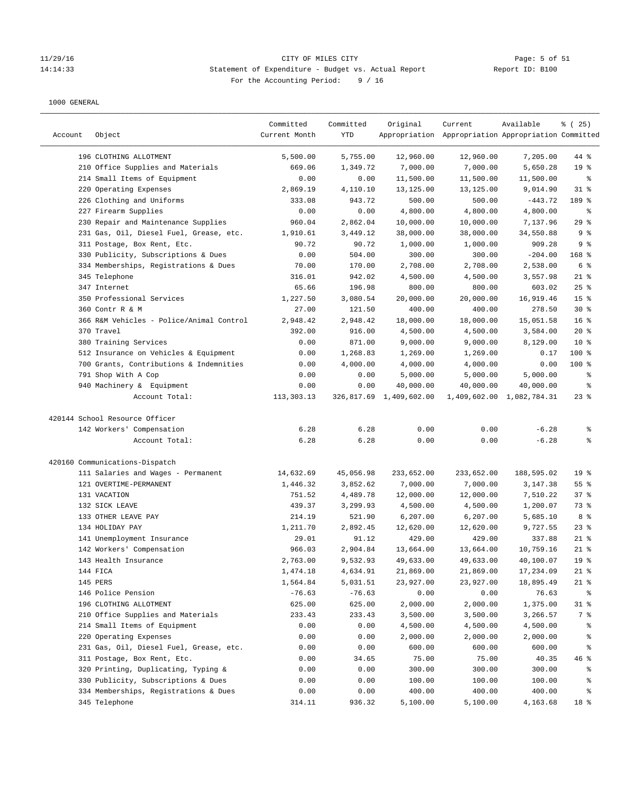# 11/29/16 Page: 5 of 51<br>
Statement of Expenditure - Budget vs. Actual Report Peport ID: B100 14:14:33 Statement of Expenditure - Budget vs. Actual Report For the Accounting Period: 9 / 16

| Account | Object                                   | Committed<br>Current Month | Committed<br>YTD | Original                | Current<br>Appropriation Appropriation Appropriation Committed | Available                 | % (25)          |
|---------|------------------------------------------|----------------------------|------------------|-------------------------|----------------------------------------------------------------|---------------------------|-----------------|
|         | 196 CLOTHING ALLOTMENT                   | 5,500.00                   | 5,755.00         | 12,960.00               | 12,960.00                                                      | 7,205.00                  | 44 %            |
|         | 210 Office Supplies and Materials        | 669.06                     | 1,349.72         | 7,000.00                | 7,000.00                                                       | 5,650.28                  | 19 <sup>°</sup> |
|         | 214 Small Items of Equipment             | 0.00                       | 0.00             | 11,500.00               | 11,500.00                                                      | 11,500.00                 | နွ              |
|         | 220 Operating Expenses                   | 2,869.19                   | 4,110.10         | 13,125.00               | 13,125.00                                                      | 9,014.90                  | $31$ %          |
|         | 226 Clothing and Uniforms                | 333.08                     | 943.72           | 500.00                  | 500.00                                                         | $-443.72$                 | 189 %           |
|         | 227 Firearm Supplies                     | 0.00                       | 0.00             | 4,800.00                | 4,800.00                                                       | 4,800.00                  | နွ              |
|         | 230 Repair and Maintenance Supplies      | 960.04                     | 2,862.04         | 10,000.00               | 10,000.00                                                      | 7,137.96                  | 29%             |
|         | 231 Gas, Oil, Diesel Fuel, Grease, etc.  | 1,910.61                   | 3,449.12         | 38,000.00               | 38,000.00                                                      | 34,550.88                 | 9%              |
|         | 311 Postage, Box Rent, Etc.              | 90.72                      | 90.72            | 1,000.00                | 1,000.00                                                       | 909.28                    | 9%              |
|         | 330 Publicity, Subscriptions & Dues      | 0.00                       | 504.00           | 300.00                  | 300.00                                                         | $-204.00$                 | $168$ %         |
|         | 334 Memberships, Registrations & Dues    | 70.00                      | 170.00           | 2,708.00                | 2,708.00                                                       | 2,538.00                  | 6 %             |
|         | 345 Telephone                            | 316.01                     | 942.02           | 4,500.00                | 4,500.00                                                       | 3,557.98                  | $21$ %          |
|         | 347 Internet                             | 65.66                      | 196.98           | 800.00                  | 800.00                                                         | 603.02                    | $25$ %          |
|         | 350 Professional Services                | 1,227.50                   | 3,080.54         | 20,000.00               | 20,000.00                                                      | 16,919.46                 | 15 <sup>°</sup> |
|         | 360 Contr R & M                          | 27.00                      | 121.50           | 400.00                  | 400.00                                                         | 278.50                    | $30*$           |
|         | 366 R&M Vehicles - Police/Animal Control | 2,948.42                   | 2,948.42         | 18,000.00               | 18,000.00                                                      | 15,051.58                 | 16 <sup>8</sup> |
|         | 370 Travel                               | 392.00                     | 916.00           | 4,500.00                | 4,500.00                                                       | 3,584.00                  | $20*$           |
|         | 380 Training Services                    | 0.00                       | 871.00           | 9,000.00                | 9,000.00                                                       | 8,129.00                  | $10*$           |
|         | 512 Insurance on Vehicles & Equipment    | 0.00                       | 1,268.83         | 1,269.00                | 1,269.00                                                       | 0.17                      | $100$ %         |
|         | 700 Grants, Contributions & Indemnities  | 0.00                       | 4,000.00         | 4,000.00                | 4,000.00                                                       | 0.00                      | $100$ %         |
|         | 791 Shop With A Cop                      | 0.00                       | 0.00             | 5,000.00                | 5,000.00                                                       | 5,000.00                  | နွ              |
|         | 940 Machinery & Equipment                | 0.00                       | 0.00             | 40,000.00               | 40,000.00                                                      | 40,000.00                 | ್ಠಿ             |
|         | Account Total:                           | 113,303.13                 |                  | 326,817.69 1,409,602.00 |                                                                | 1,409,602.00 1,082,784.31 | $23$ $%$        |
|         | 420144 School Resource Officer           |                            |                  |                         |                                                                |                           |                 |
|         | 142 Workers' Compensation                | 6.28                       | 6.28             | 0.00                    | 0.00                                                           | $-6.28$                   | ి               |
|         | Account Total:                           | 6.28                       | 6.28             | 0.00                    | 0.00                                                           | $-6.28$                   | နွ              |
|         | 420160 Communications-Dispatch           |                            |                  |                         |                                                                |                           |                 |
|         | 111 Salaries and Wages - Permanent       | 14,632.69                  | 45,056.98        | 233,652.00              | 233,652.00                                                     | 188,595.02                | 19 <sup>°</sup> |
|         | 121 OVERTIME-PERMANENT                   | 1,446.32                   | 3,852.62         | 7,000.00                | 7,000.00                                                       | 3,147.38                  | 55 <sup>8</sup> |
|         | 131 VACATION                             | 751.52                     | 4,489.78         | 12,000.00               | 12,000.00                                                      | 7,510.22                  | 37%             |
|         | 132 SICK LEAVE                           | 439.37                     | 3,299.93         | 4,500.00                | 4,500.00                                                       | 1,200.07                  | 73 %            |
|         | 133 OTHER LEAVE PAY                      | 214.19                     | 521.90           | 6,207.00                | 6, 207.00                                                      | 5,685.10                  | 8 %             |
|         | 134 HOLIDAY PAY                          | 1,211.70                   | 2,892.45         | 12,620.00               | 12,620.00                                                      | 9,727.55                  | $23$ %          |
|         | 141 Unemployment Insurance               | 29.01                      | 91.12            | 429.00                  | 429.00                                                         | 337.88                    | $21$ %          |
|         | 142 Workers' Compensation                | 966.03                     | 2,904.84         | 13,664.00               | 13,664.00                                                      | 10,759.16                 | $21$ %          |
|         | 143 Health Insurance                     | 2,763.00                   | 9,532.93         | 49,633.00               | 49,633.00                                                      | 40,100.07                 | 19 <sup>8</sup> |
|         | 144 FICA                                 | 1,474.18                   | 4,634.91         | 21,869.00               | 21,869.00                                                      | 17,234.09                 | $21$ %          |
|         | 145 PERS                                 | 1,564.84                   | 5,031.51         | 23,927.00               | 23,927.00                                                      | 18,895.49                 | 21 %            |
|         | 146 Police Pension                       | $-76.63$                   | $-76.63$         | 0.00                    | 0.00                                                           | 76.63                     | ፟፟፟             |
|         | 196 CLOTHING ALLOTMENT                   | 625.00                     | 625.00           | 2,000.00                | 2,000.00                                                       | 1,375.00                  | $31$ %          |
|         | 210 Office Supplies and Materials        | 233.43                     | 233.43           | 3,500.00                | 3,500.00                                                       | 3,266.57                  | 7 %             |
|         | 214 Small Items of Equipment             | 0.00                       | 0.00             | 4,500.00                | 4,500.00                                                       | 4,500.00                  | ိစ              |
|         | 220 Operating Expenses                   | 0.00                       | 0.00             | 2,000.00                | 2,000.00                                                       | 2,000.00                  | ိစ              |
|         | 231 Gas, Oil, Diesel Fuel, Grease, etc.  | 0.00                       | 0.00             | 600.00                  | 600.00                                                         | 600.00                    | ိစ              |
|         | 311 Postage, Box Rent, Etc.              | 0.00                       | 34.65            | 75.00                   | 75.00                                                          | 40.35                     | 46 %            |
|         | 320 Printing, Duplicating, Typing &      | 0.00                       | 0.00             | 300.00                  | 300.00                                                         | 300.00                    | ိစ              |
|         | 330 Publicity, Subscriptions & Dues      | 0.00                       | 0.00             | 100.00                  | 100.00                                                         | 100.00                    | ႜ               |
|         | 334 Memberships, Registrations & Dues    | 0.00                       | 0.00             | 400.00                  | 400.00                                                         | 400.00                    | န့              |
|         | 345 Telephone                            | 314.11                     | 936.32           | 5,100.00                | 5,100.00                                                       | 4,163.68                  | 18 %            |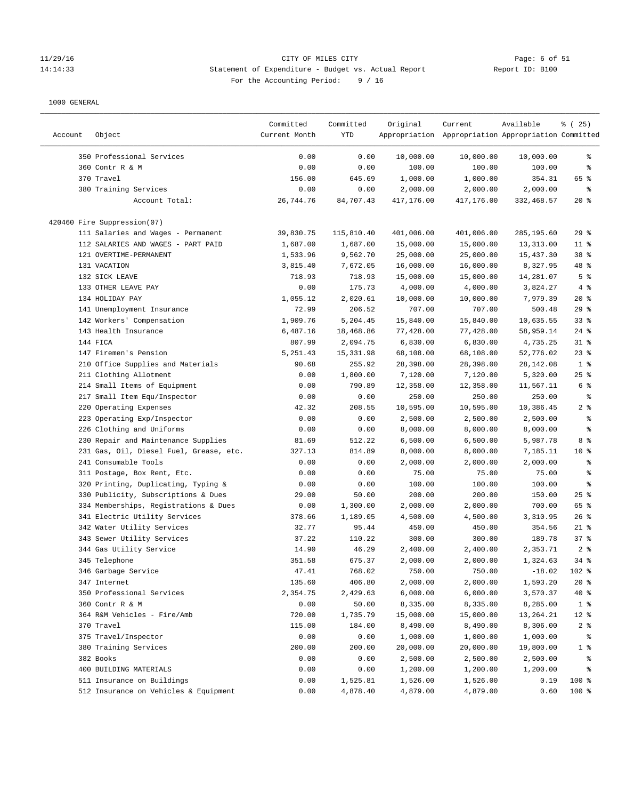#### 11/29/16 CITY OF MILES CITY Page: 6 of 51 14:14:33 Statement of Expenditure - Budget vs. Actual Report Report ID: B100 For the Accounting Period: 9 / 16

|         |                                         | Committed     | Committed  | Original   | Current                                             | Available  | $*(25)$         |
|---------|-----------------------------------------|---------------|------------|------------|-----------------------------------------------------|------------|-----------------|
| Account | Object                                  | Current Month | YTD        |            | Appropriation Appropriation Appropriation Committed |            |                 |
|         | 350 Professional Services               | 0.00          | 0.00       | 10,000.00  | 10,000.00                                           | 10,000.00  | ႜ               |
|         | 360 Contr R & M                         | 0.00          | 0.00       | 100.00     | 100.00                                              | 100.00     | နွ              |
|         | 370 Travel                              | 156.00        | 645.69     | 1,000.00   | 1,000.00                                            | 354.31     | 65 %            |
|         | 380 Training Services                   | 0.00          | 0.00       | 2,000.00   | 2,000.00                                            | 2,000.00   | နွ              |
|         | Account Total:                          | 26,744.76     | 84,707.43  | 417,176.00 | 417,176.00                                          | 332,468.57 | $20*$           |
|         | 420460 Fire Suppression(07)             |               |            |            |                                                     |            |                 |
|         | 111 Salaries and Wages - Permanent      | 39,830.75     | 115,810.40 | 401,006.00 | 401,006.00                                          | 285,195.60 | 29%             |
|         | 112 SALARIES AND WAGES - PART PAID      | 1,687.00      | 1,687.00   | 15,000.00  | 15,000.00                                           | 13,313.00  | $11$ %          |
|         | 121 OVERTIME-PERMANENT                  | 1,533.96      | 9,562.70   | 25,000.00  | 25,000.00                                           | 15,437.30  | 38 <sup>8</sup> |
|         | 131 VACATION                            | 3,815.40      | 7,672.05   | 16,000.00  | 16,000.00                                           | 8,327.95   | 48 %            |
|         | 132 SICK LEAVE                          | 718.93        | 718.93     | 15,000.00  | 15,000.00                                           | 14,281.07  | 5 <sup>°</sup>  |
|         | 133 OTHER LEAVE PAY                     | 0.00          | 175.73     | 4,000.00   | 4,000.00                                            | 3,824.27   | 4%              |
|         | 134 HOLIDAY PAY                         | 1,055.12      | 2,020.61   | 10,000.00  | 10,000.00                                           | 7,979.39   | $20*$           |
|         | 141 Unemployment Insurance              | 72.99         | 206.52     | 707.00     | 707.00                                              | 500.48     | $29$ %          |
|         | 142 Workers' Compensation               | 1,909.76      | 5,204.45   | 15,840.00  | 15,840.00                                           | 10,635.55  | 33%             |
|         | 143 Health Insurance                    | 6,487.16      | 18,468.86  | 77,428.00  | 77,428.00                                           | 58,959.14  | $24$ %          |
|         | 144 FICA                                | 807.99        | 2,094.75   | 6,830.00   | 6,830.00                                            | 4,735.25   | $31$ %          |
|         | 147 Firemen's Pension                   | 5, 251.43     | 15,331.98  | 68,108.00  | 68,108.00                                           | 52,776.02  | $23$ %          |
|         | 210 Office Supplies and Materials       | 90.68         | 255.92     | 28,398.00  | 28,398.00                                           | 28,142.08  | 1 <sup>8</sup>  |
|         | 211 Clothing Allotment                  | 0.00          | 1,800.00   | 7,120.00   | 7,120.00                                            | 5,320.00   | $25$ %          |
|         | 214 Small Items of Equipment            | 0.00          | 790.89     | 12,358.00  | 12,358.00                                           | 11,567.11  | 6 %             |
|         | 217 Small Item Equ/Inspector            | 0.00          | 0.00       | 250.00     | 250.00                                              | 250.00     | နွ              |
|         | 220 Operating Expenses                  | 42.32         | 208.55     | 10,595.00  | 10,595.00                                           | 10,386.45  | 2%              |
|         | 223 Operating Exp/Inspector             | 0.00          | 0.00       | 2,500.00   | 2,500.00                                            | 2,500.00   | ್ಠಿ             |
|         | 226 Clothing and Uniforms               | 0.00          | 0.00       | 8,000.00   | 8,000.00                                            | 8,000.00   | ್ಠಿ             |
|         | 230 Repair and Maintenance Supplies     | 81.69         | 512.22     | 6,500.00   | 6,500.00                                            | 5,987.78   | 8 %             |
|         | 231 Gas, Oil, Diesel Fuel, Grease, etc. | 327.13        | 814.89     | 8,000.00   | 8,000.00                                            | 7,185.11   | $10*$           |
|         | 241 Consumable Tools                    | 0.00          | 0.00       | 2,000.00   | 2,000.00                                            | 2,000.00   | ್ಠಿ             |
|         | 311 Postage, Box Rent, Etc.             | 0.00          | 0.00       | 75.00      | 75.00                                               | 75.00      | န့              |
|         | 320 Printing, Duplicating, Typing &     | 0.00          | 0.00       | 100.00     | 100.00                                              | 100.00     | ి               |
|         | 330 Publicity, Subscriptions & Dues     | 29.00         | 50.00      | 200.00     | 200.00                                              | 150.00     | $25$ %          |
|         | 334 Memberships, Registrations & Dues   | 0.00          | 1,300.00   | 2,000.00   | 2,000.00                                            | 700.00     | 65 %            |
|         | 341 Electric Utility Services           | 378.66        | 1,189.05   | 4,500.00   | 4,500.00                                            | 3,310.95   | 26%             |
|         | 342 Water Utility Services              | 32.77         | 95.44      | 450.00     | 450.00                                              | 354.56     | $21$ %          |
|         | 343 Sewer Utility Services              | 37.22         | 110.22     | 300.00     | 300.00                                              | 189.78     | 37%             |
|         | 344 Gas Utility Service                 | 14.90         | 46.29      | 2,400.00   | 2,400.00                                            | 2,353.71   | 2%              |
|         | 345 Telephone                           | 351.58        | 675.37     | 2,000.00   | 2,000.00                                            | 1,324.63   | $34*$           |
|         | 346 Garbage Service                     | 47.41         | 768.02     | 750.00     | 750.00                                              | $-18.02$   | 102 %           |
|         | 347 Internet                            | 135.60        | 406.80     | 2,000.00   | 2,000.00                                            | 1,593.20   | 20%             |
|         | 350 Professional Services               | 2,354.75      | 2,429.63   | 6,000.00   | 6,000.00                                            | 3,570.37   | $40*$           |
|         | 360 Contr R & M                         | 0.00          | 50.00      | 8,335.00   | 8,335.00                                            | 8,285.00   | 1 <sup>8</sup>  |
|         | 364 R&M Vehicles - Fire/Amb             | 720.00        | 1,735.79   | 15,000.00  | 15,000.00                                           | 13,264.21  | $12$ %          |
|         | 370 Travel                              | 115.00        | 184.00     | 8,490.00   | 8,490.00                                            | 8,306.00   | 2 <sub>8</sub>  |
|         | 375 Travel/Inspector                    | 0.00          | 0.00       | 1,000.00   | 1,000.00                                            | 1,000.00   | $\frac{8}{6}$   |
|         | 380 Training Services                   | 200.00        | 200.00     | 20,000.00  | 20,000.00                                           | 19,800.00  | $1$ %           |
|         | 382 Books                               | 0.00          | 0.00       | 2,500.00   | 2,500.00                                            | 2,500.00   | ್ಠಿ             |
|         | 400 BUILDING MATERIALS                  | 0.00          | 0.00       | 1,200.00   | 1,200.00                                            | 1,200.00   | ႜ               |
|         | 511 Insurance on Buildings              | 0.00          | 1,525.81   | 1,526.00   | 1,526.00                                            | 0.19       | 100 %           |
|         | 512 Insurance on Vehicles & Equipment   | 0.00          | 4,878.40   | 4,879.00   | 4,879.00                                            | 0.60       | 100 %           |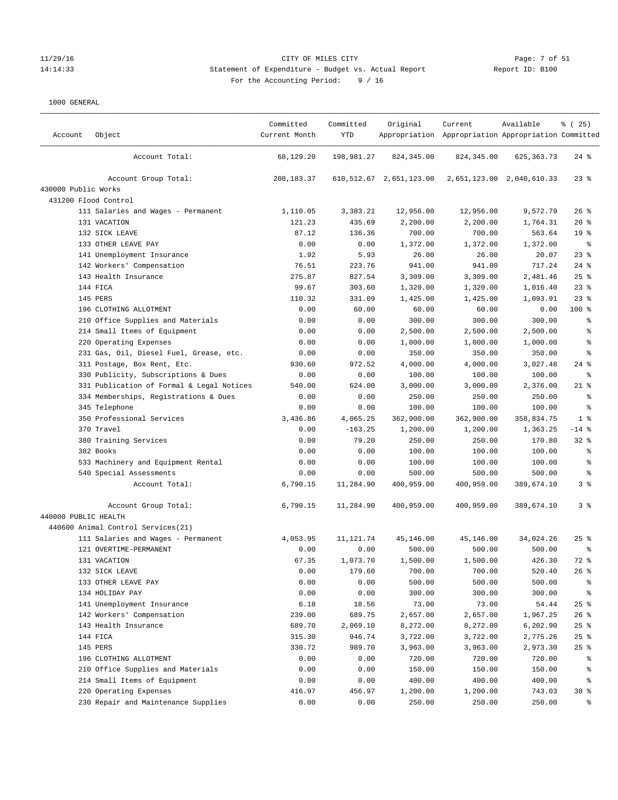# 11/29/16 CITY OF MILES CITY Page: 7 of 51 14:14:33 Statement of Expenditure - Budget vs. Actual Report Report ID: B100 For the Accounting Period: 9 / 16

| Account              | Object                                                        | Committed<br>Current Month | Committed<br>YTD   | Original                     | Current<br>Appropriation Appropriation Appropriation Committed | Available                 | $*(25)$             |
|----------------------|---------------------------------------------------------------|----------------------------|--------------------|------------------------------|----------------------------------------------------------------|---------------------------|---------------------|
|                      | Account Total:                                                | 68,129.20                  | 198,981.27         | 824, 345.00                  | 824, 345.00                                                    | 625, 363. 73              | $24$ %              |
|                      | Account Group Total:                                          | 208, 183. 37               |                    | 610, 512. 67 2, 651, 123. 00 |                                                                | 2,651,123.00 2,040,610.33 | $23$ $%$            |
| 430000 Public Works  |                                                               |                            |                    |                              |                                                                |                           |                     |
|                      | 431200 Flood Control                                          |                            |                    |                              |                                                                |                           |                     |
|                      | 111 Salaries and Wages - Permanent                            | 1,110.05                   | 3,383.21           | 12,956.00                    | 12,956.00                                                      | 9,572.79                  | 26%                 |
|                      | 131 VACATION                                                  | 121.23                     | 435.69             | 2,200.00                     | 2,200.00                                                       | 1,764.31                  | $20*$               |
|                      | 132 SICK LEAVE                                                | 87.12                      | 136.36             | 700.00                       | 700.00                                                         | 563.64                    | 19 <sup>°</sup>     |
|                      | 133 OTHER LEAVE PAY                                           | 0.00                       | 0.00               | 1,372.00                     | 1,372.00                                                       | 1,372.00                  | နွ                  |
|                      | 141 Unemployment Insurance                                    | 1.92                       | 5.93               | 26.00                        | 26.00                                                          | 20.07                     | $23$ %              |
|                      | 142 Workers' Compensation                                     | 76.51                      | 223.76             | 941.00                       | 941.00                                                         | 717.24                    | $24$ %              |
|                      | 143 Health Insurance                                          | 275.87                     | 827.54             | 3,309.00                     | 3,309.00                                                       | 2,481.46                  | 25%                 |
|                      | 144 FICA                                                      | 99.67                      | 303.60             | 1,320.00                     | 1,320.00                                                       | 1,016.40                  | $23$ %              |
|                      | 145 PERS                                                      | 110.32                     | 331.09             | 1,425.00                     | 1,425.00                                                       | 1,093.91                  | $23$ %              |
|                      | 196 CLOTHING ALLOTMENT                                        | 0.00                       | 60.00              | 60.00                        | 60.00                                                          | 0.00                      | 100 %               |
|                      | 210 Office Supplies and Materials                             | 0.00                       | 0.00               | 300.00                       | 300.00                                                         | 300.00                    | နွ                  |
|                      | 214 Small Items of Equipment                                  | 0.00                       | 0.00               | 2,500.00                     | 2,500.00                                                       | 2,500.00                  | န္                  |
|                      | 220 Operating Expenses                                        | 0.00                       | 0.00               | 1,000.00                     | 1,000.00                                                       | 1,000.00                  | န္                  |
|                      | 231 Gas, Oil, Diesel Fuel, Grease, etc.                       | 0.00                       | 0.00               | 350.00                       | 350.00                                                         | 350.00                    | န့                  |
|                      | 311 Postage, Box Rent, Etc.                                   | 930.60                     | 972.52             | 4,000.00                     | 4,000.00                                                       | 3,027.48                  | $24$ %              |
|                      | 330 Publicity, Subscriptions & Dues                           | 0.00                       | 0.00               | 100.00                       | 100.00                                                         | 100.00                    | ి                   |
|                      | 331 Publication of Formal & Legal Notices                     | 540.00                     | 624.00             | 3,000.00                     | 3,000.00                                                       | 2,376.00                  | $21*$               |
|                      | 334 Memberships, Registrations & Dues                         | 0.00                       | 0.00               | 250.00                       | 250.00                                                         | 250.00                    | နွ                  |
|                      | 345 Telephone                                                 | 0.00                       | 0.00               | 100.00                       | 100.00                                                         | 100.00                    | $\epsilon$          |
|                      | 350 Professional Services                                     | 3,436.86                   | 4,065.25           | 362,900.00                   | 362,900.00                                                     | 358,834.75                | 1 <sup>8</sup>      |
|                      | 370 Travel                                                    | 0.00<br>0.00               | $-163.25$<br>79.20 | 1,200.00                     | 1,200.00                                                       | 1,363.25                  | $-14$ %<br>$32$ $%$ |
|                      | 380 Training Services                                         |                            |                    | 250.00                       | 250.00                                                         | 170.80                    |                     |
|                      | 382 Books                                                     | 0.00                       | 0.00               | 100.00                       | 100.00                                                         | 100.00                    | နွ                  |
|                      | 533 Machinery and Equipment Rental<br>540 Special Assessments | 0.00<br>0.00               | 0.00<br>0.00       | 100.00<br>500.00             | 100.00<br>500.00                                               | 100.00<br>500.00          | ್ಠಿ<br>್ಠಿ          |
|                      | Account Total:                                                |                            | 11,284.90          |                              |                                                                | 389,674.10                | 3%                  |
|                      |                                                               | 6,790.15                   |                    | 400,959.00                   | 400,959.00                                                     |                           |                     |
|                      | Account Group Total:                                          | 6,790.15                   | 11,284.90          | 400,959.00                   | 400,959.00                                                     | 389,674.10                | 3%                  |
| 440000 PUBLIC HEALTH |                                                               |                            |                    |                              |                                                                |                           |                     |
|                      | 440600 Animal Control Services(21)                            |                            |                    |                              |                                                                |                           |                     |
|                      | 111 Salaries and Wages - Permanent                            | 4,053.95                   | 11,121.74          | 45,146.00                    | 45,146.00                                                      | 34,024.26                 | 25%                 |
|                      | 121 OVERTIME-PERMANENT<br>131 VACATION                        | 0.00<br>67.35              | 0.00               | 500.00<br>1,500.00           | 500.00<br>1,500.00                                             | 500.00<br>426.30          | နွ<br>72 %          |
|                      |                                                               | 0.00                       | 1,073.70           |                              |                                                                |                           | 26%                 |
|                      | 132 SICK LEAVE<br>133 OTHER LEAVE PAY                         | 0.00                       | 179.60<br>0.00     | 700.00<br>500.00             | 700.00<br>500.00                                               | 520.40<br>500.00          | ိစ                  |
|                      | 134 HOLIDAY PAY                                               | 0.00                       | 0.00               | 300.00                       | 300.00                                                         | 300.00                    | ိစ                  |
|                      |                                                               | 6.18                       | 18.56              | 73.00                        | 73.00                                                          |                           | $25$ %              |
|                      | 141 Unemployment Insurance<br>142 Workers' Compensation       | 239.00                     | 689.75             | 2,657.00                     | 2,657.00                                                       | 54.44<br>1,967.25         | $26$ %              |
|                      | 143 Health Insurance                                          | 689.70                     | 2,069.10           | 8,272.00                     | 8,272.00                                                       | 6,202.90                  | $25$ %              |
|                      | 144 FICA                                                      | 315.30                     | 946.74             | 3,722.00                     | 3,722.00                                                       | 2,775.26                  | $25$ %              |
|                      | 145 PERS                                                      | 330.72                     | 989.70             | 3,963.00                     | 3,963.00                                                       | 2,973.30                  | 25%                 |
|                      | 196 CLOTHING ALLOTMENT                                        | 0.00                       | 0.00               | 720.00                       | 720.00                                                         | 720.00                    | ွေ                  |
|                      | 210 Office Supplies and Materials                             | 0.00                       | 0.00               | 150.00                       | 150.00                                                         | 150.00                    | ႜ                   |
|                      | 214 Small Items of Equipment                                  | 0.00                       | 0.00               | 400.00                       | 400.00                                                         | 400.00                    | ႜ                   |
|                      | 220 Operating Expenses                                        | 416.97                     | 456.97             | 1,200.00                     | 1,200.00                                                       | 743.03                    | 38 %                |
|                      | 230 Repair and Maintenance Supplies                           | 0.00                       | 0.00               | 250.00                       | 250.00                                                         | 250.00                    | ႜ                   |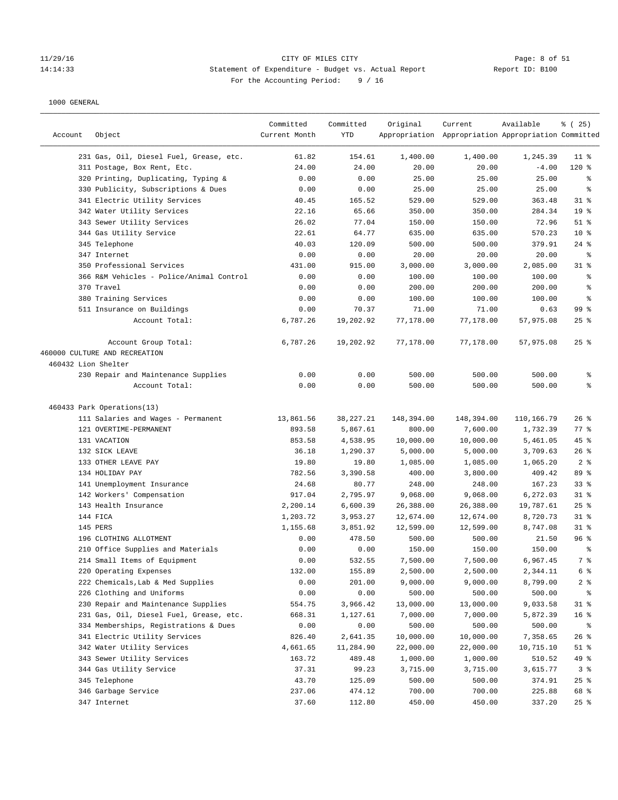# 11/29/16 CITY OF MILES CITY Page: 8 of 51 14:14:33 Statement of Expenditure - Budget vs. Actual Report Report ID: B100 For the Accounting Period: 9 / 16

| Account             | Object                                                | Committed<br>Current Month | Committed<br>YTD | Original         | Current<br>Appropriation Appropriation Appropriation Committed | Available        | % (25)          |
|---------------------|-------------------------------------------------------|----------------------------|------------------|------------------|----------------------------------------------------------------|------------------|-----------------|
|                     | 231 Gas, Oil, Diesel Fuel, Grease, etc.               | 61.82                      | 154.61           | 1,400.00         | 1,400.00                                                       | 1,245.39         | $11$ %          |
|                     | 311 Postage, Box Rent, Etc.                           | 24.00                      | 24.00            | 20.00            | 20.00                                                          | $-4.00$          | $120*$          |
|                     | 320 Printing, Duplicating, Typing &                   | 0.00                       | 0.00             | 25.00            | 25.00                                                          | 25.00            | ႜ               |
|                     | 330 Publicity, Subscriptions & Dues                   | 0.00                       | 0.00             | 25.00            | 25.00                                                          | 25.00            | နွ              |
|                     | 341 Electric Utility Services                         | 40.45                      | 165.52           | 529.00           | 529.00                                                         | 363.48           | $31$ %          |
|                     | 342 Water Utility Services                            | 22.16                      | 65.66            | 350.00           | 350.00                                                         | 284.34           | 19 <sup>°</sup> |
|                     | 343 Sewer Utility Services                            | 26.02                      | 77.04            | 150.00           | 150.00                                                         | 72.96            | $51$ %          |
|                     | 344 Gas Utility Service                               | 22.61                      | 64.77            | 635.00           | 635.00                                                         | 570.23           | $10*$           |
|                     | 345 Telephone                                         | 40.03                      | 120.09           | 500.00           | 500.00                                                         | 379.91           | $24$ %          |
|                     | 347 Internet                                          | 0.00                       | 0.00             | 20.00            | 20.00                                                          | 20.00            | နွ              |
|                     | 350 Professional Services                             | 431.00                     | 915.00           | 3,000.00         | 3,000.00                                                       | 2,085.00         | $31$ %          |
|                     | 366 R&M Vehicles - Police/Animal Control              | 0.00                       | 0.00             | 100.00           | 100.00                                                         | 100.00           | နွ              |
|                     | 370 Travel                                            | 0.00                       | 0.00             | 200.00           | 200.00                                                         | 200.00           | နွ              |
|                     | 380 Training Services                                 | 0.00                       | 0.00             | 100.00           | 100.00                                                         | 100.00           | နွ              |
|                     | 511 Insurance on Buildings                            | 0.00                       | 70.37            | 71.00            | 71.00                                                          | 0.63             | 99 <sup>8</sup> |
|                     | Account Total:                                        | 6,787.26                   | 19,202.92        | 77,178.00        | 77,178.00                                                      | 57,975.08        | $25$ %          |
|                     | Account Group Total:<br>460000 CULTURE AND RECREATION | 6,787.26                   | 19,202.92        | 77,178.00        | 77,178.00                                                      | 57,975.08        | $25$ %          |
| 460432 Lion Shelter |                                                       |                            |                  |                  |                                                                |                  |                 |
|                     | 230 Repair and Maintenance Supplies<br>Account Total: | 0.00<br>0.00               | 0.00<br>0.00     | 500.00<br>500.00 | 500.00<br>500.00                                               | 500.00<br>500.00 | နွ<br>៖         |
|                     | 460433 Park Operations(13)                            |                            |                  |                  |                                                                |                  |                 |
|                     | 111 Salaries and Wages - Permanent                    | 13,861.56                  | 38, 227. 21      | 148,394.00       | 148,394.00                                                     | 110,166.79       | $26$ %          |
|                     | 121 OVERTIME-PERMANENT                                | 893.58                     | 5,867.61         | 800.00           | 7,600.00                                                       | 1,732.39         | $77$ $%$        |
|                     | 131 VACATION                                          | 853.58                     | 4,538.95         | 10,000.00        | 10,000.00                                                      | 5,461.05         | $45$ %          |
|                     | 132 SICK LEAVE                                        | 36.18                      | 1,290.37         | 5,000.00         | 5,000.00                                                       | 3,709.63         | $26$ %          |
|                     | 133 OTHER LEAVE PAY                                   | 19.80                      | 19.80            | 1,085.00         | 1,085.00                                                       | 1,065.20         | 2 <sup>8</sup>  |
|                     | 134 HOLIDAY PAY                                       | 782.56                     | 3,390.58         | 400.00           | 3,800.00                                                       | 409.42           | 89 %            |
|                     | 141 Unemployment Insurance                            | 24.68                      | 80.77            | 248.00           | 248.00                                                         | 167.23           | 33%             |
|                     | 142 Workers' Compensation                             | 917.04                     | 2,795.97         | 9,068.00         | 9,068.00                                                       | 6,272.03         | $31$ %          |
|                     | 143 Health Insurance                                  | 2,200.14                   | 6,600.39         | 26,388.00        | 26,388.00                                                      | 19,787.61        | $25$ %          |
|                     | 144 FICA                                              | 1,203.72                   | 3,953.27         | 12,674.00        | 12,674.00                                                      | 8,720.73         | $31$ %          |
|                     | 145 PERS                                              | 1,155.68                   | 3,851.92         | 12,599.00        | 12,599.00                                                      | 8,747.08         | $31$ %          |
|                     | 196 CLOTHING ALLOTMENT                                | 0.00                       | 478.50           | 500.00           | 500.00                                                         | 21.50            | 96%             |
|                     | 210 Office Supplies and Materials                     | 0.00                       | 0.00             | 150.00           | 150.00                                                         | 150.00           | ႜ               |
|                     | 214 Small Items of Equipment                          | 0.00                       | 532.55           | 7,500.00         | 7,500.00                                                       | 6,967.45         | 7 %             |
|                     | 220 Operating Expenses                                | 132.00                     | 155.89           | 2,500.00         | 2,500.00                                                       | 2,344.11         | 6 %             |
|                     | 222 Chemicals, Lab & Med Supplies                     | 0.00                       | 201.00           | 9,000.00         | 9,000.00                                                       | 8,799.00         | $2$ $\approx$   |
|                     | 226 Clothing and Uniforms                             | 0.00                       | 0.00             | 500.00           | 500.00                                                         | 500.00           | ፟፟፟             |
|                     | 230 Repair and Maintenance Supplies                   | 554.75                     | 3,966.42         | 13,000.00        | 13,000.00                                                      | 9,033.58         | 31 %            |
|                     | 231 Gas, Oil, Diesel Fuel, Grease, etc.               | 668.31                     | 1,127.61         | 7,000.00         | 7,000.00                                                       | 5,872.39         | 16 <sup>°</sup> |
|                     | 334 Memberships, Registrations & Dues                 | 0.00                       | 0.00             | 500.00           | 500.00                                                         | 500.00           | ိ               |
|                     | 341 Electric Utility Services                         | 826.40                     | 2,641.35         | 10,000.00        | 10,000.00                                                      | 7,358.65         | 26%             |
|                     | 342 Water Utility Services                            | 4,661.65                   | 11,284.90        | 22,000.00        | 22,000.00                                                      | 10,715.10        | $51$ %          |
|                     | 343 Sewer Utility Services                            | 163.72                     | 489.48           | 1,000.00         | 1,000.00                                                       | 510.52           | 49 %            |
|                     | 344 Gas Utility Service                               | 37.31                      | 99.23            | 3,715.00         | 3,715.00                                                       | 3,615.77         | 3%              |
|                     | 345 Telephone                                         | 43.70                      | 125.09           | 500.00           | 500.00                                                         | 374.91           | 25%             |
|                     | 346 Garbage Service                                   | 237.06                     | 474.12           | 700.00           | 700.00                                                         | 225.88           | 68 %            |
|                     | 347 Internet                                          | 37.60                      | 112.80           | 450.00           | 450.00                                                         | 337.20           | $25$ %          |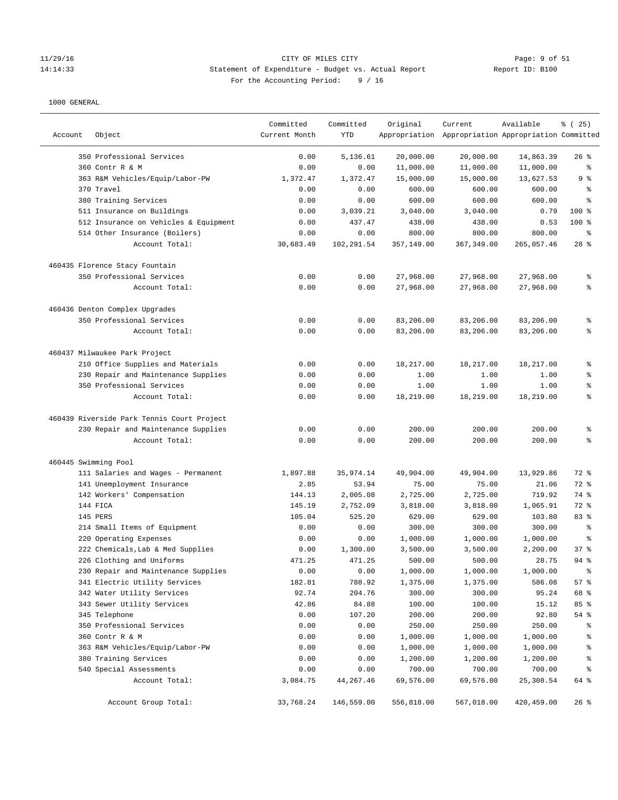### 11/29/16 CITY OF MILES CITY Page: 9 of 51 14:14:33 Statement of Expenditure - Budget vs. Actual Report Report ID: B100 For the Accounting Period: 9 / 16

| Account              | Object                                     | Committed<br>Current Month | Committed<br><b>YTD</b> | Original   | Current<br>Appropriation Appropriation Appropriation Committed | Available  | % (25)   |
|----------------------|--------------------------------------------|----------------------------|-------------------------|------------|----------------------------------------------------------------|------------|----------|
|                      | 350 Professional Services                  | 0.00                       | 5,136.61                | 20,000.00  | 20,000.00                                                      | 14,863.39  | $26$ %   |
|                      | 360 Contr R & M                            | 0.00                       | 0.00                    | 11,000.00  | 11,000.00                                                      | 11,000.00  | န့       |
|                      | 363 R&M Vehicles/Equip/Labor-PW            | 1,372.47                   | 1,372.47                | 15,000.00  | 15,000.00                                                      | 13,627.53  | 9 %      |
|                      | 370 Travel                                 | 0.00                       | 0.00                    | 600.00     | 600.00                                                         | 600.00     | န့       |
|                      | 380 Training Services                      | 0.00                       | 0.00                    | 600.00     | 600.00                                                         | 600.00     | န့       |
|                      | 511 Insurance on Buildings                 | 0.00                       | 3,039.21                | 3,040.00   | 3,040.00                                                       | 0.79       | 100 %    |
|                      | 512 Insurance on Vehicles & Equipment      | 0.00                       | 437.47                  | 438.00     | 438.00                                                         | 0.53       | $100*$   |
|                      | 514 Other Insurance (Boilers)              | 0.00                       | 0.00                    | 800.00     | 800.00                                                         | 800.00     | နွ       |
|                      | Account Total:                             | 30,683.49                  | 102,291.54              | 357,149.00 | 367, 349.00                                                    | 265,057.46 | $28$ %   |
|                      | 460435 Florence Stacy Fountain             |                            |                         |            |                                                                |            |          |
|                      | 350 Professional Services                  | 0.00                       | 0.00                    | 27,968.00  | 27,968.00                                                      | 27,968.00  | g,       |
|                      | Account Total:                             | 0.00                       | 0.00                    | 27,968.00  | 27,968.00                                                      | 27,968.00  | နွ       |
|                      | 460436 Denton Complex Upgrades             |                            |                         |            |                                                                |            |          |
|                      | 350 Professional Services                  | 0.00                       | 0.00                    | 83,206.00  | 83,206.00                                                      | 83,206.00  | ್ಠಿ      |
|                      | Account Total:                             | 0.00                       | 0.00                    | 83,206.00  | 83,206.00                                                      | 83,206.00  | ៖        |
|                      | 460437 Milwaukee Park Project              |                            |                         |            |                                                                |            |          |
|                      | 210 Office Supplies and Materials          | 0.00                       | 0.00                    | 18,217.00  | 18,217.00                                                      | 18,217.00  | g        |
|                      | 230 Repair and Maintenance Supplies        | 0.00                       | 0.00                    | 1.00       | 1.00                                                           | 1.00       | ి        |
|                      | 350 Professional Services                  | 0.00                       | 0.00                    | 1.00       | 1.00                                                           | 1.00       | န္       |
|                      | Account Total:                             | 0.00                       | 0.00                    | 18,219.00  | 18,219.00                                                      | 18,219.00  | g        |
|                      | 460439 Riverside Park Tennis Court Project |                            |                         |            |                                                                |            |          |
|                      | 230 Repair and Maintenance Supplies        | 0.00                       | 0.00                    | 200.00     | 200.00                                                         | 200.00     | ್ಠಿ      |
|                      | Account Total:                             | 0.00                       | 0.00                    | 200.00     | 200.00                                                         | 200.00     | န့       |
| 460445 Swimming Pool |                                            |                            |                         |            |                                                                |            |          |
|                      | 111 Salaries and Wages - Permanent         | 1,897.88                   | 35,974.14               | 49,904.00  | 49,904.00                                                      | 13,929.86  | 72 %     |
|                      | 141 Unemployment Insurance                 | 2.85                       | 53.94                   | 75.00      | 75.00                                                          | 21.06      | 72 %     |
|                      | 142 Workers' Compensation                  | 144.13                     | 2,005.08                | 2,725.00   | 2,725.00                                                       | 719.92     | 74 %     |
|                      | 144 FICA                                   | 145.19                     | 2,752.09                | 3,818.00   | 3,818.00                                                       | 1,065.91   | 72 %     |
|                      | 145 PERS                                   | 105.04                     | 525.20                  | 629.00     | 629.00                                                         | 103.80     | 83 %     |
|                      | 214 Small Items of Equipment               | 0.00                       | 0.00                    | 300.00     | 300.00                                                         | 300.00     | န့       |
|                      | 220 Operating Expenses                     | 0.00                       | 0.00                    | 1,000.00   | 1,000.00                                                       | 1,000.00   | န္       |
|                      | 222 Chemicals, Lab & Med Supplies          | 0.00                       | 1,300.00                | 3,500.00   | 3,500.00                                                       | 2,200.00   | 37%      |
|                      | 226 Clothing and Uniforms                  | 471.25                     | 471.25                  | 500.00     | 500.00                                                         | 28.75      | $94$ $%$ |
|                      | 230 Repair and Maintenance Supplies        | 0.00                       | 0.00                    | 1,000.00   | 1,000.00                                                       | 1,000.00   | ್ಠಿ      |
|                      | 341 Electric Utility Services              | 182.81                     | 788.92                  | 1,375.00   | 1,375.00                                                       | 586.08     | 57%      |
|                      | 342 Water Utility Services                 | 92.74                      | 204.76                  | 300.00     | 300.00                                                         | 95.24      | 68 %     |
|                      | 343 Sewer Utility Services                 | 42.86                      | 84.88                   | 100.00     | 100.00                                                         | 15.12      | 85 %     |
|                      | 345 Telephone                              | 0.00                       | 107.20                  | 200.00     | 200.00                                                         | 92.80      | 54 %     |
|                      | 350 Professional Services                  | 0.00                       | 0.00                    | 250.00     | 250.00                                                         | 250.00     | ್ಠಿ      |
|                      | 360 Contr R & M                            | 0.00                       | 0.00                    | 1,000.00   | 1,000.00                                                       | 1,000.00   | နွ       |
|                      | 363 R&M Vehicles/Equip/Labor-PW            | 0.00                       | 0.00                    | 1,000.00   | 1,000.00                                                       | 1,000.00   | ಿ        |
|                      | 380 Training Services                      | 0.00                       | 0.00                    | 1,200.00   | 1,200.00                                                       | 1,200.00   | န့       |
|                      | 540 Special Assessments                    | 0.00                       | 0.00                    | 700.00     | 700.00                                                         | 700.00     | ್ಠಿ      |
|                      | Account Total:                             | 3,084.75                   | 44,267.46               | 69,576.00  | 69,576.00                                                      | 25,308.54  | 64 %     |
|                      | Account Group Total:                       | 33,768.24                  | 146,559.00              | 556,818.00 | 567,018.00                                                     | 420,459.00 | 26%      |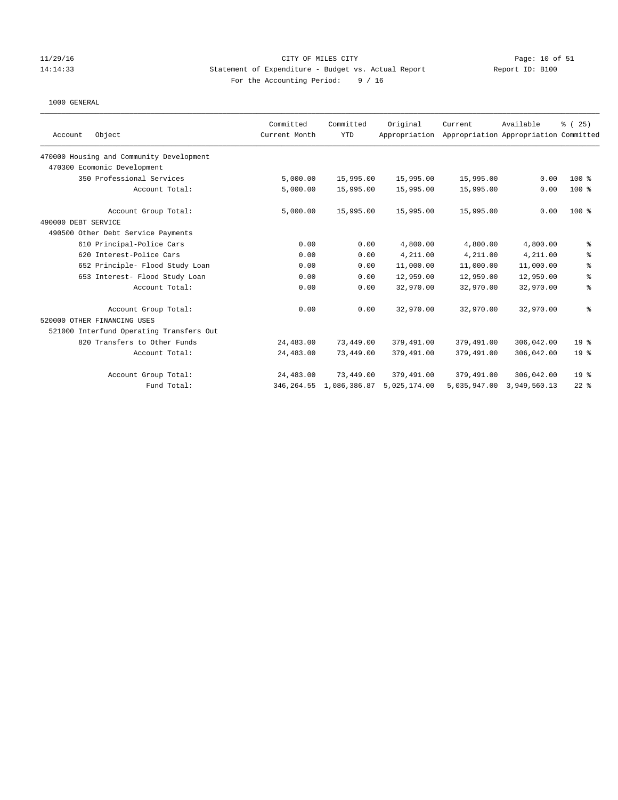### 11/29/16 CITY OF MILES CITY Page: 10 of 51 14:14:33 Statement of Expenditure - Budget vs. Actual Report Report ID: B100 For the Accounting Period: 9 / 16

|                                          | Committed     | Committed                  | Original      | Current    | Available                             | % (25)          |
|------------------------------------------|---------------|----------------------------|---------------|------------|---------------------------------------|-----------------|
| Object<br>Account                        | Current Month | <b>YTD</b>                 | Appropriation |            | Appropriation Appropriation Committed |                 |
| 470000 Housing and Community Development |               |                            |               |            |                                       |                 |
| 470300 Ecomonic Development              |               |                            |               |            |                                       |                 |
| 350 Professional Services                | 5,000.00      | 15,995.00                  | 15,995.00     | 15,995.00  | 0.00                                  | $100*$          |
| Account Total:                           | 5,000.00      | 15,995.00                  | 15,995.00     | 15,995.00  | 0.00                                  | $100$ %         |
| Account Group Total:                     | 5,000.00      | 15,995.00                  | 15,995.00     | 15,995.00  | 0.00                                  | $100*$          |
| 490000 DEBT SERVICE                      |               |                            |               |            |                                       |                 |
| 490500 Other Debt Service Payments       |               |                            |               |            |                                       |                 |
| 610 Principal-Police Cars                | 0.00          | 0.00                       | 4,800.00      | 4,800.00   | 4,800.00                              | ್ಠಿ             |
| 620 Interest-Police Cars                 | 0.00          | 0.00                       | 4,211.00      | 4,211.00   | 4,211.00                              | ి               |
| 652 Principle- Flood Study Loan          | 0.00          | 0.00                       | 11,000.00     | 11,000.00  | 11,000.00                             | ್ಠಿ             |
| 653 Interest- Flood Study Loan           | 0.00          | 0.00                       | 12,959.00     | 12,959.00  | 12,959.00                             | နွ              |
| Account Total:                           | 0.00          | 0.00                       | 32,970.00     | 32,970.00  | 32,970.00                             | နွ              |
| Account Group Total:                     | 0.00          | 0.00                       | 32,970.00     | 32,970.00  | 32,970.00                             | ి               |
| 520000 OTHER FINANCING USES              |               |                            |               |            |                                       |                 |
| 521000 Interfund Operating Transfers Out |               |                            |               |            |                                       |                 |
| 820 Transfers to Other Funds             | 24,483.00     | 73,449.00                  | 379,491.00    | 379,491.00 | 306,042.00                            | 19 <sup>°</sup> |
| Account Total:                           | 24,483.00     | 73,449.00                  | 379,491.00    | 379,491.00 | 306,042.00                            | 19 <sup>°</sup> |
| Account Group Total:                     | 24,483.00     | 73,449.00                  | 379,491.00    | 379,491.00 | 306,042.00                            | 19 <sup>°</sup> |
| Fund Total:                              |               | 346, 264.55 1, 086, 386.87 | 5,025,174.00  |            | 5,035,947.00 3,949,560.13             | $22$ $%$        |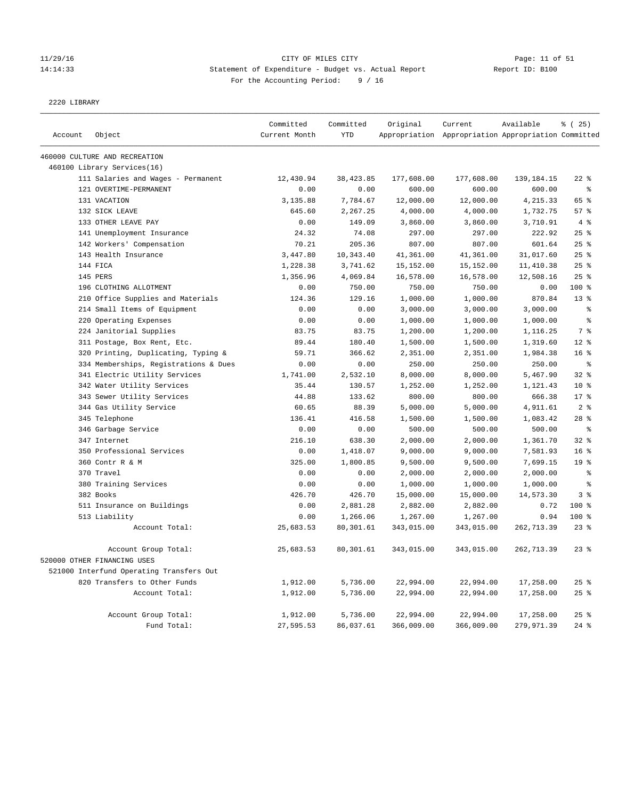#### 11/29/16 CITY OF MILES CITY Page: 11 of 51 14:14:33 Statement of Expenditure - Budget vs. Actual Report Report ID: B100 For the Accounting Period: 9 / 16

2220 LIBRARY

|         |                                                                          | Committed     | Committed  | Original   | Current                                             | Available  | % (25)          |
|---------|--------------------------------------------------------------------------|---------------|------------|------------|-----------------------------------------------------|------------|-----------------|
| Account | Object                                                                   | Current Month | <b>YTD</b> |            | Appropriation Appropriation Appropriation Committed |            |                 |
|         | 460000 CULTURE AND RECREATION                                            |               |            |            |                                                     |            |                 |
|         | 460100 Library Services(16)                                              |               |            |            |                                                     |            |                 |
|         | 111 Salaries and Wages - Permanent                                       | 12,430.94     | 38,423.85  | 177,608.00 | 177,608.00                                          | 139,184.15 | $22$ %          |
|         | 121 OVERTIME-PERMANENT                                                   | 0.00          | 0.00       | 600.00     | 600.00                                              | 600.00     | ៖               |
|         | 131 VACATION                                                             | 3,135.88      | 7,784.67   | 12,000.00  | 12,000.00                                           | 4,215.33   | 65 %            |
|         | 132 SICK LEAVE                                                           | 645.60        | 2,267.25   | 4,000.00   | 4,000.00                                            | 1,732.75   | 57%             |
|         | 133 OTHER LEAVE PAY                                                      | 0.00          | 149.09     | 3,860.00   | 3,860.00                                            | 3,710.91   | $4 \text{ }$    |
|         | 141 Unemployment Insurance                                               | 24.32         | 74.08      | 297.00     | 297.00                                              | 222.92     | 25%             |
|         | 142 Workers' Compensation                                                | 70.21         | 205.36     | 807.00     | 807.00                                              | 601.64     | 25%             |
|         | 143 Health Insurance                                                     | 3,447.80      | 10,343.40  | 41,361.00  | 41,361.00                                           | 31,017.60  | 25%             |
|         | 144 FICA                                                                 | 1,228.38      | 3,741.62   | 15,152.00  | 15,152.00                                           | 11,410.38  | 25%             |
|         | 145 PERS                                                                 | 1,356.96      | 4,069.84   | 16,578.00  | 16,578.00                                           | 12,508.16  | 25%             |
|         | 196 CLOTHING ALLOTMENT                                                   | 0.00          | 750.00     | 750.00     | 750.00                                              | 0.00       | 100 %           |
|         | 210 Office Supplies and Materials                                        | 124.36        | 129.16     | 1,000.00   | 1,000.00                                            | 870.84     | $13*$           |
|         | 214 Small Items of Equipment                                             | 0.00          | 0.00       | 3,000.00   | 3,000.00                                            | 3,000.00   | $\,$ 8          |
|         | 220 Operating Expenses                                                   | 0.00          | 0.00       | 1,000.00   | 1,000.00                                            | 1,000.00   | ៖               |
|         | 224 Janitorial Supplies                                                  | 83.75         | 83.75      | 1,200.00   | 1,200.00                                            | 1,116.25   | 7 %             |
|         | 311 Postage, Box Rent, Etc.                                              | 89.44         | 180.40     | 1,500.00   | 1,500.00                                            | 1,319.60   | $12*$           |
|         | 320 Printing, Duplicating, Typing &                                      | 59.71         | 366.62     | 2,351.00   | 2,351.00                                            | 1,984.38   | 16 <sup>8</sup> |
|         | 334 Memberships, Registrations & Dues                                    | 0.00          | 0.00       | 250.00     | 250.00                                              | 250.00     | နွ              |
|         | 341 Electric Utility Services                                            | 1,741.00      | 2,532.10   | 8,000.00   | 8,000.00                                            | 5,467.90   | $32*$           |
|         | 342 Water Utility Services                                               | 35.44         | 130.57     | 1,252.00   | 1,252.00                                            | 1,121.43   | $10*$           |
|         | 343 Sewer Utility Services                                               | 44.88         | 133.62     | 800.00     | 800.00                                              | 666.38     | 17.8            |
|         | 344 Gas Utility Service                                                  | 60.65         | 88.39      | 5,000.00   | 5,000.00                                            | 4,911.61   | 2 <sup>°</sup>  |
|         | 345 Telephone                                                            | 136.41        | 416.58     | 1,500.00   | 1,500.00                                            | 1,083.42   | 28 <sup>8</sup> |
|         | 346 Garbage Service                                                      | 0.00          | 0.00       | 500.00     | 500.00                                              | 500.00     | $\epsilon$      |
|         | 347 Internet                                                             | 216.10        | 638.30     | 2,000.00   | 2,000.00                                            | 1,361.70   | 32%             |
|         | 350 Professional Services                                                | 0.00          | 1,418.07   | 9,000.00   | 9,000.00                                            | 7,581.93   | 16 <sup>8</sup> |
|         | 360 Contr R & M                                                          | 325.00        | 1,800.85   | 9,500.00   | 9,500.00                                            | 7,699.15   | 19 <sup>°</sup> |
|         | 370 Travel                                                               | 0.00          | 0.00       | 2,000.00   | 2,000.00                                            | 2,000.00   | ៖               |
|         | 380 Training Services                                                    | 0.00          | 0.00       | 1,000.00   | 1,000.00                                            | 1,000.00   | $\,$ 8          |
|         | 382 Books                                                                | 426.70        | 426.70     | 15,000.00  | 15,000.00                                           | 14,573.30  | 3 <sup>8</sup>  |
|         | 511 Insurance on Buildings                                               | 0.00          | 2,881.28   | 2,882.00   | 2,882.00                                            | 0.72       | 100 %           |
|         | 513 Liability                                                            | 0.00          | 1,266.06   | 1,267.00   | 1,267.00                                            | 0.94       | 100 %           |
|         | Account Total:                                                           | 25,683.53     | 80,301.61  | 343,015.00 | 343,015.00                                          | 262,713.39 | $23$ %          |
|         | Account Group Total:                                                     | 25,683.53     | 80,301.61  | 343,015.00 | 343,015.00                                          | 262,713.39 | $23$ %          |
|         | 520000 OTHER FINANCING USES                                              |               |            |            |                                                     |            |                 |
|         |                                                                          |               |            |            |                                                     |            |                 |
|         | 521000 Interfund Operating Transfers Out<br>820 Transfers to Other Funds | 1,912.00      | 5,736.00   | 22,994.00  | 22,994.00                                           | 17,258.00  | 25%             |
|         | Account Total:                                                           |               |            |            |                                                     |            |                 |
|         |                                                                          | 1,912.00      | 5,736.00   | 22,994.00  | 22,994.00                                           | 17,258.00  | 25%             |
|         | Account Group Total:                                                     | 1,912.00      | 5,736.00   | 22,994.00  | 22,994.00                                           | 17,258.00  | $25$ %          |
|         | Fund Total:                                                              | 27,595.53     | 86,037.61  | 366,009.00 | 366,009.00                                          | 279,971.39 | 24%             |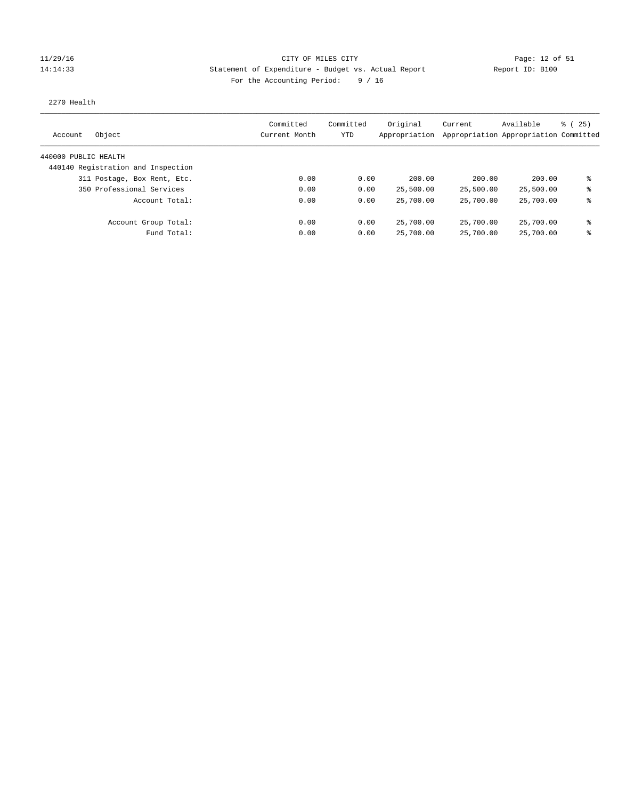### 11/29/16 CITY OF MILES CITY Page: 12 of 51 14:14:33 Statement of Expenditure - Budget vs. Actual Report Report ID: B100 For the Accounting Period: 9 / 16

#### 2270 Health

| Object<br>Account                  | Committed<br>Current Month | Committed<br>YTD | Original<br>Appropriation | Current   | Available<br>Appropriation Appropriation Committed | 8 (25) |
|------------------------------------|----------------------------|------------------|---------------------------|-----------|----------------------------------------------------|--------|
| 440000 PUBLIC HEALTH               |                            |                  |                           |           |                                                    |        |
| 440140 Registration and Inspection |                            |                  |                           |           |                                                    |        |
| 311 Postage, Box Rent, Etc.        | 0.00                       | 0.00             | 200.00                    | 200.00    | 200.00                                             | ま      |
| 350 Professional Services          | 0.00                       | 0.00             | 25,500.00                 | 25,500.00 | 25,500.00                                          | နွ     |
| Account Total:                     | 0.00                       | 0.00             | 25,700.00                 | 25,700.00 | 25,700.00                                          | ⊱      |
| Account Group Total:               | 0.00                       | 0.00             | 25,700.00                 | 25,700.00 | 25,700.00                                          | နွ     |
| Fund Total:                        | 0.00                       | 0.00             | 25,700.00                 | 25,700.00 | 25,700.00                                          | နွ     |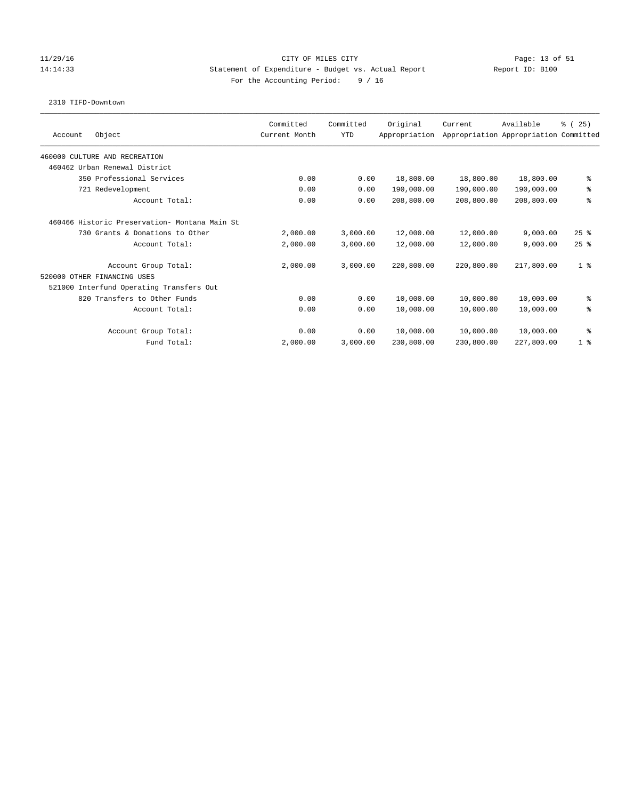### 11/29/16 CITY OF MILES CITY Page: 13 of 51 14:14:33 Statement of Expenditure - Budget vs. Actual Report Report ID: B100 For the Accounting Period: 9 / 16

### 2310 TIFD-Downtown

|                                                | Committed     | Committed  | Original      | Current                               | Available  | % (25)         |
|------------------------------------------------|---------------|------------|---------------|---------------------------------------|------------|----------------|
| Object<br>Account                              | Current Month | <b>YTD</b> | Appropriation | Appropriation Appropriation Committed |            |                |
| 460000 CULTURE AND RECREATION                  |               |            |               |                                       |            |                |
| 460462 Urban Renewal District                  |               |            |               |                                       |            |                |
| 350 Professional Services                      | 0.00          | 0.00       | 18,800.00     | 18,800.00                             | 18,800.00  | နွ             |
| 721 Redevelopment                              | 0.00          | 0.00       | 190,000.00    | 190,000.00                            | 190,000.00 | ್ಠಿ            |
| Account Total:                                 | 0.00          | 0.00       | 208,800.00    | 208,800.00                            | 208,800.00 | ి              |
| 460466 Historic Preservation- Montana Main St. |               |            |               |                                       |            |                |
| 730 Grants & Donations to Other                | 2,000.00      | 3,000.00   | 12,000.00     | 12,000.00                             | 9.000.00   | $25$ $%$       |
| Account Total:                                 | 2,000.00      | 3,000.00   | 12,000.00     | 12,000.00                             | 9,000.00   | 25%            |
| Account Group Total:                           | 2,000.00      | 3,000.00   | 220,800.00    | 220,800.00                            | 217,800.00 | 1 <sup>8</sup> |
| 520000 OTHER FINANCING USES                    |               |            |               |                                       |            |                |
| 521000 Interfund Operating Transfers Out       |               |            |               |                                       |            |                |
| 820 Transfers to Other Funds                   | 0.00          | 0.00       | 10,000.00     | 10,000.00                             | 10,000.00  | နွ             |
| Account Total:                                 | 0.00          | 0.00       | 10,000.00     | 10,000.00                             | 10,000.00  | る              |
| Account Group Total:                           | 0.00          | 0.00       | 10,000.00     | 10,000.00                             | 10,000.00  | နွ             |
| Fund Total:                                    | 2,000.00      | 3,000.00   | 230,800.00    | 230,800.00                            | 227,800.00 | 1 <sup>8</sup> |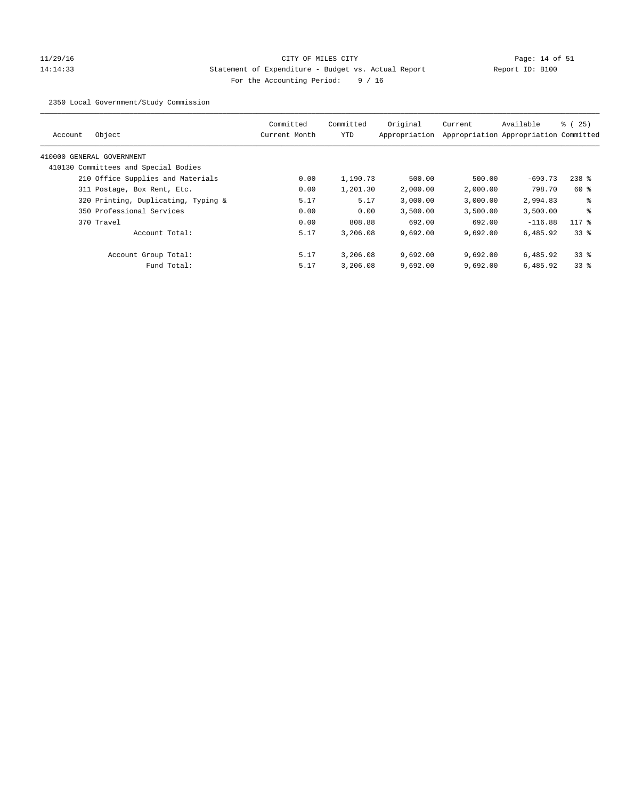# 11/29/16 CITY OF MILES CITY Page: 14 of 51 14:14:33 Statement of Expenditure - Budget vs. Actual Report Report ID: B100 For the Accounting Period: 9 / 16

2350 Local Government/Study Commission

| Object<br>Account                    | Committed<br>Current Month | Committed<br>YTD | Original<br>Appropriation | Current  | Available<br>Appropriation Appropriation Committed | % (25)    |
|--------------------------------------|----------------------------|------------------|---------------------------|----------|----------------------------------------------------|-----------|
| 410000 GENERAL GOVERNMENT            |                            |                  |                           |          |                                                    |           |
| 410130 Committees and Special Bodies |                            |                  |                           |          |                                                    |           |
| 210 Office Supplies and Materials    | 0.00                       | 1,190.73         | 500.00                    | 500.00   | $-690.73$                                          | $238$ $%$ |
| 311 Postage, Box Rent, Etc.          | 0.00                       | 1,201.30         | 2,000.00                  | 2,000.00 | 798.70                                             | 60 %      |
| 320 Printing, Duplicating, Typing &  | 5.17                       | 5.17             | 3,000.00                  | 3,000.00 | 2,994.83                                           | ႜ         |
| 350 Professional Services            | 0.00                       | 0.00             | 3,500.00                  | 3.500.00 | 3,500.00                                           | နွ        |
| 370 Travel                           | 0.00                       | 808.88           | 692.00                    | 692.00   | $-116.88$                                          | $117*$    |
| Account Total:                       | 5.17                       | 3,206.08         | 9,692.00                  | 9.692.00 | 6,485.92                                           | 338       |
| Account Group Total:                 | 5.17                       | 3,206.08         | 9,692.00                  | 9.692.00 | 6,485.92                                           | 338       |
| Fund Total:                          | 5.17                       | 3,206.08         | 9,692.00                  | 9,692.00 | 6,485.92                                           | 338       |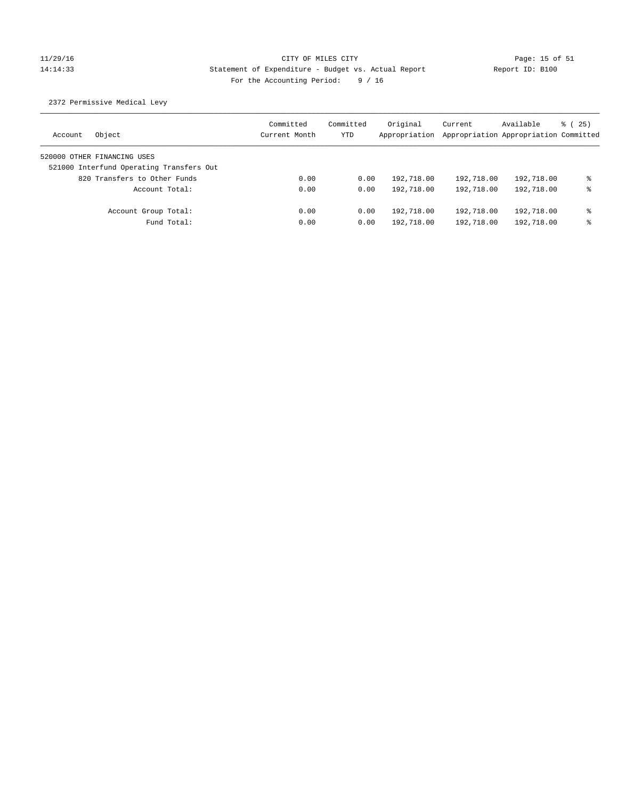# 11/29/16 CITY OF MILES CITY Page: 15 of 51 14:14:33 Statement of Expenditure - Budget vs. Actual Report Report ID: B100 For the Accounting Period: 9 / 16

2372 Permissive Medical Levy

| Object<br>Account                        | Committed<br>Current Month | Committed<br>YTD | Original<br>Appropriation | Current<br>Appropriation Appropriation Committed | Available  | 8 (25) |
|------------------------------------------|----------------------------|------------------|---------------------------|--------------------------------------------------|------------|--------|
| 520000 OTHER FINANCING USES              |                            |                  |                           |                                                  |            |        |
| 521000 Interfund Operating Transfers Out |                            |                  |                           |                                                  |            |        |
| 820 Transfers to Other Funds             | 0.00                       | 0.00             | 192,718.00                | 192,718.00                                       | 192,718.00 | နွ     |
| Account Total:                           | 0.00                       | 0.00             | 192,718.00                | 192,718.00                                       | 192,718.00 | နွ     |
| Account Group Total:                     | 0.00                       | 0.00             | 192,718.00                | 192,718.00                                       | 192,718.00 | နွ     |
| Fund Total:                              | 0.00                       | 0.00             | 192,718.00                | 192,718.00                                       | 192,718.00 | ⊱      |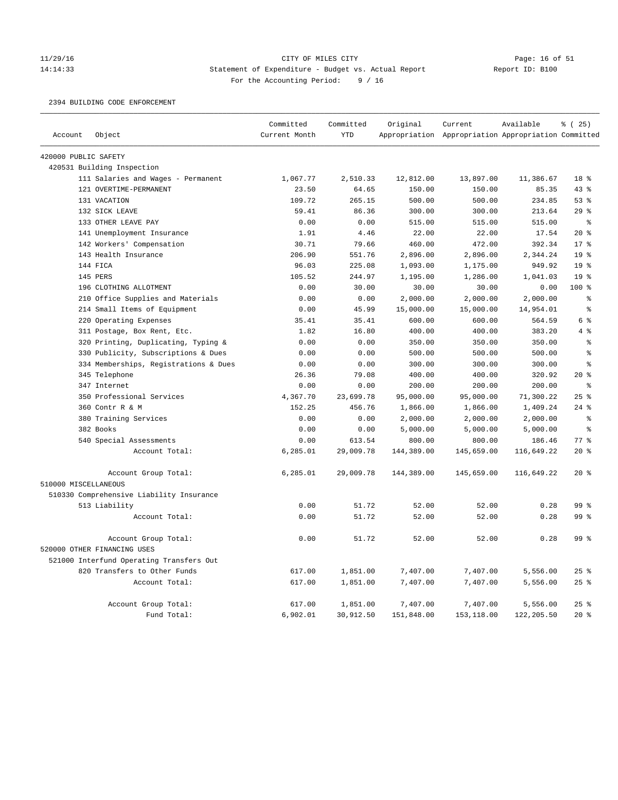### 11/29/16 CITY OF MILES CITY Page: 16 of 51 14:14:33 Statement of Expenditure - Budget vs. Actual Report Report ID: B100 For the Accounting Period: 9 / 16

2394 BUILDING CODE ENFORCEMENT

|                      |                                          | Committed     | Committed  | Original   | Current                                             | Available  | % (25)          |
|----------------------|------------------------------------------|---------------|------------|------------|-----------------------------------------------------|------------|-----------------|
| Account              | Object                                   | Current Month | <b>YTD</b> |            | Appropriation Appropriation Appropriation Committed |            |                 |
| 420000 PUBLIC SAFETY |                                          |               |            |            |                                                     |            |                 |
|                      | 420531 Building Inspection               |               |            |            |                                                     |            |                 |
|                      | 111 Salaries and Wages - Permanent       | 1,067.77      | 2,510.33   | 12,812.00  | 13,897.00                                           | 11,386.67  | 18 %            |
|                      | 121 OVERTIME-PERMANENT                   | 23.50         | 64.65      | 150.00     | 150.00                                              | 85.35      | 43%             |
|                      | 131 VACATION                             | 109.72        | 265.15     | 500.00     | 500.00                                              | 234.85     | 53%             |
|                      | 132 SICK LEAVE                           | 59.41         | 86.36      | 300.00     | 300.00                                              | 213.64     | 29%             |
|                      | 133 OTHER LEAVE PAY                      | 0.00          | 0.00       | 515.00     | 515.00                                              | 515.00     | $\epsilon$      |
|                      | 141 Unemployment Insurance               | 1.91          | 4.46       | 22.00      | 22.00                                               | 17.54      | 20%             |
|                      | 142 Workers' Compensation                | 30.71         | 79.66      | 460.00     | 472.00                                              | 392.34     | 17 <sup>8</sup> |
|                      | 143 Health Insurance                     | 206.90        | 551.76     | 2,896.00   | 2,896.00                                            | 2,344.24   | 19 <sup>°</sup> |
|                      | 144 FICA                                 | 96.03         | 225.08     | 1,093.00   | 1,175.00                                            | 949.92     | 19 <sup>°</sup> |
|                      | 145 PERS                                 | 105.52        | 244.97     | 1,195.00   | 1,286.00                                            | 1,041.03   | 19 <sup>°</sup> |
|                      | 196 CLOTHING ALLOTMENT                   | 0.00          | 30.00      | 30.00      | 30.00                                               | 0.00       | $100$ %         |
|                      | 210 Office Supplies and Materials        | 0.00          | 0.00       | 2,000.00   | 2,000.00                                            | 2,000.00   | နွ              |
|                      | 214 Small Items of Equipment             | 0.00          | 45.99      | 15,000.00  | 15,000.00                                           | 14,954.01  | $\epsilon$      |
|                      | 220 Operating Expenses                   | 35.41         | 35.41      | 600.00     | 600.00                                              | 564.59     | 6 <sup>8</sup>  |
|                      | 311 Postage, Box Rent, Etc.              | 1.82          | 16.80      | 400.00     | 400.00                                              | 383.20     | 4%              |
|                      | 320 Printing, Duplicating, Typing &      | 0.00          | 0.00       | 350.00     | 350.00                                              | 350.00     | $\epsilon$      |
|                      | 330 Publicity, Subscriptions & Dues      | 0.00          | 0.00       | 500.00     | 500.00                                              | 500.00     | $\approx$       |
|                      | 334 Memberships, Registrations & Dues    | 0.00          | 0.00       | 300.00     | 300.00                                              | 300.00     | $\approx$       |
|                      | 345 Telephone                            | 26.36         | 79.08      | 400.00     | 400.00                                              | 320.92     | 20%             |
|                      | 347 Internet                             | 0.00          | 0.00       | 200.00     | 200.00                                              | 200.00     | $\epsilon$      |
|                      | 350 Professional Services                | 4,367.70      | 23,699.78  | 95,000.00  | 95,000.00                                           | 71,300.22  | 25%             |
|                      | 360 Contr R & M                          | 152.25        | 456.76     | 1,866.00   | 1,866.00                                            | 1,409.24   | $24$ %          |
|                      | 380 Training Services                    | 0.00          | 0.00       | 2,000.00   | 2,000.00                                            | 2,000.00   | နွ              |
|                      | 382 Books                                | 0.00          | 0.00       | 5,000.00   | 5,000.00                                            | 5,000.00   | နွ              |
|                      | 540 Special Assessments                  | 0.00          | 613.54     | 800.00     | 800.00                                              | 186.46     | $77*$           |
|                      | Account Total:                           | 6,285.01      | 29,009.78  | 144,389.00 | 145,659.00                                          | 116,649.22 | $20*$           |
|                      | Account Group Total:                     | 6,285.01      | 29,009.78  | 144,389.00 | 145,659.00                                          | 116,649.22 | $20*$           |
| 510000 MISCELLANEOUS |                                          |               |            |            |                                                     |            |                 |
|                      | 510330 Comprehensive Liability Insurance |               |            |            |                                                     |            |                 |
|                      | 513 Liability                            | 0.00          | 51.72      | 52.00      | 52.00                                               | 0.28       | 99 %            |
|                      | Account Total:                           | 0.00          | 51.72      | 52.00      | 52.00                                               | 0.28       | 99 <sup>8</sup> |
|                      | Account Group Total:                     | 0.00          | 51.72      | 52.00      | 52.00                                               | 0.28       | 99 <sup>8</sup> |
|                      | 520000 OTHER FINANCING USES              |               |            |            |                                                     |            |                 |
|                      | 521000 Interfund Operating Transfers Out |               |            |            |                                                     |            |                 |
|                      | 820 Transfers to Other Funds             | 617.00        | 1,851.00   | 7,407.00   | 7,407.00                                            | 5,556.00   | 25%             |
|                      | Account Total:                           | 617.00        | 1,851.00   | 7,407.00   | 7,407.00                                            | 5,556.00   | 25%             |
|                      | Account Group Total:                     | 617.00        | 1,851.00   | 7,407.00   | 7,407.00                                            | 5,556.00   | $25$ $%$        |
|                      | Fund Total:                              | 6,902.01      | 30,912.50  | 151,848.00 | 153,118.00                                          | 122,205.50 | $20*$           |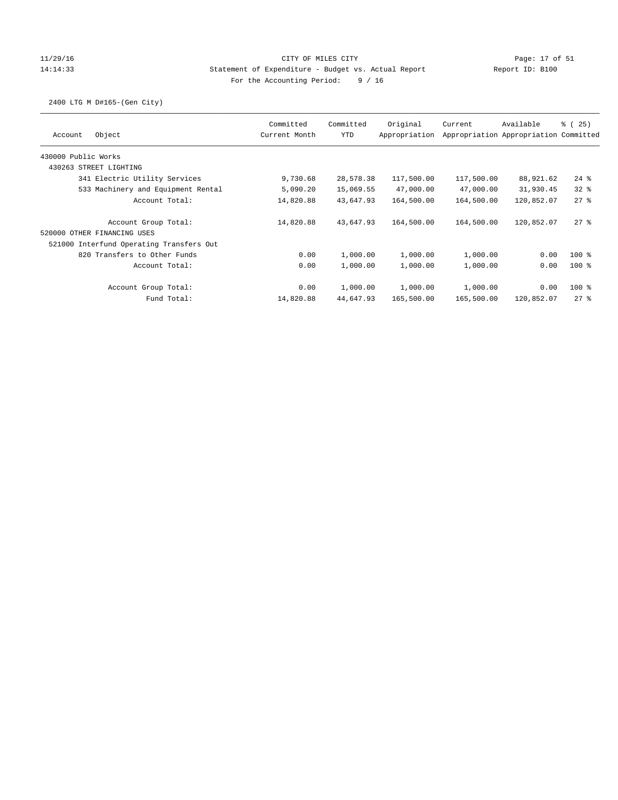### 11/29/16 CITY OF MILES CITY Page: 17 of 51 14:14:33 Statement of Expenditure - Budget vs. Actual Report Report ID: B100 For the Accounting Period: 9 / 16

2400 LTG M D#165-(Gen City)

|                                          | Committed     | Committed | Original      | Current    | Available                             | $\frac{1}{6}$ ( 25 ) |
|------------------------------------------|---------------|-----------|---------------|------------|---------------------------------------|----------------------|
| Object<br>Account                        | Current Month | YTD       | Appropriation |            | Appropriation Appropriation Committed |                      |
| 430000 Public Works                      |               |           |               |            |                                       |                      |
| 430263 STREET LIGHTING                   |               |           |               |            |                                       |                      |
| 341 Electric Utility Services            | 9,730.68      | 28,578.38 | 117,500.00    | 117,500.00 | 88,921.62                             | $24$ $%$             |
| 533 Machinery and Equipment Rental       | 5,090.20      | 15,069.55 | 47,000.00     | 47,000.00  | 31,930.45                             | $32*$                |
| Account Total:                           | 14,820.88     | 43,647.93 | 164,500.00    | 164,500.00 | 120,852.07                            | $27$ %               |
| Account Group Total:                     | 14,820.88     | 43,647.93 | 164,500.00    | 164,500.00 | 120,852.07                            | $27$ %               |
| 520000 OTHER FINANCING USES              |               |           |               |            |                                       |                      |
| 521000 Interfund Operating Transfers Out |               |           |               |            |                                       |                      |
| 820 Transfers to Other Funds             | 0.00          | 1,000.00  | 1,000.00      | 1,000.00   | 0.00                                  | $100$ %              |
| Account Total:                           | 0.00          | 1,000.00  | 1,000.00      | 1,000.00   | 0.00                                  | $100$ %              |
| Account Group Total:                     | 0.00          | 1,000.00  | 1,000.00      | 1,000.00   | 0.00                                  | $100$ %              |
| Fund Total:                              | 14,820.88     | 44,647.93 | 165,500.00    | 165,500.00 | 120,852.07                            | $27$ %               |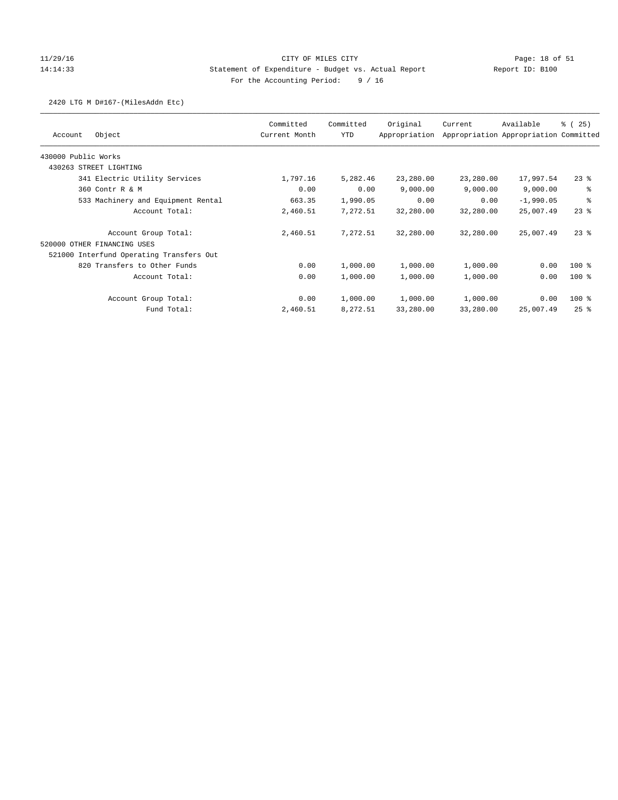## 11/29/16 CITY OF MILES CITY Page: 18 of 51 14:14:33 Statement of Expenditure - Budget vs. Actual Report Report ID: B100 For the Accounting Period: 9 / 16

### 2420 LTG M D#167-(MilesAddn Etc)

|                                          | Committed     | Committed | Original      | Current   | Available<br>Appropriation Appropriation Committed | % (25)   |
|------------------------------------------|---------------|-----------|---------------|-----------|----------------------------------------------------|----------|
| Object<br>Account                        | Current Month | YTD       | Appropriation |           |                                                    |          |
| 430000 Public Works                      |               |           |               |           |                                                    |          |
| 430263 STREET LIGHTING                   |               |           |               |           |                                                    |          |
| 341 Electric Utility Services            | 1,797.16      | 5,282.46  | 23,280.00     | 23,280.00 | 17,997.54                                          | $23$ %   |
| 360 Contr R & M                          | 0.00          | 0.00      | 9,000.00      | 9,000.00  | 9,000.00                                           | る        |
| 533 Machinery and Equipment Rental       | 663.35        | 1,990.05  | 0.00          | 0.00      | $-1,990.05$                                        | る        |
| Account Total:                           | 2,460.51      | 7,272.51  | 32,280.00     | 32,280.00 | 25,007.49                                          | $23$ %   |
| Account Group Total:                     | 2,460.51      | 7.272.51  | 32,280.00     | 32,280.00 | 25,007.49                                          | $23$ $%$ |
| 520000 OTHER FINANCING USES              |               |           |               |           |                                                    |          |
| 521000 Interfund Operating Transfers Out |               |           |               |           |                                                    |          |
| 820 Transfers to Other Funds             | 0.00          | 1,000.00  | 1,000.00      | 1,000.00  | 0.00                                               | $100$ %  |
| Account Total:                           | 0.00          | 1,000.00  | 1,000.00      | 1,000.00  | 0.00                                               | $100$ %  |
| Account Group Total:                     | 0.00          | 1,000.00  | 1,000.00      | 1,000.00  | 0.00                                               | $100$ %  |
| Fund Total:                              | 2,460.51      | 8,272.51  | 33,280.00     | 33,280.00 | 25,007.49                                          | $25$ %   |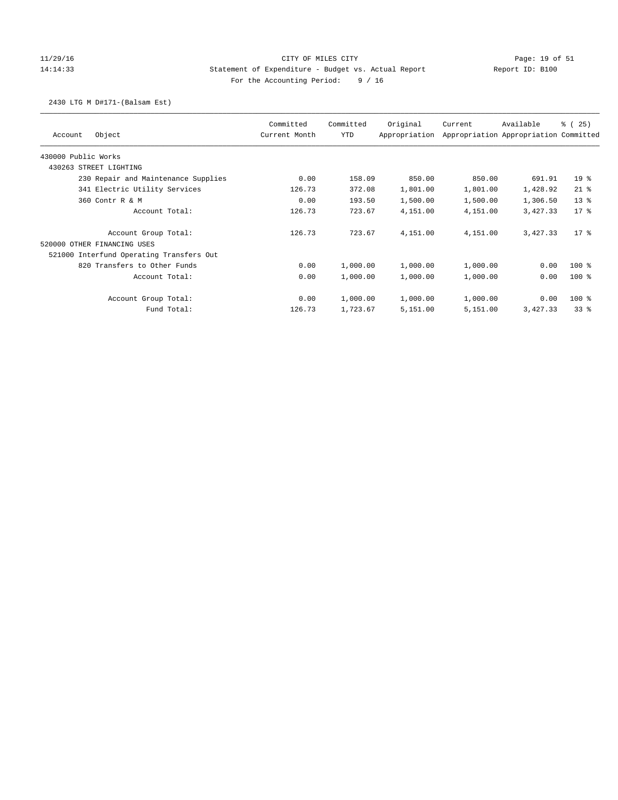## 11/29/16 CITY OF MILES CITY Page: 19 of 51 14:14:33 Statement of Expenditure - Budget vs. Actual Report Report ID: B100 For the Accounting Period: 9 / 16

### 2430 LTG M D#171-(Balsam Est)

| Object<br>Account                        | Committed<br>Current Month | Committed<br>YTD | Original<br>Appropriation | Current  | Available<br>Appropriation Appropriation Committed | % (25)  |
|------------------------------------------|----------------------------|------------------|---------------------------|----------|----------------------------------------------------|---------|
| 430000 Public Works                      |                            |                  |                           |          |                                                    |         |
| 430263 STREET LIGHTING                   |                            |                  |                           |          |                                                    |         |
| 230 Repair and Maintenance Supplies      | 0.00                       | 158.09           | 850.00                    | 850.00   | 691.91                                             | $19*$   |
| 341 Electric Utility Services            | 126.73                     | 372.08           | 1,801.00                  | 1,801.00 | 1,428.92                                           | $21$ %  |
| 360 Contr R & M                          | 0.00                       | 193.50           | 1,500.00                  | 1,500.00 | 1,306.50                                           | $13*$   |
| Account Total:                           | 126.73                     | 723.67           | 4,151.00                  | 4,151.00 | 3,427.33                                           | $17*$   |
| Account Group Total:                     | 126.73                     | 723.67           | 4,151.00                  | 4,151.00 | 3,427.33                                           | $17*$   |
| 520000 OTHER FINANCING USES              |                            |                  |                           |          |                                                    |         |
| 521000 Interfund Operating Transfers Out |                            |                  |                           |          |                                                    |         |
| 820 Transfers to Other Funds             | 0.00                       | 1,000.00         | 1,000.00                  | 1,000.00 | 0.00                                               | $100$ % |
| Account Total:                           | 0.00                       | 1,000.00         | 1,000.00                  | 1,000.00 | 0.00                                               | $100$ % |
| Account Group Total:                     | 0.00                       | 1,000.00         | 1,000.00                  | 1,000.00 | 0.00                                               | $100$ % |
| Fund Total:                              | 126.73                     | 1,723.67         | 5,151.00                  | 5,151.00 | 3,427.33                                           | 338     |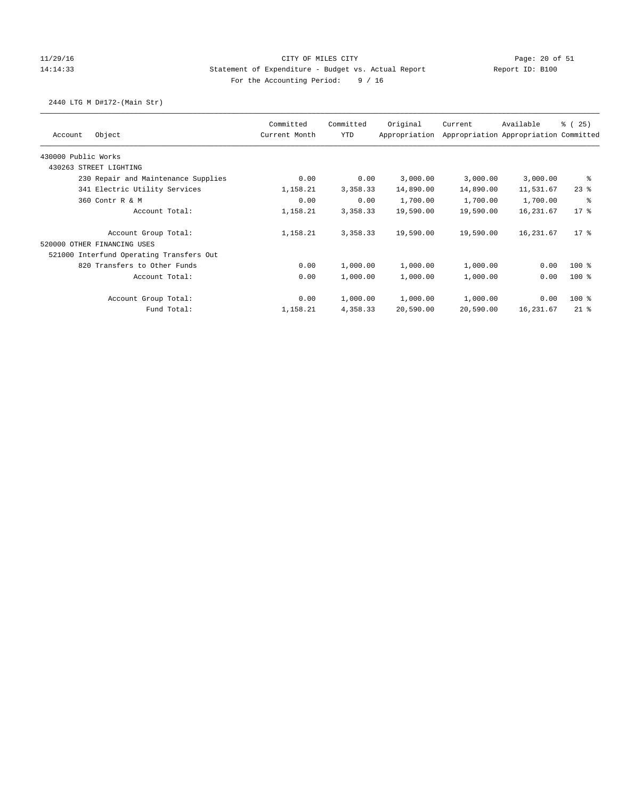## 11/29/16 CITY OF MILES CITY Page: 20 of 51 14:14:33 Statement of Expenditure - Budget vs. Actual Report Report ID: B100 For the Accounting Period: 9 / 16

## 2440 LTG M D#172-(Main Str)

| Object<br>Account                        | Committed<br>Current Month | Committed<br><b>YTD</b> | Original<br>Appropriation | Current   | Available<br>Appropriation Appropriation Committed | % (25)  |
|------------------------------------------|----------------------------|-------------------------|---------------------------|-----------|----------------------------------------------------|---------|
| 430000 Public Works                      |                            |                         |                           |           |                                                    |         |
| 430263 STREET LIGHTING                   |                            |                         |                           |           |                                                    |         |
| 230 Repair and Maintenance Supplies      | 0.00                       | 0.00                    | 3,000.00                  | 3,000.00  | 3,000.00                                           | ႜ       |
| 341 Electric Utility Services            | 1,158.21                   | 3,358.33                | 14,890.00                 | 14,890.00 | 11,531.67                                          | $23$ %  |
| 360 Contr R & M                          | 0.00                       | 0.00                    | 1,700.00                  | 1,700.00  | 1,700.00                                           | နွ      |
| Account Total:                           | 1,158.21                   | 3,358.33                | 19,590.00                 | 19,590.00 | 16, 231.67                                         | $17*$   |
| Account Group Total:                     | 1,158.21                   | 3,358.33                | 19,590.00                 | 19,590.00 | 16,231.67                                          | $17*$   |
| 520000 OTHER FINANCING USES              |                            |                         |                           |           |                                                    |         |
| 521000 Interfund Operating Transfers Out |                            |                         |                           |           |                                                    |         |
| 820 Transfers to Other Funds             | 0.00                       | 1,000.00                | 1,000.00                  | 1,000.00  | 0.00                                               | $100$ % |
| Account Total:                           | 0.00                       | 1,000.00                | 1,000.00                  | 1,000.00  | 0.00                                               | $100*$  |
| Account Group Total:                     | 0.00                       | 1,000.00                | 1,000.00                  | 1,000.00  | 0.00                                               | $100$ % |
| Fund Total:                              | 1,158.21                   | 4,358.33                | 20,590.00                 | 20,590.00 | 16,231.67                                          | $21$ %  |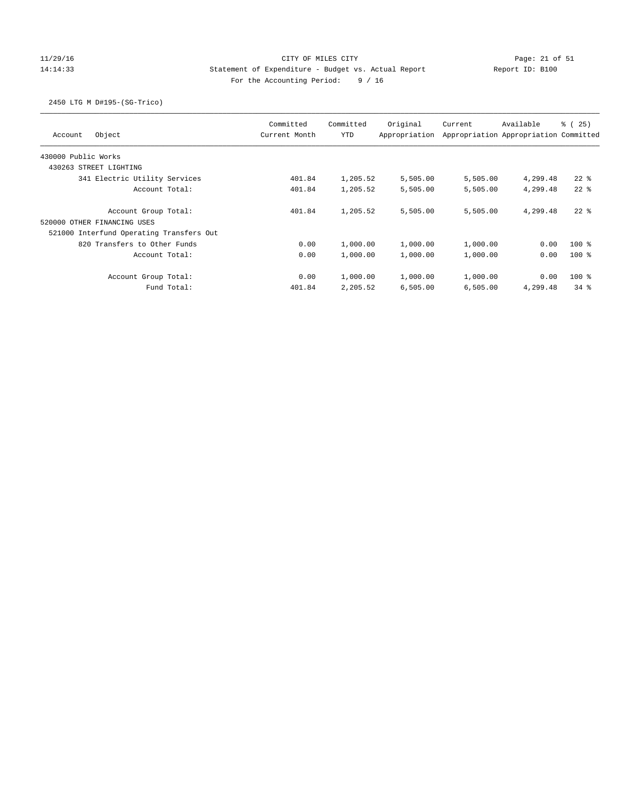# 11/29/16 CITY OF MILES CITY Page: 21 of 51 14:14:33 Statement of Expenditure - Budget vs. Actual Report Report ID: B100 For the Accounting Period: 9 / 16

### 2450 LTG M D#195-(SG-Trico)

| Object<br>Account                        | Committed<br>Current Month | Committed<br>YTD | Original<br>Appropriation | Current  | Available<br>Appropriation Appropriation Committed | % (25)   |
|------------------------------------------|----------------------------|------------------|---------------------------|----------|----------------------------------------------------|----------|
| 430000 Public Works                      |                            |                  |                           |          |                                                    |          |
| 430263 STREET LIGHTING                   |                            |                  |                           |          |                                                    |          |
| 341 Electric Utility Services            | 401.84                     | 1,205.52         | 5,505.00                  | 5,505.00 | 4,299.48                                           | $22$ $%$ |
| Account Total:                           | 401.84                     | 1,205.52         | 5,505.00                  | 5,505.00 | 4,299.48                                           | $22$ $%$ |
| Account Group Total:                     | 401.84                     | 1,205.52         | 5,505.00                  | 5,505.00 | 4,299.48                                           | $22$ $%$ |
| 520000 OTHER FINANCING USES              |                            |                  |                           |          |                                                    |          |
| 521000 Interfund Operating Transfers Out |                            |                  |                           |          |                                                    |          |
| 820 Transfers to Other Funds             | 0.00                       | 1,000.00         | 1,000.00                  | 1,000.00 | 0.00                                               | $100*$   |
| Account Total:                           | 0.00                       | 1,000.00         | 1,000.00                  | 1,000.00 | 0.00                                               | $100*$   |
| Account Group Total:                     | 0.00                       | 1,000.00         | 1,000.00                  | 1,000.00 | 0.00                                               | $100*$   |
| Fund Total:                              | 401.84                     | 2,205.52         | 6,505.00                  | 6,505.00 | 4,299.48                                           | $34$ $%$ |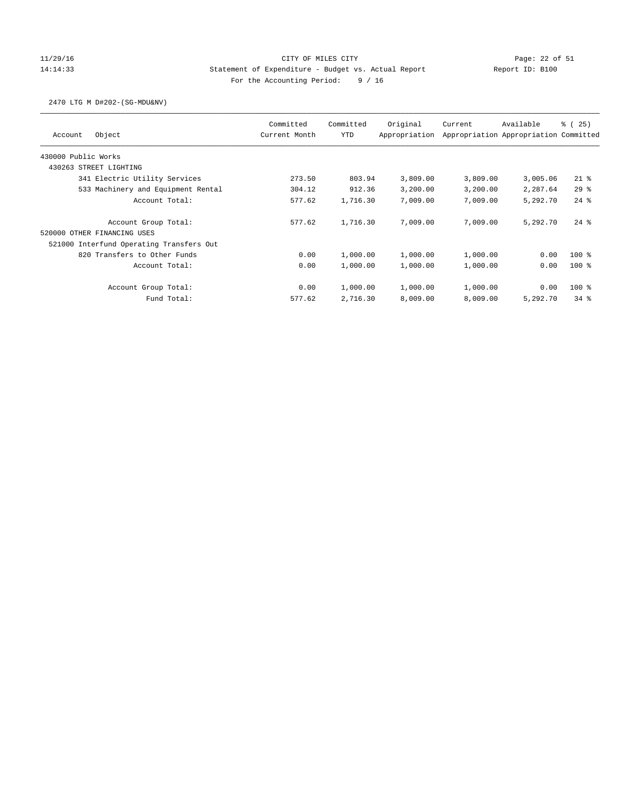## 11/29/16 CITY OF MILES CITY Page: 22 of 51 14:14:33 Statement of Expenditure - Budget vs. Actual Report Report ID: B100 For the Accounting Period: 9 / 16

### 2470 LTG M D#202-(SG-MDU&NV)

| Object<br>Account                        | Committed<br>Current Month | Committed<br>YTD | Original<br>Appropriation | Current  | Available<br>Appropriation Appropriation Committed | <sub>ර</sub> ි (25) |
|------------------------------------------|----------------------------|------------------|---------------------------|----------|----------------------------------------------------|---------------------|
| 430000 Public Works                      |                            |                  |                           |          |                                                    |                     |
| 430263 STREET LIGHTING                   |                            |                  |                           |          |                                                    |                     |
| 341 Electric Utility Services            | 273.50                     | 803.94           | 3,809.00                  | 3,809.00 | 3,005.06                                           | $21$ %              |
| 533 Machinery and Equipment Rental       | 304.12                     | 912.36           | 3,200.00                  | 3,200.00 | 2,287.64                                           | 29%                 |
| Account Total:                           | 577.62                     | 1,716.30         | 7,009.00                  | 7,009.00 | 5,292.70                                           | $24$ $%$            |
| Account Group Total:                     | 577.62                     | 1,716.30         | 7,009.00                  | 7,009.00 | 5,292.70                                           | $24$ $%$            |
| 520000<br>OTHER FINANCING USES           |                            |                  |                           |          |                                                    |                     |
| 521000 Interfund Operating Transfers Out |                            |                  |                           |          |                                                    |                     |
| 820 Transfers to Other Funds             | 0.00                       | 1,000.00         | 1,000.00                  | 1,000.00 | 0.00                                               | $100$ %             |
| Account Total:                           | 0.00                       | 1,000.00         | 1,000.00                  | 1,000.00 | 0.00                                               | $100*$              |
| Account Group Total:                     | 0.00                       | 1,000.00         | 1,000.00                  | 1,000.00 | 0.00                                               | $100$ %             |
| Fund Total:                              | 577.62                     | 2,716.30         | 8,009.00                  | 8,009.00 | 5,292.70                                           | $34$ $%$            |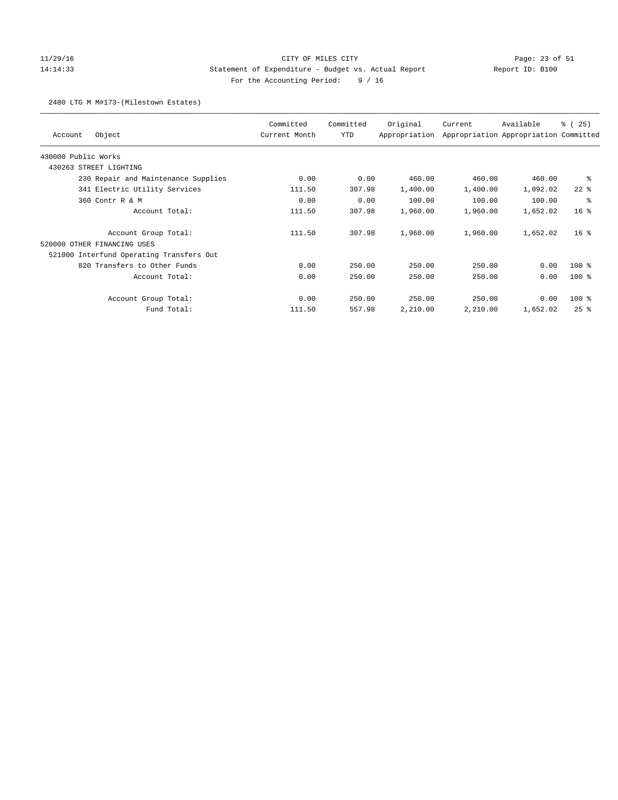# 11/29/16 CITY OF MILES CITY Page: 23 of 51 14:14:33 Statement of Expenditure - Budget vs. Actual Report Report ID: B100 For the Accounting Period: 9 / 16

### 2480 LTG M M#173-(Milestown Estates)

| Object<br>Account                        | Committed<br>Current Month | Committed<br>YTD | Original<br>Appropriation | Current  | Available<br>Appropriation Appropriation Committed | % (25)          |
|------------------------------------------|----------------------------|------------------|---------------------------|----------|----------------------------------------------------|-----------------|
| 430000 Public Works                      |                            |                  |                           |          |                                                    |                 |
| 430263 STREET LIGHTING                   |                            |                  |                           |          |                                                    |                 |
| 230 Repair and Maintenance Supplies      | 0.00                       | 0.00             | 460.00                    | 460.00   | 460.00                                             | နွ              |
| 341 Electric Utility Services            | 111.50                     | 307.98           | 1,400.00                  | 1,400.00 | 1,092.02                                           | $22$ $%$        |
| 360 Contr R & M                          | 0.00                       | 0.00             | 100.00                    | 100.00   | 100.00                                             | る               |
| Account Total:                           | 111.50                     | 307.98           | 1,960.00                  | 1,960.00 | 1,652.02                                           | 16 <sup>8</sup> |
| Account Group Total:                     | 111.50                     | 307.98           | 1,960.00                  | 1,960.00 | 1,652.02                                           | 16 <sup>8</sup> |
| 520000 OTHER FINANCING USES              |                            |                  |                           |          |                                                    |                 |
| 521000 Interfund Operating Transfers Out |                            |                  |                           |          |                                                    |                 |
| 820 Transfers to Other Funds             | 0.00                       | 250.00           | 250.00                    | 250.00   | 0.00                                               | $100$ %         |
| Account Total:                           | 0.00                       | 250.00           | 250.00                    | 250.00   | 0.00                                               | $100$ %         |
| Account Group Total:                     | 0.00                       | 250.00           | 250.00                    | 250.00   | 0.00                                               | $100$ %         |
| Fund Total:                              | 111.50                     | 557.98           | 2,210.00                  | 2,210.00 | 1,652.02                                           | $25$ $%$        |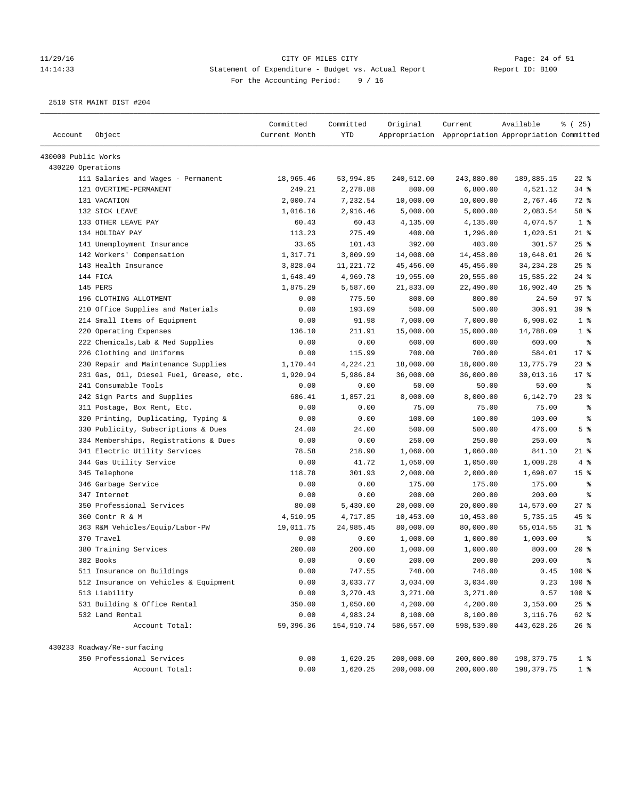# 11/29/16 Page: 24 of 51 14:14:33 Statement of Expenditure - Budget vs. Actual Report Changer Report ID: B100 For the Accounting Period: 9 / 16

| Account             | Object                                        | Committed<br>Current Month | Committed<br><b>YTD</b> | Original             | Current<br>Appropriation Appropriation Appropriation Committed | Available              | % (25)          |
|---------------------|-----------------------------------------------|----------------------------|-------------------------|----------------------|----------------------------------------------------------------|------------------------|-----------------|
| 430000 Public Works |                                               |                            |                         |                      |                                                                |                        |                 |
| 430220 Operations   |                                               |                            |                         |                      |                                                                |                        |                 |
|                     | 111 Salaries and Wages - Permanent            | 18,965.46                  | 53,994.85               | 240,512.00           | 243,880.00                                                     | 189,885.15             | $22$ %          |
|                     | 121 OVERTIME-PERMANENT                        | 249.21                     | 2,278.88                | 800.00               | 6,800.00                                                       | 4,521.12               | $34$ $%$        |
|                     | 131 VACATION                                  | 2,000.74                   | 7,232.54                | 10,000.00            | 10,000.00                                                      | 2,767.46               | 72 %            |
|                     | 132 SICK LEAVE                                | 1,016.16                   | 2,916.46                | 5,000.00             | 5,000.00                                                       | 2,083.54               | 58 %            |
|                     | 133 OTHER LEAVE PAY                           | 60.43                      | 60.43                   | 4,135.00             | 4,135.00                                                       | 4,074.57               | 1 <sup>8</sup>  |
|                     | 134 HOLIDAY PAY                               | 113.23                     | 275.49                  | 400.00               | 1,296.00                                                       | 1,020.51               | $21$ %          |
|                     | 141 Unemployment Insurance                    | 33.65                      | 101.43                  | 392.00               | 403.00                                                         | 301.57                 | 25%             |
|                     | 142 Workers' Compensation                     | 1,317.71                   | 3,809.99                | 14,008.00            | 14,458.00                                                      | 10,648.01              | 26%             |
|                     | 143 Health Insurance                          | 3,828.04                   | 11,221.72               | 45,456.00            | 45,456.00                                                      | 34, 234. 28            | 25%             |
|                     | 144 FICA                                      | 1,648.49                   | 4,969.78                | 19,955.00            | 20,555.00                                                      | 15,585.22              | $24$ %          |
|                     | 145 PERS                                      | 1,875.29                   | 5,587.60                | 21,833.00            | 22,490.00                                                      | 16,902.40              | $25$ %          |
|                     | 196 CLOTHING ALLOTMENT                        | 0.00                       | 775.50                  | 800.00               | 800.00                                                         | 24.50                  | 97%             |
|                     | 210 Office Supplies and Materials             | 0.00                       | 193.09                  | 500.00               | 500.00                                                         | 306.91                 | 39 %            |
|                     | 214 Small Items of Equipment                  | 0.00                       | 91.98                   | 7,000.00             | 7,000.00                                                       | 6,908.02               | 1 <sup>8</sup>  |
|                     | 220 Operating Expenses                        | 136.10                     | 211.91                  | 15,000.00            | 15,000.00                                                      | 14,788.09              | 1 <sup>8</sup>  |
|                     | 222 Chemicals, Lab & Med Supplies             | 0.00                       | 0.00                    | 600.00               | 600.00                                                         | 600.00                 | $\epsilon$      |
|                     | 226 Clothing and Uniforms                     | 0.00                       | 115.99                  | 700.00               | 700.00                                                         | 584.01                 | 17.8            |
|                     | 230 Repair and Maintenance Supplies           | 1,170.44                   | 4,224.21                | 18,000.00            | 18,000.00                                                      | 13,775.79              | $23$ $%$        |
|                     | 231 Gas, Oil, Diesel Fuel, Grease, etc.       | 1,920.94                   | 5,986.84                | 36,000.00            | 36,000.00                                                      | 30,013.16              | $17*$           |
|                     | 241 Consumable Tools                          | 0.00                       | 0.00                    | 50.00                | 50.00                                                          | 50.00                  | နွ              |
|                     | 242 Sign Parts and Supplies                   | 686.41                     | 1,857.21                | 8,000.00             | 8,000.00                                                       | 6,142.79               | $23$ %          |
|                     | 311 Postage, Box Rent, Etc.                   | 0.00                       | 0.00                    | 75.00                | 75.00                                                          | 75.00                  | နွ              |
|                     | 320 Printing, Duplicating, Typing &           | 0.00                       | 0.00                    | 100.00               | 100.00                                                         | 100.00                 | $\epsilon$      |
|                     | 330 Publicity, Subscriptions & Dues           | 24.00                      | 24.00                   | 500.00               | 500.00                                                         | 476.00                 | 5 <sup>8</sup>  |
|                     | 334 Memberships, Registrations & Dues         | 0.00                       | 0.00                    | 250.00               | 250.00                                                         | 250.00                 | နွ              |
|                     | 341 Electric Utility Services                 | 78.58                      | 218.90                  | 1,060.00             | 1,060.00                                                       | 841.10                 | $21$ %          |
|                     | 344 Gas Utility Service                       | 0.00                       | 41.72                   | 1,050.00             | 1,050.00                                                       | 1,008.28               | 4%              |
|                     | 345 Telephone                                 | 118.78                     | 301.93                  | 2,000.00             | 2,000.00                                                       | 1,698.07               | 15 <sup>°</sup> |
|                     | 346 Garbage Service                           | 0.00                       | 0.00                    | 175.00               | 175.00                                                         | 175.00                 | နွ              |
|                     | 347 Internet                                  | 0.00                       | 0.00                    | 200.00               | 200.00                                                         | 200.00                 | နွ              |
|                     | 350 Professional Services                     | 80.00                      | 5,430.00                | 20,000.00            | 20,000.00                                                      | 14,570.00              | $27$ %          |
|                     | 360 Contr R & M                               | 4,510.95                   | 4,717.85                | 10,453.00            | 10,453.00                                                      | 5,735.15               | 45 %            |
|                     | 363 R&M Vehicles/Equip/Labor-PW               | 19,011.75                  | 24,985.45               | 80,000.00            | 80,000.00                                                      | 55,014.55              | $31$ %          |
|                     | 370 Travel                                    | 0.00                       | 0.00                    | 1,000.00             | 1,000.00                                                       | 1,000.00               | $\epsilon$      |
|                     | 380 Training Services                         | 200.00                     | 200.00                  | 1,000.00             | 1,000.00                                                       | 800.00                 | 20%             |
|                     | 382 Books                                     | 0.00                       | 0.00                    | 200.00               | 200.00                                                         | 200.00                 | ま               |
|                     |                                               |                            |                         |                      |                                                                |                        |                 |
|                     | 511 Insurance on Buildings                    | 0.00                       | 747.55                  | 748.00               | 748.00                                                         | 0.45                   | 100 %<br>100 %  |
|                     | 512 Insurance on Vehicles & Equipment         | 0.00                       | 3,033.77                | 3,034.00             | 3,034.00<br>3,271.00                                           | 0.23                   |                 |
|                     | 513 Liability<br>531 Building & Office Rental | 0.00                       | 3,270.43                | 3,271.00             |                                                                | 0.57<br>3,150.00       | 100 %           |
|                     | 532 Land Rental                               | 350.00                     | 1,050.00<br>4,983.24    | 4,200.00<br>8,100.00 | 4,200.00<br>8,100.00                                           |                        | 25%             |
|                     | Account Total:                                | 0.00<br>59,396.36          | 154,910.74              | 586,557.00           | 598,539.00                                                     | 3,116.76<br>443,628.26 | 62 %<br>26%     |
|                     | 430233 Roadway/Re-surfacing                   |                            |                         |                      |                                                                |                        |                 |
|                     | 350 Professional Services                     | 0.00                       | 1,620.25                | 200,000.00           | 200,000.00                                                     | 198,379.75             | 1 <sup>8</sup>  |
|                     | Account Total:                                | 0.00                       | 1,620.25                | 200,000.00           | 200,000.00                                                     | 198,379.75             | 1 <sup>8</sup>  |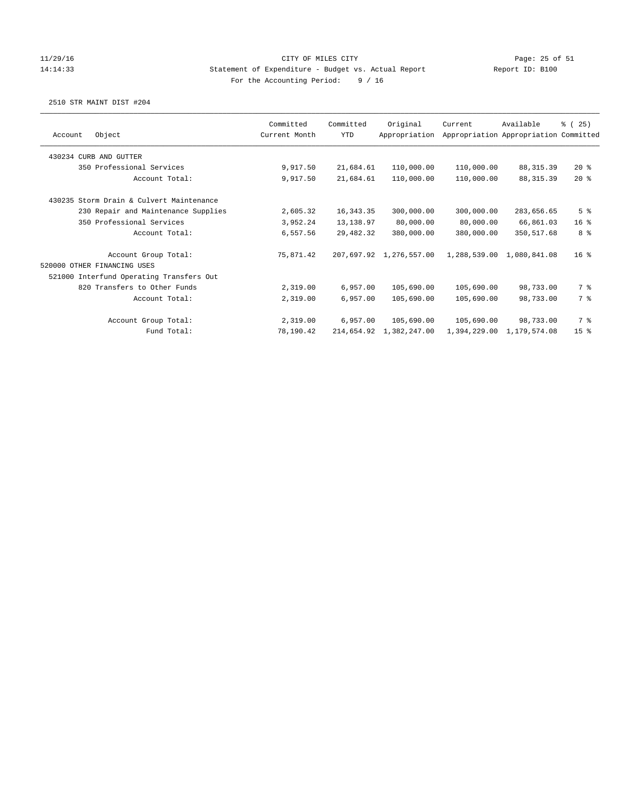### 11/29/16 CITY OF MILES CITY Page: 25 of 51 14:14:33 Statement of Expenditure - Budget vs. Actual Report Report ID: B100 For the Accounting Period: 9 / 16

|                                          | Committed     | Committed  | Original                | Current      | Available                             | % (25)          |
|------------------------------------------|---------------|------------|-------------------------|--------------|---------------------------------------|-----------------|
| Object<br>Account                        | Current Month | <b>YTD</b> | Appropriation           |              | Appropriation Appropriation Committed |                 |
| 430234 CURB AND GUTTER                   |               |            |                         |              |                                       |                 |
| 350 Professional Services                | 9,917.50      | 21,684.61  | 110,000.00              | 110,000.00   | 88, 315.39                            | $20*$           |
| Account Total:                           | 9,917.50      | 21,684.61  | 110,000.00              | 110,000.00   | 88, 315.39                            | $20*$           |
| 430235 Storm Drain & Culvert Maintenance |               |            |                         |              |                                       |                 |
| 230 Repair and Maintenance Supplies      | 2,605.32      | 16, 343.35 | 300,000.00              | 300,000.00   | 283,656.65                            | 5 <sup>8</sup>  |
| 350 Professional Services                | 3,952.24      | 13,138.97  | 80,000.00               | 80,000.00    | 66,861.03                             | 16 <sup>8</sup> |
| Account Total:                           | 6,557.56      | 29,482.32  | 380,000.00              | 380,000.00   | 350, 517.68                           | 8 %             |
| Account Group Total:                     | 75,871.42     |            | 207,697.92 1,276,557.00 |              | 1,288,539.00 1,080,841.08             | 16 <sup>8</sup> |
| 520000 OTHER FINANCING USES              |               |            |                         |              |                                       |                 |
| 521000 Interfund Operating Transfers Out |               |            |                         |              |                                       |                 |
| 820 Transfers to Other Funds             | 2,319.00      | 6,957.00   | 105,690.00              | 105,690.00   | 98,733.00                             | 7 %             |
| Account Total:                           | 2,319.00      | 6,957.00   | 105,690.00              | 105,690.00   | 98,733.00                             | 7 %             |
| Account Group Total:                     | 2,319.00      | 6,957.00   | 105,690.00              | 105,690.00   | 98,733.00                             | 7 %             |
| Fund Total:                              | 78,190.42     | 214,654.92 | 1,382,247.00            | 1,394,229.00 | 1,179,574.08                          | 15 <sup>°</sup> |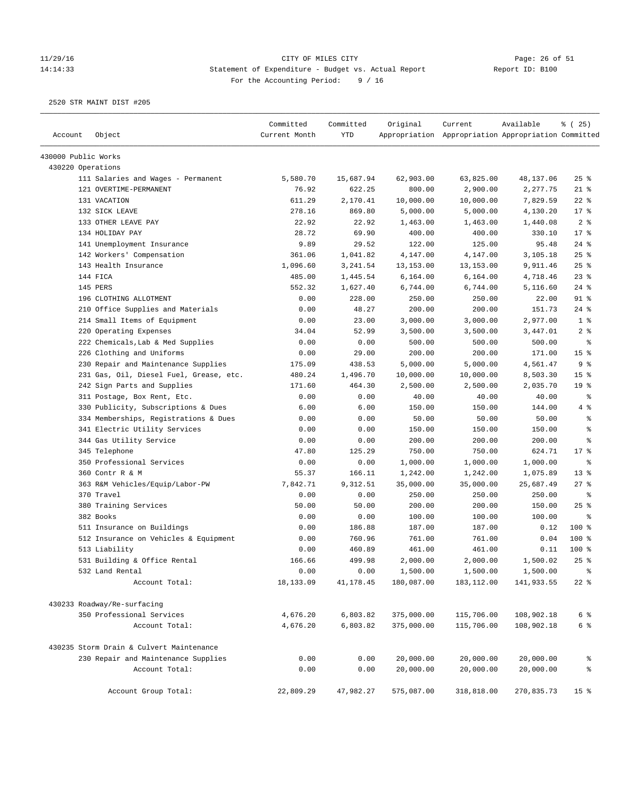# 11/29/16 Page: 26 of 51 14:14:33 Statement of Expenditure - Budget vs. Actual Report Changer Report ID: B100 For the Accounting Period: 9 / 16

|                     |                                          | Committed     | Committed   | Original   | Current                                             | Available  | % (25)          |
|---------------------|------------------------------------------|---------------|-------------|------------|-----------------------------------------------------|------------|-----------------|
| Account             | Object                                   | Current Month | <b>YTD</b>  |            | Appropriation Appropriation Appropriation Committed |            |                 |
| 430000 Public Works |                                          |               |             |            |                                                     |            |                 |
| 430220 Operations   |                                          |               |             |            |                                                     |            |                 |
|                     | 111 Salaries and Wages - Permanent       | 5,580.70      | 15,687.94   | 62,903.00  | 63,825.00                                           | 48,137.06  | $25$ %          |
|                     | 121 OVERTIME-PERMANENT                   | 76.92         | 622.25      | 800.00     | 2,900.00                                            | 2,277.75   | $21$ %          |
|                     | 131 VACATION                             | 611.29        | 2,170.41    | 10,000.00  | 10,000.00                                           | 7,829.59   | $22$ %          |
|                     | 132 SICK LEAVE                           | 278.16        | 869.80      | 5,000.00   | 5,000.00                                            | 4,130.20   | $17$ %          |
|                     | 133 OTHER LEAVE PAY                      | 22.92         | 22.92       | 1,463.00   | 1,463.00                                            | 1,440.08   | 2 <sub>8</sub>  |
|                     | 134 HOLIDAY PAY                          | 28.72         | 69.90       | 400.00     | 400.00                                              | 330.10     | 17.8            |
|                     | 141 Unemployment Insurance               | 9.89          | 29.52       | 122.00     | 125.00                                              | 95.48      | $24$ %          |
|                     | 142 Workers' Compensation                | 361.06        | 1,041.82    | 4,147.00   | 4,147.00                                            | 3,105.18   | 25%             |
|                     | 143 Health Insurance                     | 1,096.60      | 3,241.54    | 13, 153.00 | 13,153.00                                           | 9,911.46   | 25%             |
|                     | 144 FICA                                 | 485.00        | 1,445.54    | 6,164.00   | 6,164.00                                            | 4,718.46   | 23%             |
|                     | 145 PERS                                 | 552.32        | 1,627.40    | 6,744.00   | 6,744.00                                            | 5,116.60   | $24$ %          |
|                     | 196 CLOTHING ALLOTMENT                   | 0.00          | 228.00      | 250.00     | 250.00                                              | 22.00      | $91$ %          |
|                     | 210 Office Supplies and Materials        | 0.00          | 48.27       | 200.00     | 200.00                                              | 151.73     | 24%             |
|                     | 214 Small Items of Equipment             | 0.00          | 23.00       | 3,000.00   | 3,000.00                                            | 2,977.00   | 1 <sup>8</sup>  |
|                     | 220 Operating Expenses                   | 34.04         | 52.99       | 3,500.00   | 3,500.00                                            | 3,447.01   | 2 <sup>8</sup>  |
|                     | 222 Chemicals, Lab & Med Supplies        | 0.00          | 0.00        | 500.00     | 500.00                                              | 500.00     | る               |
|                     | 226 Clothing and Uniforms                | 0.00          | 29.00       | 200.00     | 200.00                                              | 171.00     | 15 <sup>°</sup> |
|                     | 230 Repair and Maintenance Supplies      | 175.09        | 438.53      | 5,000.00   | 5,000.00                                            | 4,561.47   | 9 <sup>8</sup>  |
|                     | 231 Gas, Oil, Diesel Fuel, Grease, etc.  | 480.24        | 1,496.70    | 10,000.00  | 10,000.00                                           | 8,503.30   | 15 %            |
|                     | 242 Sign Parts and Supplies              | 171.60        | 464.30      | 2,500.00   | 2,500.00                                            | 2,035.70   | 19 <sup>°</sup> |
|                     | 311 Postage, Box Rent, Etc.              | 0.00          | 0.00        | 40.00      | 40.00                                               | 40.00      | နွ              |
|                     | 330 Publicity, Subscriptions & Dues      | 6.00          | 6.00        | 150.00     | 150.00                                              | 144.00     | 4%              |
|                     | 334 Memberships, Registrations & Dues    | 0.00          | 0.00        | 50.00      | 50.00                                               | 50.00      | $\,$ $\,$ $\,$  |
|                     | 341 Electric Utility Services            | 0.00          | 0.00        | 150.00     | 150.00                                              | 150.00     | $\epsilon$      |
|                     | 344 Gas Utility Service                  | 0.00          | 0.00        | 200.00     | 200.00                                              | 200.00     | နွ              |
|                     | 345 Telephone                            | 47.80         | 125.29      | 750.00     | 750.00                                              | 624.71     | $17*$           |
|                     | 350 Professional Services                | 0.00          | 0.00        | 1,000.00   | 1,000.00                                            | 1,000.00   | ి               |
|                     | 360 Contr R & M                          | 55.37         | 166.11      | 1,242.00   | 1,242.00                                            | 1,075.89   | $13*$           |
|                     | 363 R&M Vehicles/Equip/Labor-PW          | 7,842.71      | 9,312.51    | 35,000.00  | 35,000.00                                           | 25,687.49  | $27$ %          |
|                     | 370 Travel                               | 0.00          | 0.00        | 250.00     | 250.00                                              | 250.00     | ႜ               |
|                     | 380 Training Services                    | 50.00         | 50.00       | 200.00     | 200.00                                              | 150.00     | $25$ %          |
|                     | 382 Books                                | 0.00          | 0.00        | 100.00     | 100.00                                              | 100.00     | နွ              |
|                     | 511 Insurance on Buildings               | 0.00          | 186.88      | 187.00     | 187.00                                              | 0.12       | 100 %           |
|                     | 512 Insurance on Vehicles & Equipment    | 0.00          | 760.96      | 761.00     | 761.00                                              | 0.04       | 100 %           |
|                     | 513 Liability                            | 0.00          | 460.89      | 461.00     | 461.00                                              | 0.11       | $100$ %         |
|                     | 531 Building & Office Rental             | 166.66        | 499.98      | 2,000.00   | 2,000.00                                            | 1,500.02   | 25%             |
|                     | 532 Land Rental                          | 0.00          | 0.00        | 1,500.00   | 1,500.00                                            | 1,500.00   | $\,$ $\,$ $\,$  |
|                     | Account Total:                           | 18, 133.09    | 41, 178. 45 | 180,087.00 | 183, 112.00                                         | 141,933.55 | $22$ %          |
|                     |                                          |               |             |            |                                                     |            |                 |
|                     | 430233 Roadway/Re-surfacing              |               |             |            |                                                     |            |                 |
|                     | 350 Professional Services                | 4,676.20      | 6,803.82    | 375,000.00 | 115,706.00                                          | 108,902.18 | 6 <sup>8</sup>  |
|                     | Account Total:                           | 4,676.20      | 6,803.82    | 375,000.00 | 115,706.00                                          | 108,902.18 | 6 %             |
|                     | 430235 Storm Drain & Culvert Maintenance |               |             |            |                                                     |            |                 |
|                     | 230 Repair and Maintenance Supplies      | 0.00          | 0.00        | 20,000.00  | 20,000.00                                           | 20,000.00  | ိစ              |
|                     | Account Total:                           | 0.00          | 0.00        | 20,000.00  | 20,000.00                                           | 20,000.00  | နွ              |
|                     | Account Group Total:                     | 22,809.29     | 47,982.27   | 575,087.00 | 318,818.00                                          | 270,835.73 | 15 <sup>8</sup> |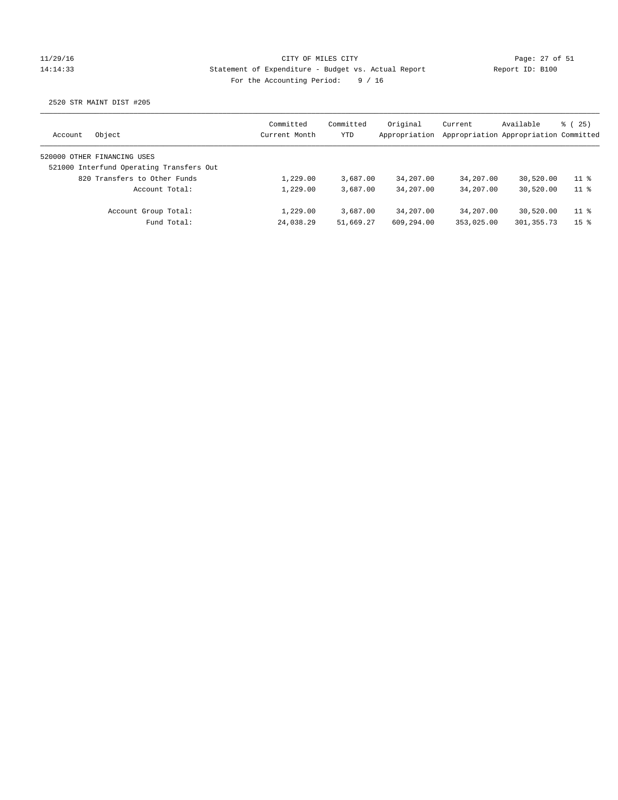### 11/29/16 CITY OF MILES CITY Page: 27 of 51 14:14:33 Statement of Expenditure - Budget vs. Actual Report Report ID: B100 For the Accounting Period: 9 / 16

| Object<br>Account                        | Committed<br>Current Month | Committed<br>YTD | Original<br>Appropriation | Current    | Available<br>Appropriation Appropriation Committed | 8 (25)          |
|------------------------------------------|----------------------------|------------------|---------------------------|------------|----------------------------------------------------|-----------------|
| 520000 OTHER FINANCING USES              |                            |                  |                           |            |                                                    |                 |
| 521000 Interfund Operating Transfers Out |                            |                  |                           |            |                                                    |                 |
| 820 Transfers to Other Funds             | 1,229.00                   | 3,687.00         | 34,207.00                 | 34,207.00  | 30,520.00                                          | $11$ %          |
| Account Total:                           | 1,229.00                   | 3,687.00         | 34,207.00                 | 34,207.00  | 30,520.00                                          | 11 <sup>8</sup> |
| Account Group Total:                     | 1,229.00                   | 3,687.00         | 34,207.00                 | 34,207.00  | 30,520.00                                          | $11$ %          |
| Fund Total:                              | 24,038.29                  | 51,669.27        | 609,294.00                | 353,025.00 | 301, 355.73                                        | 15 <sup>8</sup> |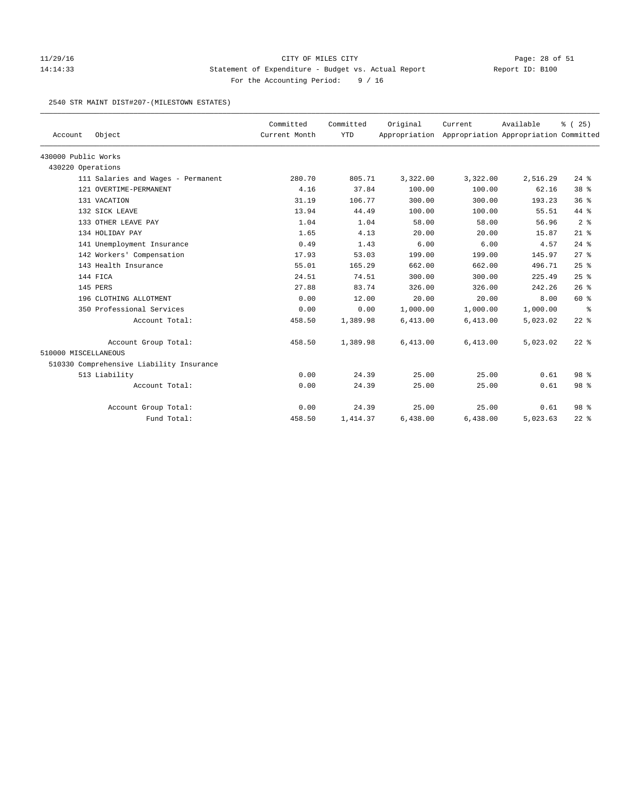### 11/29/16 CITY OF MILES CITY Page: 28 of 51 14:14:33 Statement of Expenditure - Budget vs. Actual Report Report ID: B100 For the Accounting Period: 9 / 16

#### 2540 STR MAINT DIST#207-(MILESTOWN ESTATES)

| Account              | Object                                   | Committed<br>Current Month | Committed<br><b>YTD</b> | Original | Current<br>Appropriation Appropriation Appropriation Committed | Available | % (25)          |
|----------------------|------------------------------------------|----------------------------|-------------------------|----------|----------------------------------------------------------------|-----------|-----------------|
|                      |                                          |                            |                         |          |                                                                |           |                 |
| 430000 Public Works  |                                          |                            |                         |          |                                                                |           |                 |
| 430220 Operations    |                                          |                            |                         |          |                                                                |           |                 |
|                      | 111 Salaries and Wages - Permanent       | 280.70                     | 805.71                  | 3,322.00 | 3,322.00                                                       | 2,516.29  | $24$ %          |
|                      | 121 OVERTIME-PERMANENT                   | 4.16                       | 37.84                   | 100.00   | 100.00                                                         | 62.16     | 38 %            |
|                      | 131 VACATION                             | 31.19                      | 106.77                  | 300.00   | 300.00                                                         | 193.23    | 36%             |
|                      | 132 SICK LEAVE                           | 13.94                      | 44.49                   | 100.00   | 100.00                                                         | 55.51     | 44 %            |
|                      | 133 OTHER LEAVE PAY                      | 1.04                       | 1.04                    | 58.00    | 58.00                                                          | 56.96     | 2 <sup>8</sup>  |
|                      | 134 HOLIDAY PAY                          | 1.65                       | 4.13                    | 20.00    | 20.00                                                          | 15.87     | $21$ %          |
|                      | 141 Unemployment Insurance               | 0.49                       | 1.43                    | 6.00     | 6.00                                                           | 4.57      | $24$ %          |
|                      | 142 Workers' Compensation                | 17.93                      | 53.03                   | 199.00   | 199.00                                                         | 145.97    | $27$ $%$        |
|                      | 143 Health Insurance                     | 55.01                      | 165.29                  | 662.00   | 662.00                                                         | 496.71    | 25%             |
|                      | 144 FICA                                 | 24.51                      | 74.51                   | 300.00   | 300.00                                                         | 225.49    | 25%             |
|                      | 145 PERS                                 | 27.88                      | 83.74                   | 326.00   | 326.00                                                         | 242.26    | 26%             |
|                      | 196 CLOTHING ALLOTMENT                   | 0.00                       | 12.00                   | 20.00    | 20.00                                                          | 8.00      | 60 %            |
|                      | 350 Professional Services                | 0.00                       | 0.00                    | 1,000.00 | 1,000.00                                                       | 1,000.00  | နွ              |
|                      | Account Total:                           | 458.50                     | 1,389.98                | 6,413.00 | 6,413.00                                                       | 5,023.02  | $22$ %          |
|                      | Account Group Total:                     | 458.50                     | 1,389.98                | 6,413.00 | 6,413.00                                                       | 5,023.02  | $22$ %          |
| 510000 MISCELLANEOUS |                                          |                            |                         |          |                                                                |           |                 |
|                      | 510330 Comprehensive Liability Insurance |                            |                         |          |                                                                |           |                 |
|                      | 513 Liability                            | 0.00                       | 24.39                   | 25.00    | 25.00                                                          | 0.61      | 98 <sup>8</sup> |
|                      | Account Total:                           | 0.00                       | 24.39                   | 25.00    | 25.00                                                          | 0.61      | 98 %            |
|                      | Account Group Total:                     | 0.00                       | 24.39                   | 25.00    | 25.00                                                          | 0.61      | 98 <sup>8</sup> |
|                      | Fund Total:                              | 458.50                     | 1,414.37                | 6,438.00 | 6,438.00                                                       | 5,023.63  | $22$ %          |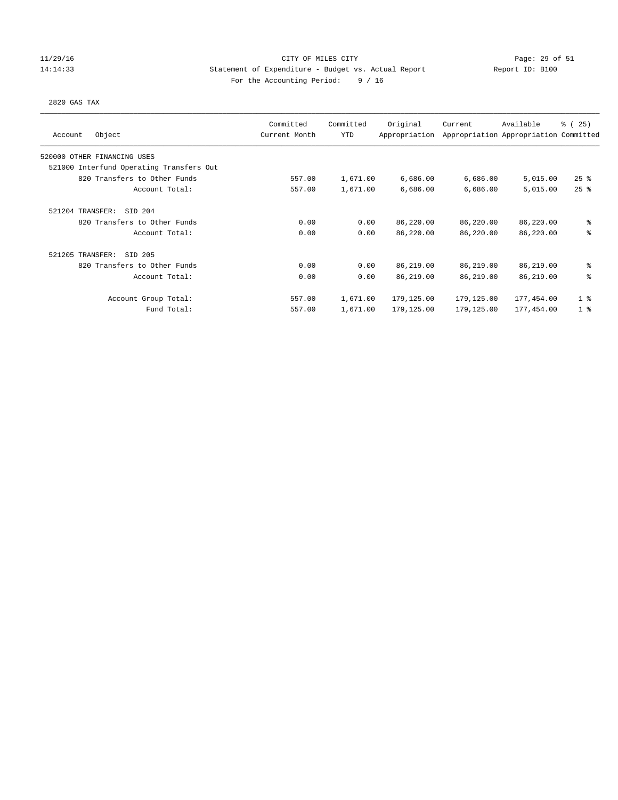### 11/29/16 CITY OF MILES CITY Page: 29 of 51 14:14:33 Statement of Expenditure - Budget vs. Actual Report Report ID: B100 For the Accounting Period: 9 / 16

#### 2820 GAS TAX

| Object<br>Account                        | Committed<br>Current Month | Committed<br><b>YTD</b> | Original<br>Appropriation | Current    | Available<br>Appropriation Appropriation Committed | % (25)         |
|------------------------------------------|----------------------------|-------------------------|---------------------------|------------|----------------------------------------------------|----------------|
| 520000 OTHER FINANCING USES              |                            |                         |                           |            |                                                    |                |
| 521000 Interfund Operating Transfers Out |                            |                         |                           |            |                                                    |                |
| 820 Transfers to Other Funds             | 557.00                     | 1,671.00                | 6,686.00                  | 6,686.00   | 5,015.00                                           | $25$ %         |
| Account Total:                           | 557.00                     | 1,671.00                | 6,686.00                  | 6,686.00   | 5,015.00                                           | 25%            |
| 521204 TRANSFER:<br>SID 204              |                            |                         |                           |            |                                                    |                |
| 820 Transfers to Other Funds             | 0.00                       | 0.00                    | 86,220.00                 | 86,220.00  | 86,220.00                                          | ి              |
| Account Total:                           | 0.00                       | 0.00                    | 86,220.00                 | 86,220.00  | 86,220.00                                          | ి              |
| 521205 TRANSFER:<br>SID 205              |                            |                         |                           |            |                                                    |                |
| 820 Transfers to Other Funds             | 0.00                       | 0.00                    | 86,219.00                 | 86,219.00  | 86,219.00                                          | ႜ              |
| Account Total:                           | 0.00                       | 0.00                    | 86,219.00                 | 86,219.00  | 86,219.00                                          | 昙              |
| Account Group Total:                     | 557.00                     | 1,671.00                | 179,125.00                | 179,125.00 | 177,454.00                                         | 1 <sup>8</sup> |
| Fund Total:                              | 557.00                     | 1,671.00                | 179,125.00                | 179,125.00 | 177,454.00                                         | 1 <sup>8</sup> |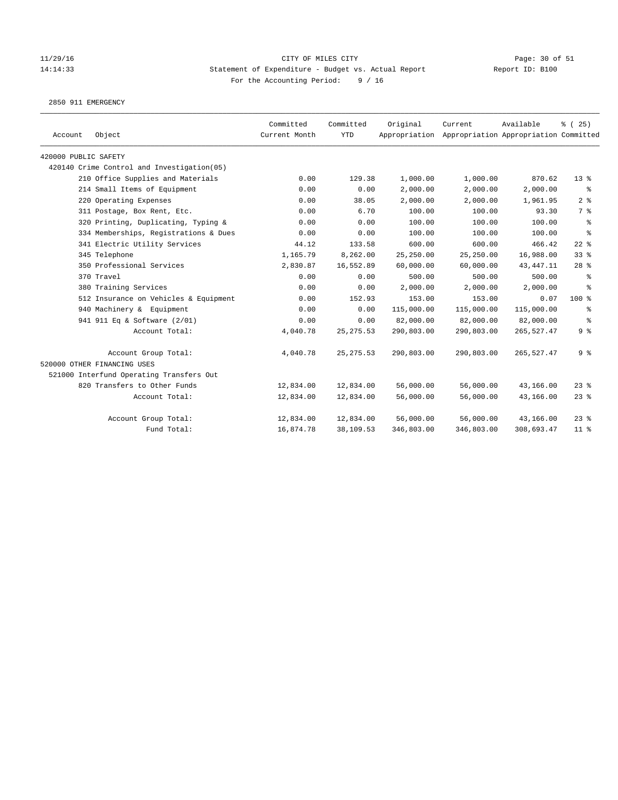### 11/29/16 CITY OF MILES CITY Page: 30 of 51 14:14:33 Statement of Expenditure - Budget vs. Actual Report Report ID: B100 For the Accounting Period: 9 / 16

2850 911 EMERGENCY

| Account              | Object                                     | Committed<br>Current Month | Committed<br><b>YTD</b> | Original   | Current<br>Appropriation Appropriation Appropriation Committed | Available   | % (25)          |
|----------------------|--------------------------------------------|----------------------------|-------------------------|------------|----------------------------------------------------------------|-------------|-----------------|
| 420000 PUBLIC SAFETY |                                            |                            |                         |            |                                                                |             |                 |
|                      | 420140 Crime Control and Investigation(05) |                            |                         |            |                                                                |             |                 |
|                      | 210 Office Supplies and Materials          | 0.00                       | 129.38                  | 1,000.00   | 1,000.00                                                       | 870.62      | $13*$           |
|                      | 214 Small Items of Equipment               | 0.00                       | 0.00                    | 2,000.00   | 2,000.00                                                       | 2,000.00    | ႜ               |
|                      | 220 Operating Expenses                     | 0.00                       | 38.05                   | 2,000.00   | 2,000.00                                                       | 1,961.95    | 2 <sup>8</sup>  |
|                      | 311 Postage, Box Rent, Etc.                | 0.00                       | 6.70                    | 100.00     | 100.00                                                         | 93.30       | 7 %             |
|                      | 320 Printing, Duplicating, Typing &        | 0.00                       | 0.00                    | 100.00     | 100.00                                                         | 100.00      | နွ              |
|                      | 334 Memberships, Registrations & Dues      | 0.00                       | 0.00                    | 100.00     | 100.00                                                         | 100.00      | နွ              |
|                      | 341 Electric Utility Services              | 44.12                      | 133.58                  | 600.00     | 600.00                                                         | 466.42      | $22$ $%$        |
|                      | 345 Telephone                              | 1,165.79                   | 8,262.00                | 25,250.00  | 25,250.00                                                      | 16,988.00   | 33%             |
|                      | 350 Professional Services                  | 2,830.87                   | 16,552.89               | 60,000.00  | 60,000.00                                                      | 43, 447. 11 | $28$ %          |
|                      | 370 Travel                                 | 0.00                       | 0.00                    | 500.00     | 500.00                                                         | 500.00      | ႜ               |
|                      | 380 Training Services                      | 0.00                       | 0.00                    | 2,000.00   | 2,000.00                                                       | 2,000.00    | နွ              |
|                      | 512 Insurance on Vehicles & Equipment      | 0.00                       | 152.93                  | 153.00     | 153.00                                                         | 0.07        | 100 %           |
|                      | 940 Machinery & Equipment                  | 0.00                       | 0.00                    | 115,000.00 | 115,000.00                                                     | 115,000.00  | နွ              |
|                      | 941 911 Eq & Software (2/01)               | 0.00                       | 0.00                    | 82,000.00  | 82,000.00                                                      | 82,000.00   | နွ              |
|                      | Account Total:                             | 4,040.78                   | 25, 275.53              | 290,803.00 | 290,803.00                                                     | 265,527.47  | 9%              |
|                      | Account Group Total:                       | 4,040.78                   | 25, 275.53              | 290,803.00 | 290,803.00                                                     | 265,527.47  | 9%              |
|                      | 520000 OTHER FINANCING USES                |                            |                         |            |                                                                |             |                 |
|                      | 521000 Interfund Operating Transfers Out   |                            |                         |            |                                                                |             |                 |
|                      | 820 Transfers to Other Funds               | 12,834.00                  | 12,834.00               | 56,000.00  | 56,000.00                                                      | 43,166.00   | $23$ %          |
|                      | Account Total:                             | 12,834.00                  | 12,834.00               | 56,000.00  | 56,000.00                                                      | 43,166.00   | $23$ %          |
|                      | Account Group Total:                       | 12,834.00                  | 12,834.00               | 56,000.00  | 56,000.00                                                      | 43,166.00   | $23$ %          |
|                      | Fund Total:                                | 16,874.78                  | 38,109.53               | 346,803.00 | 346,803.00                                                     | 308,693.47  | 11 <sup>8</sup> |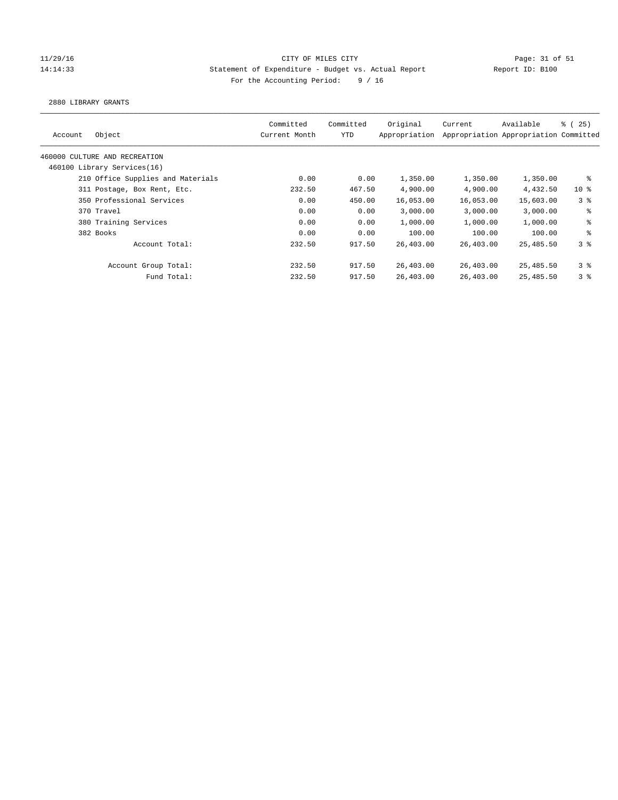### 11/29/16 CITY OF MILES CITY Page: 31 of 51 14:14:33 Statement of Expenditure - Budget vs. Actual Report Report ID: B100 For the Accounting Period: 9 / 16

2880 LIBRARY GRANTS

| Object<br>Account                 | Committed<br>Current Month | Committed<br>YTD | Original<br>Appropriation | Current   | Available<br>Appropriation Appropriation Committed | $\frac{3}{2}$ ( 25 ) |
|-----------------------------------|----------------------------|------------------|---------------------------|-----------|----------------------------------------------------|----------------------|
| 460000 CULTURE AND RECREATION     |                            |                  |                           |           |                                                    |                      |
| 460100 Library Services(16)       |                            |                  |                           |           |                                                    |                      |
| 210 Office Supplies and Materials | 0.00                       | 0.00             | 1,350.00                  | 1,350.00  | 1,350.00                                           | ႜ                    |
| 311 Postage, Box Rent, Etc.       | 232.50                     | 467.50           | 4,900.00                  | 4,900.00  | 4,432.50                                           | $10*$                |
| 350 Professional Services         | 0.00                       | 450.00           | 16,053.00                 | 16,053.00 | 15,603.00                                          | 3 <sup>8</sup>       |
| 370 Travel                        | 0.00                       | 0.00             | 3,000.00                  | 3.000.00  | 3.000.00                                           | ి                    |
| 380 Training Services             | 0.00                       | 0.00             | 1,000.00                  | 1,000.00  | 1,000.00                                           | ి                    |
| 382 Books                         | 0.00                       | 0.00             | 100.00                    | 100.00    | 100.00                                             | ి                    |
| Account Total:                    | 232.50                     | 917.50           | 26,403.00                 | 26,403.00 | 25,485.50                                          | 3%                   |
| Account Group Total:              | 232.50                     | 917.50           | 26,403.00                 | 26,403.00 | 25,485.50                                          | 3 <sup>8</sup>       |
| Fund Total:                       | 232.50                     | 917.50           | 26,403.00                 | 26,403.00 | 25,485.50                                          | 38                   |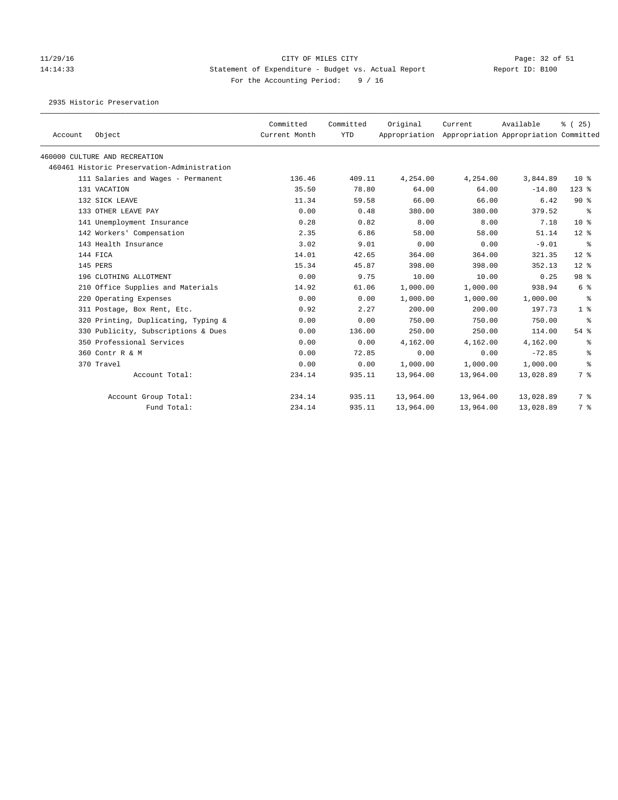# 11/29/16 Page: 32 of 51 14:14:33 Statement of Expenditure - Budget vs. Actual Report Report ID: B100 For the Accounting Period: 9 / 16

2935 Historic Preservation

| Account | Object                                      | Committed<br>Current Month | Committed<br><b>YTD</b> | Original<br>Appropriation | Current   | Available<br>Appropriation Appropriation Committed | % (25)          |
|---------|---------------------------------------------|----------------------------|-------------------------|---------------------------|-----------|----------------------------------------------------|-----------------|
|         | 460000 CULTURE AND RECREATION               |                            |                         |                           |           |                                                    |                 |
|         | 460461 Historic Preservation-Administration |                            |                         |                           |           |                                                    |                 |
|         | 111 Salaries and Wages - Permanent          | 136.46                     | 409.11                  | 4,254.00                  | 4,254.00  | 3,844.89                                           | 10 <sup>8</sup> |
|         | 131 VACATION                                | 35.50                      | 78.80                   | 64.00                     | 64.00     | $-14.80$                                           | $123$ $%$       |
|         | 132 SICK LEAVE                              | 11.34                      | 59.58                   | 66.00                     | 66.00     | 6.42                                               | 90%             |
|         | 133 OTHER LEAVE PAY                         | 0.00                       | 0.48                    | 380.00                    | 380.00    | 379.52                                             | ႜ               |
|         | 141 Unemployment Insurance                  | 0.28                       | 0.82                    | 8.00                      | 8.00      | 7.18                                               | 10 <sup>8</sup> |
|         | 142 Workers' Compensation                   | 2.35                       | 6.86                    | 58.00                     | 58.00     | 51.14                                              | $12*$           |
|         | 143 Health Insurance                        | 3.02                       | 9.01                    | 0.00                      | 0.00      | $-9.01$                                            | ႜ               |
|         | 144 FICA                                    | 14.01                      | 42.65                   | 364.00                    | 364.00    | 321.35                                             | $12*$           |
|         | 145 PERS                                    | 15.34                      | 45.87                   | 398.00                    | 398.00    | 352.13                                             | $12*$           |
|         | 196 CLOTHING ALLOTMENT                      | 0.00                       | 9.75                    | 10.00                     | 10.00     | 0.25                                               | 98 %            |
|         | 210 Office Supplies and Materials           | 14.92                      | 61.06                   | 1,000.00                  | 1,000.00  | 938.94                                             | 6 %             |
|         | 220 Operating Expenses                      | 0.00                       | 0.00                    | 1,000.00                  | 1,000.00  | 1,000.00                                           | ႜ               |
|         | 311 Postage, Box Rent, Etc.                 | 0.92                       | 2.27                    | 200.00                    | 200.00    | 197.73                                             | 1 <sup>8</sup>  |
|         | 320 Printing, Duplicating, Typing &         | 0.00                       | 0.00                    | 750.00                    | 750.00    | 750.00                                             | ႜ               |
|         | 330 Publicity, Subscriptions & Dues         | 0.00                       | 136.00                  | 250.00                    | 250.00    | 114.00                                             | $54$ %          |
|         | 350 Professional Services                   | 0.00                       | 0.00                    | 4,162.00                  | 4,162.00  | 4,162.00                                           | နွ              |
|         | 360 Contr R & M                             | 0.00                       | 72.85                   | 0.00                      | 0.00      | $-72.85$                                           | ి               |
|         | 370 Travel                                  | 0.00                       | 0.00                    | 1,000.00                  | 1,000.00  | 1,000.00                                           | ႜ               |
|         | Account Total:                              | 234.14                     | 935.11                  | 13,964.00                 | 13,964.00 | 13,028.89                                          | 7 %             |
|         | Account Group Total:                        | 234.14                     | 935.11                  | 13,964.00                 | 13,964.00 | 13,028.89                                          | 7 %             |
|         | Fund Total:                                 | 234.14                     | 935.11                  | 13,964.00                 | 13,964.00 | 13,028.89                                          | 7 %             |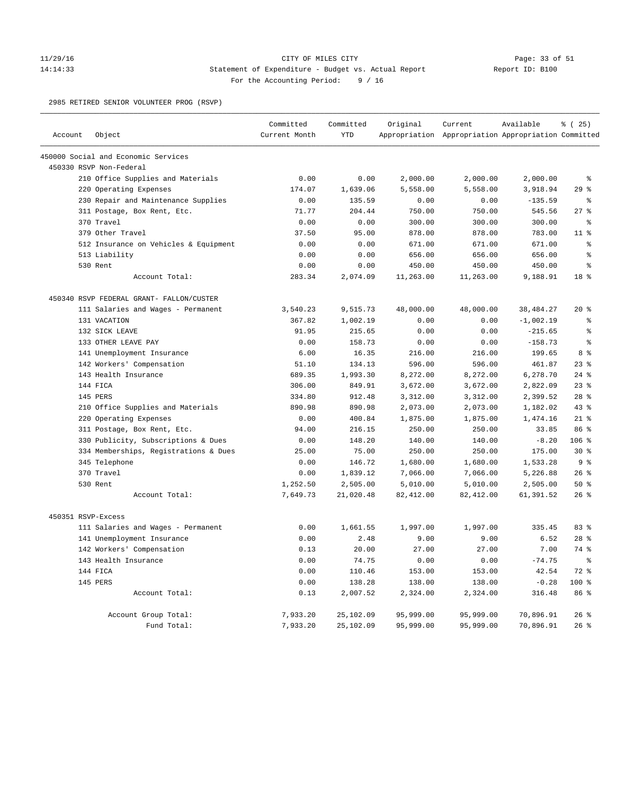### 11/29/16 CITY OF MILES CITY Page: 33 of 51 14:14:33 Statement of Expenditure - Budget vs. Actual Report Report ID: B100 For the Accounting Period: 9 / 16

2985 RETIRED SENIOR VOLUNTEER PROG (RSVP)

| Account<br>Object<br><b>YTD</b><br>Appropriation Appropriation Appropriation Committed<br>Current Month<br>450000 Social and Economic Services<br>450330 RSVP Non-Federal<br>210 Office Supplies and Materials<br>0.00<br>0.00<br>2,000.00<br>2,000.00<br>2,000.00<br>$\epsilon$<br>220 Operating Expenses<br>29%<br>174.07<br>1,639.06<br>5,558.00<br>5,558.00<br>3,918.94<br>230 Repair and Maintenance Supplies<br>0.00<br>135.59<br>0.00<br>0.00<br>$-135.59$<br>နွ<br>27%<br>311 Postage, Box Rent, Etc.<br>71.77<br>204.44<br>750.00<br>750.00<br>545.56<br>370 Travel<br>0.00<br>0.00<br>300.00<br>300.00<br>300.00<br>$\epsilon$<br>379 Other Travel<br>37.50<br>95.00<br>878.00<br>878.00<br>783.00<br>11 <sup>8</sup><br>512 Insurance on Vehicles & Equipment<br>0.00<br>0.00<br>671.00<br>671.00<br>671.00<br>g<br>$\approx$<br>513 Liability<br>0.00<br>0.00<br>656.00<br>656.00<br>656.00<br>530 Rent<br>450.00<br>$\epsilon$<br>0.00<br>0.00<br>450.00<br>450.00<br>2,074.09<br>11,263.00<br>11,263.00<br>18 <sup>8</sup><br>Account Total:<br>283.34<br>9,188.91<br>450340 RSVP FEDERAL GRANT- FALLON/CUSTER<br>111 Salaries and Wages - Permanent<br>3,540.23<br>9,515.73<br>48,000.00<br>48,000.00<br>38,484.27<br>$20*$<br>131 VACATION<br>367.82<br>1,002.19<br>0.00<br>0.00<br>$-1,002.19$<br>ి<br>0.00<br>0.00<br>$\epsilon$<br>132 SICK LEAVE<br>91.95<br>215.65<br>$-215.65$<br>0.00<br>0.00<br>133 OTHER LEAVE PAY<br>0.00<br>158.73<br>$-158.73$<br>$\approx$<br>216.00<br>216.00<br>8 <sup>8</sup><br>141 Unemployment Insurance<br>6.00<br>16.35<br>199.65<br>51.10<br>134.13<br>596.00<br>596.00<br>461.87<br>$23$ %<br>142 Workers' Compensation<br>143 Health Insurance<br>689.35<br>1,993.30<br>8,272.00<br>8,272.00<br>6,278.70<br>$24$ %<br>144 FICA<br>306.00<br>849.91<br>3,672.00<br>3,672.00<br>2,822.09<br>23%<br>145 PERS<br>334.80<br>912.48<br>3,312.00<br>2,399.52<br>$28$ %<br>3,312.00<br>43%<br>210 Office Supplies and Materials<br>890.98<br>890.98<br>2,073.00<br>2,073.00<br>1,182.02<br>220 Operating Expenses<br>$21$ %<br>0.00<br>400.84<br>1,875.00<br>1,875.00<br>1,474.16<br>86 %<br>311 Postage, Box Rent, Etc.<br>94.00<br>216.15<br>250.00<br>250.00<br>33.85<br>106 %<br>330 Publicity, Subscriptions & Dues<br>0.00<br>148.20<br>140.00<br>140.00<br>$-8.20$<br>250.00<br>250.00<br>$30*$<br>334 Memberships, Registrations & Dues<br>25.00<br>75.00<br>175.00<br>345 Telephone<br>0.00<br>146.72<br>1,680.00<br>1,680.00<br>1,533.28<br>9%<br>370 Travel<br>0.00<br>1,839.12<br>7,066.00<br>5,226.88<br>26%<br>7,066.00<br>530 Rent<br>1,252.50<br>2,505.00<br>5,010.00<br>5,010.00<br>2,505.00<br>50%<br>Account Total:<br>7,649.73<br>21,020.48<br>82,412.00<br>82, 412.00<br>61,391.52<br>$26$ $%$<br>450351 RSVP-Excess<br>111 Salaries and Wages - Permanent<br>1,997.00<br>335.45<br>83 %<br>0.00<br>1,661.55<br>1,997.00<br>141 Unemployment Insurance<br>0.00<br>2.48<br>9.00<br>9.00<br>6.52<br>$28$ %<br>20.00<br>27.00<br>7.00<br>74 %<br>142 Workers' Compensation<br>0.13<br>27.00<br>143 Health Insurance<br>0.00<br>74.75<br>0.00<br>0.00<br>$-74.75$<br>န့<br>144 FICA<br>0.00<br>110.46<br>153.00<br>153.00<br>42.54<br>72 %<br>100%<br>145 PERS<br>0.00<br>138.28<br>138.00<br>138.00<br>$-0.28$<br>86 %<br>0.13<br>2,007.52<br>2,324.00<br>2,324.00<br>316.48<br>Account Total:<br>7,933.20<br>25,102.09<br>95,999.00<br>95,999.00<br>70,896.91<br>$26$ %<br>Account Group Total: |             | Committed | Committed | Original  | Current   | Available | % (25) |
|--------------------------------------------------------------------------------------------------------------------------------------------------------------------------------------------------------------------------------------------------------------------------------------------------------------------------------------------------------------------------------------------------------------------------------------------------------------------------------------------------------------------------------------------------------------------------------------------------------------------------------------------------------------------------------------------------------------------------------------------------------------------------------------------------------------------------------------------------------------------------------------------------------------------------------------------------------------------------------------------------------------------------------------------------------------------------------------------------------------------------------------------------------------------------------------------------------------------------------------------------------------------------------------------------------------------------------------------------------------------------------------------------------------------------------------------------------------------------------------------------------------------------------------------------------------------------------------------------------------------------------------------------------------------------------------------------------------------------------------------------------------------------------------------------------------------------------------------------------------------------------------------------------------------------------------------------------------------------------------------------------------------------------------------------------------------------------------------------------------------------------------------------------------------------------------------------------------------------------------------------------------------------------------------------------------------------------------------------------------------------------------------------------------------------------------------------------------------------------------------------------------------------------------------------------------------------------------------------------------------------------------------------------------------------------------------------------------------------------------------------------------------------------------------------------------------------------------------------------------------------------------------------------------------------------------------------------------------------------------------------------------------------------------------------------------------------------------------------------------------------------------------------------------------------------------------------------------------------------------------------------------------------------------------------------------------------------------------------------------------------------------------------------------------------------------------------------------------|-------------|-----------|-----------|-----------|-----------|-----------|--------|
|                                                                                                                                                                                                                                                                                                                                                                                                                                                                                                                                                                                                                                                                                                                                                                                                                                                                                                                                                                                                                                                                                                                                                                                                                                                                                                                                                                                                                                                                                                                                                                                                                                                                                                                                                                                                                                                                                                                                                                                                                                                                                                                                                                                                                                                                                                                                                                                                                                                                                                                                                                                                                                                                                                                                                                                                                                                                                                                                                                                                                                                                                                                                                                                                                                                                                                                                                                                                                                                                    |             |           |           |           |           |           |        |
|                                                                                                                                                                                                                                                                                                                                                                                                                                                                                                                                                                                                                                                                                                                                                                                                                                                                                                                                                                                                                                                                                                                                                                                                                                                                                                                                                                                                                                                                                                                                                                                                                                                                                                                                                                                                                                                                                                                                                                                                                                                                                                                                                                                                                                                                                                                                                                                                                                                                                                                                                                                                                                                                                                                                                                                                                                                                                                                                                                                                                                                                                                                                                                                                                                                                                                                                                                                                                                                                    |             |           |           |           |           |           |        |
|                                                                                                                                                                                                                                                                                                                                                                                                                                                                                                                                                                                                                                                                                                                                                                                                                                                                                                                                                                                                                                                                                                                                                                                                                                                                                                                                                                                                                                                                                                                                                                                                                                                                                                                                                                                                                                                                                                                                                                                                                                                                                                                                                                                                                                                                                                                                                                                                                                                                                                                                                                                                                                                                                                                                                                                                                                                                                                                                                                                                                                                                                                                                                                                                                                                                                                                                                                                                                                                                    |             |           |           |           |           |           |        |
|                                                                                                                                                                                                                                                                                                                                                                                                                                                                                                                                                                                                                                                                                                                                                                                                                                                                                                                                                                                                                                                                                                                                                                                                                                                                                                                                                                                                                                                                                                                                                                                                                                                                                                                                                                                                                                                                                                                                                                                                                                                                                                                                                                                                                                                                                                                                                                                                                                                                                                                                                                                                                                                                                                                                                                                                                                                                                                                                                                                                                                                                                                                                                                                                                                                                                                                                                                                                                                                                    |             |           |           |           |           |           |        |
|                                                                                                                                                                                                                                                                                                                                                                                                                                                                                                                                                                                                                                                                                                                                                                                                                                                                                                                                                                                                                                                                                                                                                                                                                                                                                                                                                                                                                                                                                                                                                                                                                                                                                                                                                                                                                                                                                                                                                                                                                                                                                                                                                                                                                                                                                                                                                                                                                                                                                                                                                                                                                                                                                                                                                                                                                                                                                                                                                                                                                                                                                                                                                                                                                                                                                                                                                                                                                                                                    |             |           |           |           |           |           |        |
|                                                                                                                                                                                                                                                                                                                                                                                                                                                                                                                                                                                                                                                                                                                                                                                                                                                                                                                                                                                                                                                                                                                                                                                                                                                                                                                                                                                                                                                                                                                                                                                                                                                                                                                                                                                                                                                                                                                                                                                                                                                                                                                                                                                                                                                                                                                                                                                                                                                                                                                                                                                                                                                                                                                                                                                                                                                                                                                                                                                                                                                                                                                                                                                                                                                                                                                                                                                                                                                                    |             |           |           |           |           |           |        |
|                                                                                                                                                                                                                                                                                                                                                                                                                                                                                                                                                                                                                                                                                                                                                                                                                                                                                                                                                                                                                                                                                                                                                                                                                                                                                                                                                                                                                                                                                                                                                                                                                                                                                                                                                                                                                                                                                                                                                                                                                                                                                                                                                                                                                                                                                                                                                                                                                                                                                                                                                                                                                                                                                                                                                                                                                                                                                                                                                                                                                                                                                                                                                                                                                                                                                                                                                                                                                                                                    |             |           |           |           |           |           |        |
|                                                                                                                                                                                                                                                                                                                                                                                                                                                                                                                                                                                                                                                                                                                                                                                                                                                                                                                                                                                                                                                                                                                                                                                                                                                                                                                                                                                                                                                                                                                                                                                                                                                                                                                                                                                                                                                                                                                                                                                                                                                                                                                                                                                                                                                                                                                                                                                                                                                                                                                                                                                                                                                                                                                                                                                                                                                                                                                                                                                                                                                                                                                                                                                                                                                                                                                                                                                                                                                                    |             |           |           |           |           |           |        |
|                                                                                                                                                                                                                                                                                                                                                                                                                                                                                                                                                                                                                                                                                                                                                                                                                                                                                                                                                                                                                                                                                                                                                                                                                                                                                                                                                                                                                                                                                                                                                                                                                                                                                                                                                                                                                                                                                                                                                                                                                                                                                                                                                                                                                                                                                                                                                                                                                                                                                                                                                                                                                                                                                                                                                                                                                                                                                                                                                                                                                                                                                                                                                                                                                                                                                                                                                                                                                                                                    |             |           |           |           |           |           |        |
|                                                                                                                                                                                                                                                                                                                                                                                                                                                                                                                                                                                                                                                                                                                                                                                                                                                                                                                                                                                                                                                                                                                                                                                                                                                                                                                                                                                                                                                                                                                                                                                                                                                                                                                                                                                                                                                                                                                                                                                                                                                                                                                                                                                                                                                                                                                                                                                                                                                                                                                                                                                                                                                                                                                                                                                                                                                                                                                                                                                                                                                                                                                                                                                                                                                                                                                                                                                                                                                                    |             |           |           |           |           |           |        |
|                                                                                                                                                                                                                                                                                                                                                                                                                                                                                                                                                                                                                                                                                                                                                                                                                                                                                                                                                                                                                                                                                                                                                                                                                                                                                                                                                                                                                                                                                                                                                                                                                                                                                                                                                                                                                                                                                                                                                                                                                                                                                                                                                                                                                                                                                                                                                                                                                                                                                                                                                                                                                                                                                                                                                                                                                                                                                                                                                                                                                                                                                                                                                                                                                                                                                                                                                                                                                                                                    |             |           |           |           |           |           |        |
|                                                                                                                                                                                                                                                                                                                                                                                                                                                                                                                                                                                                                                                                                                                                                                                                                                                                                                                                                                                                                                                                                                                                                                                                                                                                                                                                                                                                                                                                                                                                                                                                                                                                                                                                                                                                                                                                                                                                                                                                                                                                                                                                                                                                                                                                                                                                                                                                                                                                                                                                                                                                                                                                                                                                                                                                                                                                                                                                                                                                                                                                                                                                                                                                                                                                                                                                                                                                                                                                    |             |           |           |           |           |           |        |
|                                                                                                                                                                                                                                                                                                                                                                                                                                                                                                                                                                                                                                                                                                                                                                                                                                                                                                                                                                                                                                                                                                                                                                                                                                                                                                                                                                                                                                                                                                                                                                                                                                                                                                                                                                                                                                                                                                                                                                                                                                                                                                                                                                                                                                                                                                                                                                                                                                                                                                                                                                                                                                                                                                                                                                                                                                                                                                                                                                                                                                                                                                                                                                                                                                                                                                                                                                                                                                                                    |             |           |           |           |           |           |        |
|                                                                                                                                                                                                                                                                                                                                                                                                                                                                                                                                                                                                                                                                                                                                                                                                                                                                                                                                                                                                                                                                                                                                                                                                                                                                                                                                                                                                                                                                                                                                                                                                                                                                                                                                                                                                                                                                                                                                                                                                                                                                                                                                                                                                                                                                                                                                                                                                                                                                                                                                                                                                                                                                                                                                                                                                                                                                                                                                                                                                                                                                                                                                                                                                                                                                                                                                                                                                                                                                    |             |           |           |           |           |           |        |
|                                                                                                                                                                                                                                                                                                                                                                                                                                                                                                                                                                                                                                                                                                                                                                                                                                                                                                                                                                                                                                                                                                                                                                                                                                                                                                                                                                                                                                                                                                                                                                                                                                                                                                                                                                                                                                                                                                                                                                                                                                                                                                                                                                                                                                                                                                                                                                                                                                                                                                                                                                                                                                                                                                                                                                                                                                                                                                                                                                                                                                                                                                                                                                                                                                                                                                                                                                                                                                                                    |             |           |           |           |           |           |        |
|                                                                                                                                                                                                                                                                                                                                                                                                                                                                                                                                                                                                                                                                                                                                                                                                                                                                                                                                                                                                                                                                                                                                                                                                                                                                                                                                                                                                                                                                                                                                                                                                                                                                                                                                                                                                                                                                                                                                                                                                                                                                                                                                                                                                                                                                                                                                                                                                                                                                                                                                                                                                                                                                                                                                                                                                                                                                                                                                                                                                                                                                                                                                                                                                                                                                                                                                                                                                                                                                    |             |           |           |           |           |           |        |
|                                                                                                                                                                                                                                                                                                                                                                                                                                                                                                                                                                                                                                                                                                                                                                                                                                                                                                                                                                                                                                                                                                                                                                                                                                                                                                                                                                                                                                                                                                                                                                                                                                                                                                                                                                                                                                                                                                                                                                                                                                                                                                                                                                                                                                                                                                                                                                                                                                                                                                                                                                                                                                                                                                                                                                                                                                                                                                                                                                                                                                                                                                                                                                                                                                                                                                                                                                                                                                                                    |             |           |           |           |           |           |        |
|                                                                                                                                                                                                                                                                                                                                                                                                                                                                                                                                                                                                                                                                                                                                                                                                                                                                                                                                                                                                                                                                                                                                                                                                                                                                                                                                                                                                                                                                                                                                                                                                                                                                                                                                                                                                                                                                                                                                                                                                                                                                                                                                                                                                                                                                                                                                                                                                                                                                                                                                                                                                                                                                                                                                                                                                                                                                                                                                                                                                                                                                                                                                                                                                                                                                                                                                                                                                                                                                    |             |           |           |           |           |           |        |
|                                                                                                                                                                                                                                                                                                                                                                                                                                                                                                                                                                                                                                                                                                                                                                                                                                                                                                                                                                                                                                                                                                                                                                                                                                                                                                                                                                                                                                                                                                                                                                                                                                                                                                                                                                                                                                                                                                                                                                                                                                                                                                                                                                                                                                                                                                                                                                                                                                                                                                                                                                                                                                                                                                                                                                                                                                                                                                                                                                                                                                                                                                                                                                                                                                                                                                                                                                                                                                                                    |             |           |           |           |           |           |        |
|                                                                                                                                                                                                                                                                                                                                                                                                                                                                                                                                                                                                                                                                                                                                                                                                                                                                                                                                                                                                                                                                                                                                                                                                                                                                                                                                                                                                                                                                                                                                                                                                                                                                                                                                                                                                                                                                                                                                                                                                                                                                                                                                                                                                                                                                                                                                                                                                                                                                                                                                                                                                                                                                                                                                                                                                                                                                                                                                                                                                                                                                                                                                                                                                                                                                                                                                                                                                                                                                    |             |           |           |           |           |           |        |
|                                                                                                                                                                                                                                                                                                                                                                                                                                                                                                                                                                                                                                                                                                                                                                                                                                                                                                                                                                                                                                                                                                                                                                                                                                                                                                                                                                                                                                                                                                                                                                                                                                                                                                                                                                                                                                                                                                                                                                                                                                                                                                                                                                                                                                                                                                                                                                                                                                                                                                                                                                                                                                                                                                                                                                                                                                                                                                                                                                                                                                                                                                                                                                                                                                                                                                                                                                                                                                                                    |             |           |           |           |           |           |        |
|                                                                                                                                                                                                                                                                                                                                                                                                                                                                                                                                                                                                                                                                                                                                                                                                                                                                                                                                                                                                                                                                                                                                                                                                                                                                                                                                                                                                                                                                                                                                                                                                                                                                                                                                                                                                                                                                                                                                                                                                                                                                                                                                                                                                                                                                                                                                                                                                                                                                                                                                                                                                                                                                                                                                                                                                                                                                                                                                                                                                                                                                                                                                                                                                                                                                                                                                                                                                                                                                    |             |           |           |           |           |           |        |
|                                                                                                                                                                                                                                                                                                                                                                                                                                                                                                                                                                                                                                                                                                                                                                                                                                                                                                                                                                                                                                                                                                                                                                                                                                                                                                                                                                                                                                                                                                                                                                                                                                                                                                                                                                                                                                                                                                                                                                                                                                                                                                                                                                                                                                                                                                                                                                                                                                                                                                                                                                                                                                                                                                                                                                                                                                                                                                                                                                                                                                                                                                                                                                                                                                                                                                                                                                                                                                                                    |             |           |           |           |           |           |        |
|                                                                                                                                                                                                                                                                                                                                                                                                                                                                                                                                                                                                                                                                                                                                                                                                                                                                                                                                                                                                                                                                                                                                                                                                                                                                                                                                                                                                                                                                                                                                                                                                                                                                                                                                                                                                                                                                                                                                                                                                                                                                                                                                                                                                                                                                                                                                                                                                                                                                                                                                                                                                                                                                                                                                                                                                                                                                                                                                                                                                                                                                                                                                                                                                                                                                                                                                                                                                                                                                    |             |           |           |           |           |           |        |
|                                                                                                                                                                                                                                                                                                                                                                                                                                                                                                                                                                                                                                                                                                                                                                                                                                                                                                                                                                                                                                                                                                                                                                                                                                                                                                                                                                                                                                                                                                                                                                                                                                                                                                                                                                                                                                                                                                                                                                                                                                                                                                                                                                                                                                                                                                                                                                                                                                                                                                                                                                                                                                                                                                                                                                                                                                                                                                                                                                                                                                                                                                                                                                                                                                                                                                                                                                                                                                                                    |             |           |           |           |           |           |        |
|                                                                                                                                                                                                                                                                                                                                                                                                                                                                                                                                                                                                                                                                                                                                                                                                                                                                                                                                                                                                                                                                                                                                                                                                                                                                                                                                                                                                                                                                                                                                                                                                                                                                                                                                                                                                                                                                                                                                                                                                                                                                                                                                                                                                                                                                                                                                                                                                                                                                                                                                                                                                                                                                                                                                                                                                                                                                                                                                                                                                                                                                                                                                                                                                                                                                                                                                                                                                                                                                    |             |           |           |           |           |           |        |
|                                                                                                                                                                                                                                                                                                                                                                                                                                                                                                                                                                                                                                                                                                                                                                                                                                                                                                                                                                                                                                                                                                                                                                                                                                                                                                                                                                                                                                                                                                                                                                                                                                                                                                                                                                                                                                                                                                                                                                                                                                                                                                                                                                                                                                                                                                                                                                                                                                                                                                                                                                                                                                                                                                                                                                                                                                                                                                                                                                                                                                                                                                                                                                                                                                                                                                                                                                                                                                                                    |             |           |           |           |           |           |        |
|                                                                                                                                                                                                                                                                                                                                                                                                                                                                                                                                                                                                                                                                                                                                                                                                                                                                                                                                                                                                                                                                                                                                                                                                                                                                                                                                                                                                                                                                                                                                                                                                                                                                                                                                                                                                                                                                                                                                                                                                                                                                                                                                                                                                                                                                                                                                                                                                                                                                                                                                                                                                                                                                                                                                                                                                                                                                                                                                                                                                                                                                                                                                                                                                                                                                                                                                                                                                                                                                    |             |           |           |           |           |           |        |
|                                                                                                                                                                                                                                                                                                                                                                                                                                                                                                                                                                                                                                                                                                                                                                                                                                                                                                                                                                                                                                                                                                                                                                                                                                                                                                                                                                                                                                                                                                                                                                                                                                                                                                                                                                                                                                                                                                                                                                                                                                                                                                                                                                                                                                                                                                                                                                                                                                                                                                                                                                                                                                                                                                                                                                                                                                                                                                                                                                                                                                                                                                                                                                                                                                                                                                                                                                                                                                                                    |             |           |           |           |           |           |        |
|                                                                                                                                                                                                                                                                                                                                                                                                                                                                                                                                                                                                                                                                                                                                                                                                                                                                                                                                                                                                                                                                                                                                                                                                                                                                                                                                                                                                                                                                                                                                                                                                                                                                                                                                                                                                                                                                                                                                                                                                                                                                                                                                                                                                                                                                                                                                                                                                                                                                                                                                                                                                                                                                                                                                                                                                                                                                                                                                                                                                                                                                                                                                                                                                                                                                                                                                                                                                                                                                    |             |           |           |           |           |           |        |
|                                                                                                                                                                                                                                                                                                                                                                                                                                                                                                                                                                                                                                                                                                                                                                                                                                                                                                                                                                                                                                                                                                                                                                                                                                                                                                                                                                                                                                                                                                                                                                                                                                                                                                                                                                                                                                                                                                                                                                                                                                                                                                                                                                                                                                                                                                                                                                                                                                                                                                                                                                                                                                                                                                                                                                                                                                                                                                                                                                                                                                                                                                                                                                                                                                                                                                                                                                                                                                                                    |             |           |           |           |           |           |        |
|                                                                                                                                                                                                                                                                                                                                                                                                                                                                                                                                                                                                                                                                                                                                                                                                                                                                                                                                                                                                                                                                                                                                                                                                                                                                                                                                                                                                                                                                                                                                                                                                                                                                                                                                                                                                                                                                                                                                                                                                                                                                                                                                                                                                                                                                                                                                                                                                                                                                                                                                                                                                                                                                                                                                                                                                                                                                                                                                                                                                                                                                                                                                                                                                                                                                                                                                                                                                                                                                    |             |           |           |           |           |           |        |
|                                                                                                                                                                                                                                                                                                                                                                                                                                                                                                                                                                                                                                                                                                                                                                                                                                                                                                                                                                                                                                                                                                                                                                                                                                                                                                                                                                                                                                                                                                                                                                                                                                                                                                                                                                                                                                                                                                                                                                                                                                                                                                                                                                                                                                                                                                                                                                                                                                                                                                                                                                                                                                                                                                                                                                                                                                                                                                                                                                                                                                                                                                                                                                                                                                                                                                                                                                                                                                                                    |             |           |           |           |           |           |        |
|                                                                                                                                                                                                                                                                                                                                                                                                                                                                                                                                                                                                                                                                                                                                                                                                                                                                                                                                                                                                                                                                                                                                                                                                                                                                                                                                                                                                                                                                                                                                                                                                                                                                                                                                                                                                                                                                                                                                                                                                                                                                                                                                                                                                                                                                                                                                                                                                                                                                                                                                                                                                                                                                                                                                                                                                                                                                                                                                                                                                                                                                                                                                                                                                                                                                                                                                                                                                                                                                    |             |           |           |           |           |           |        |
|                                                                                                                                                                                                                                                                                                                                                                                                                                                                                                                                                                                                                                                                                                                                                                                                                                                                                                                                                                                                                                                                                                                                                                                                                                                                                                                                                                                                                                                                                                                                                                                                                                                                                                                                                                                                                                                                                                                                                                                                                                                                                                                                                                                                                                                                                                                                                                                                                                                                                                                                                                                                                                                                                                                                                                                                                                                                                                                                                                                                                                                                                                                                                                                                                                                                                                                                                                                                                                                                    |             |           |           |           |           |           |        |
|                                                                                                                                                                                                                                                                                                                                                                                                                                                                                                                                                                                                                                                                                                                                                                                                                                                                                                                                                                                                                                                                                                                                                                                                                                                                                                                                                                                                                                                                                                                                                                                                                                                                                                                                                                                                                                                                                                                                                                                                                                                                                                                                                                                                                                                                                                                                                                                                                                                                                                                                                                                                                                                                                                                                                                                                                                                                                                                                                                                                                                                                                                                                                                                                                                                                                                                                                                                                                                                                    |             |           |           |           |           |           |        |
|                                                                                                                                                                                                                                                                                                                                                                                                                                                                                                                                                                                                                                                                                                                                                                                                                                                                                                                                                                                                                                                                                                                                                                                                                                                                                                                                                                                                                                                                                                                                                                                                                                                                                                                                                                                                                                                                                                                                                                                                                                                                                                                                                                                                                                                                                                                                                                                                                                                                                                                                                                                                                                                                                                                                                                                                                                                                                                                                                                                                                                                                                                                                                                                                                                                                                                                                                                                                                                                                    |             |           |           |           |           |           |        |
|                                                                                                                                                                                                                                                                                                                                                                                                                                                                                                                                                                                                                                                                                                                                                                                                                                                                                                                                                                                                                                                                                                                                                                                                                                                                                                                                                                                                                                                                                                                                                                                                                                                                                                                                                                                                                                                                                                                                                                                                                                                                                                                                                                                                                                                                                                                                                                                                                                                                                                                                                                                                                                                                                                                                                                                                                                                                                                                                                                                                                                                                                                                                                                                                                                                                                                                                                                                                                                                                    |             |           |           |           |           |           |        |
|                                                                                                                                                                                                                                                                                                                                                                                                                                                                                                                                                                                                                                                                                                                                                                                                                                                                                                                                                                                                                                                                                                                                                                                                                                                                                                                                                                                                                                                                                                                                                                                                                                                                                                                                                                                                                                                                                                                                                                                                                                                                                                                                                                                                                                                                                                                                                                                                                                                                                                                                                                                                                                                                                                                                                                                                                                                                                                                                                                                                                                                                                                                                                                                                                                                                                                                                                                                                                                                                    |             |           |           |           |           |           |        |
|                                                                                                                                                                                                                                                                                                                                                                                                                                                                                                                                                                                                                                                                                                                                                                                                                                                                                                                                                                                                                                                                                                                                                                                                                                                                                                                                                                                                                                                                                                                                                                                                                                                                                                                                                                                                                                                                                                                                                                                                                                                                                                                                                                                                                                                                                                                                                                                                                                                                                                                                                                                                                                                                                                                                                                                                                                                                                                                                                                                                                                                                                                                                                                                                                                                                                                                                                                                                                                                                    |             |           |           |           |           |           |        |
|                                                                                                                                                                                                                                                                                                                                                                                                                                                                                                                                                                                                                                                                                                                                                                                                                                                                                                                                                                                                                                                                                                                                                                                                                                                                                                                                                                                                                                                                                                                                                                                                                                                                                                                                                                                                                                                                                                                                                                                                                                                                                                                                                                                                                                                                                                                                                                                                                                                                                                                                                                                                                                                                                                                                                                                                                                                                                                                                                                                                                                                                                                                                                                                                                                                                                                                                                                                                                                                                    |             |           |           |           |           |           |        |
|                                                                                                                                                                                                                                                                                                                                                                                                                                                                                                                                                                                                                                                                                                                                                                                                                                                                                                                                                                                                                                                                                                                                                                                                                                                                                                                                                                                                                                                                                                                                                                                                                                                                                                                                                                                                                                                                                                                                                                                                                                                                                                                                                                                                                                                                                                                                                                                                                                                                                                                                                                                                                                                                                                                                                                                                                                                                                                                                                                                                                                                                                                                                                                                                                                                                                                                                                                                                                                                                    | Fund Total: | 7,933.20  | 25,102.09 | 95,999.00 | 95,999.00 | 70,896.91 | 26%    |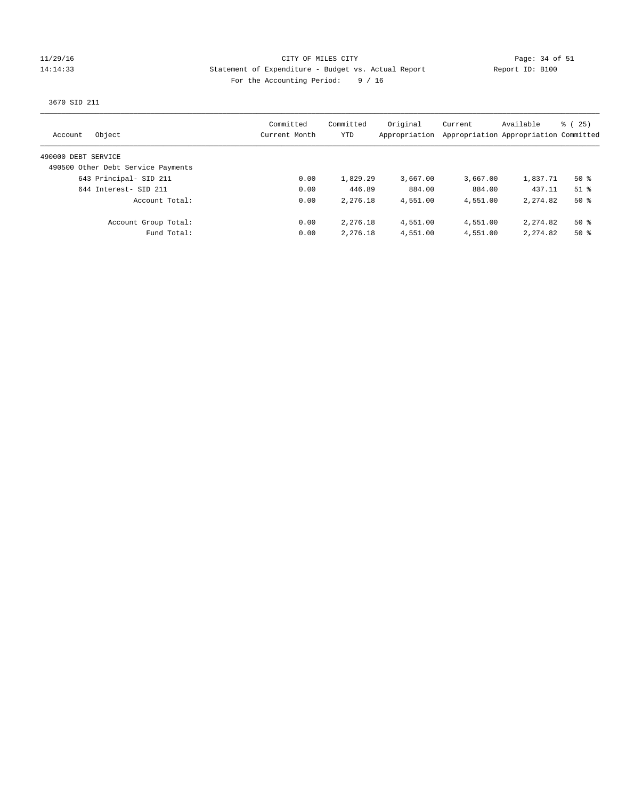### 11/29/16 CITY OF MILES CITY Page: 34 of 51 14:14:33 Statement of Expenditure - Budget vs. Actual Report Report ID: B100 For the Accounting Period: 9 / 16

3670 SID 211

| Object<br>Account                  | Committed<br>Current Month | Committed<br>YTD | Original<br>Appropriation | Current  | Available<br>Appropriation Appropriation Committed | 8 (25) |
|------------------------------------|----------------------------|------------------|---------------------------|----------|----------------------------------------------------|--------|
| 490000 DEBT SERVICE                |                            |                  |                           |          |                                                    |        |
| 490500 Other Debt Service Payments |                            |                  |                           |          |                                                    |        |
| 643 Principal- SID 211             | 0.00                       | 1,829.29         | 3,667.00                  | 3,667.00 | 1,837.71                                           | 50 %   |
| 644 Interest- SID 211              | 0.00                       | 446.89           | 884.00                    | 884.00   | 437.11                                             | $51$ % |
| Account Total:                     | 0.00                       | 2,276.18         | 4,551.00                  | 4,551.00 | 2, 274, 82                                         | $50*$  |
| Account Group Total:               | 0.00                       | 2,276.18         | 4,551.00                  | 4,551.00 | 2,274.82                                           | $50*$  |
| Fund Total:                        | 0.00                       | 2,276.18         | 4,551.00                  | 4,551.00 | 2, 274, 82                                         | $50*$  |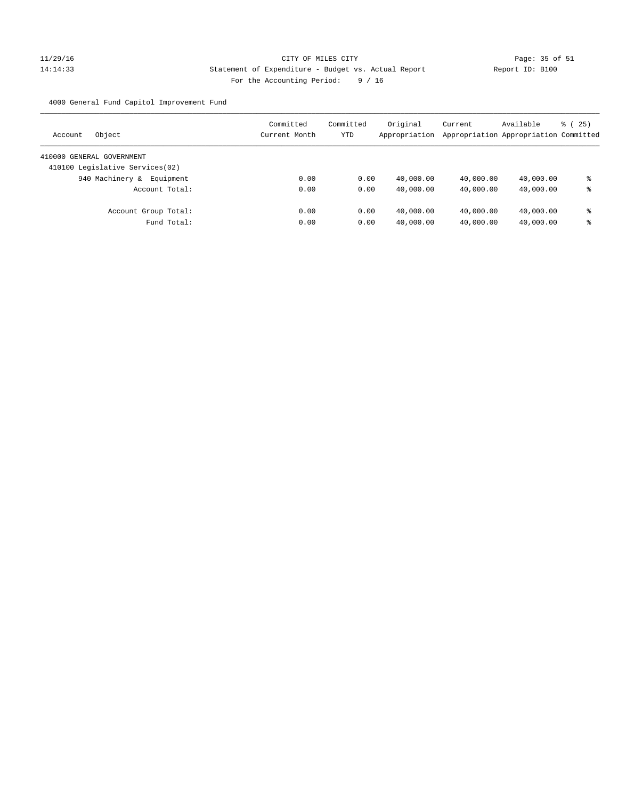# 11/29/16 CITY OF MILES CITY Page: 35 of 51 14:14:33 Statement of Expenditure - Budget vs. Actual Report Report ID: B100 For the Accounting Period: 9 / 16

4000 General Fund Capitol Improvement Fund

| Object<br>Account               | Committed<br>Current Month | Committed<br>YTD | Original<br>Appropriation | Current<br>Appropriation Appropriation Committed | Available | 8 (25) |
|---------------------------------|----------------------------|------------------|---------------------------|--------------------------------------------------|-----------|--------|
| 410000 GENERAL GOVERNMENT       |                            |                  |                           |                                                  |           |        |
| 410100 Legislative Services(02) |                            |                  |                           |                                                  |           |        |
| 940 Machinery &<br>Equipment    | 0.00                       | 0.00             | 40,000.00                 | 40,000.00                                        | 40,000.00 | ⊱      |
| Account Total:                  | 0.00                       | 0.00             | 40,000.00                 | 40,000.00                                        | 40,000.00 | နွ     |
| Account Group Total:            | 0.00                       | 0.00             | 40,000.00                 | 40,000.00                                        | 40,000.00 | နွ     |
| Fund Total:                     | 0.00                       | 0.00             | 40,000.00                 | 40,000.00                                        | 40,000.00 | နွ     |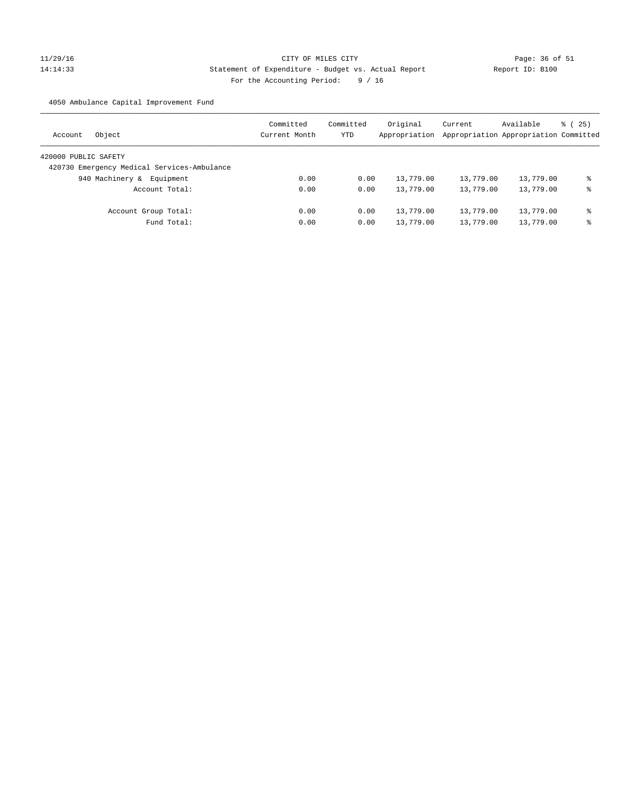# 11/29/16 Page: 36 of 51 14:14:33 Statement of Expenditure - Budget vs. Actual Report Report ID: B100 For the Accounting Period: 9 / 16

4050 Ambulance Capital Improvement Fund

| Object<br>Account                           | Committed<br>Current Month | Committed<br>YTD | Original<br>Appropriation | Current<br>Appropriation Appropriation Committed | Available | 8 (25) |
|---------------------------------------------|----------------------------|------------------|---------------------------|--------------------------------------------------|-----------|--------|
| 420000 PUBLIC SAFETY                        |                            |                  |                           |                                                  |           |        |
| 420730 Emergency Medical Services-Ambulance |                            |                  |                           |                                                  |           |        |
| 940 Machinery &<br>Equipment                | 0.00                       | 0.00             | 13,779.00                 | 13,779.00                                        | 13,779.00 | ి      |
| Account Total:                              | 0.00                       | 0.00             | 13,779.00                 | 13,779.00                                        | 13,779.00 | နွ     |
| Account Group Total:                        | 0.00                       | 0.00             | 13,779.00                 | 13,779.00                                        | 13,779.00 | နွ     |
| Fund Total:                                 | 0.00                       | 0.00             | 13,779.00                 | 13,779.00                                        | 13,779.00 | ి      |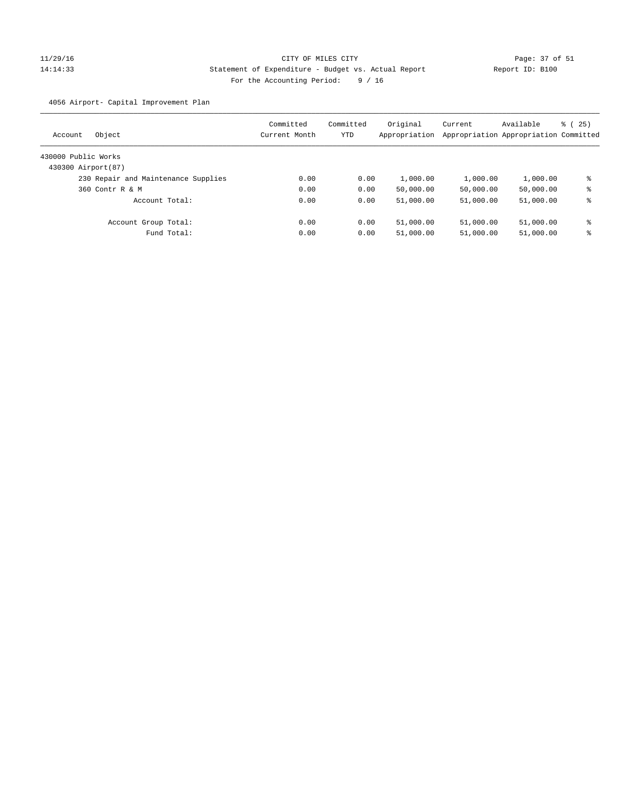# 11/29/16 Page: 37 of 51 14:14:33 Statement of Expenditure - Budget vs. Actual Report Report ID: B100 For the Accounting Period: 9 / 16

4056 Airport- Capital Improvement Plan

| Account             | Object                              | Committed<br>Current Month | Committed<br>YTD | Original<br>Appropriation | Current   | Available<br>Appropriation Appropriation Committed | 8 (25) |
|---------------------|-------------------------------------|----------------------------|------------------|---------------------------|-----------|----------------------------------------------------|--------|
| 430000 Public Works |                                     |                            |                  |                           |           |                                                    |        |
| 430300 Airport (87) |                                     |                            |                  |                           |           |                                                    |        |
|                     | 230 Repair and Maintenance Supplies | 0.00                       | 0.00             | 1,000.00                  | 1,000.00  | 1,000.00                                           | နွ     |
|                     | 360 Contr R & M                     | 0.00                       | 0.00             | 50,000.00                 | 50,000.00 | 50,000.00                                          | နွ     |
|                     | Account Total:                      | 0.00                       | 0.00             | 51,000.00                 | 51,000.00 | 51,000.00                                          | နွ     |
|                     | Account Group Total:                | 0.00                       | 0.00             | 51,000.00                 | 51,000.00 | 51,000.00                                          | နွ     |
|                     | Fund Total:                         | 0.00                       | 0.00             | 51,000.00                 | 51,000.00 | 51,000.00                                          | နွ     |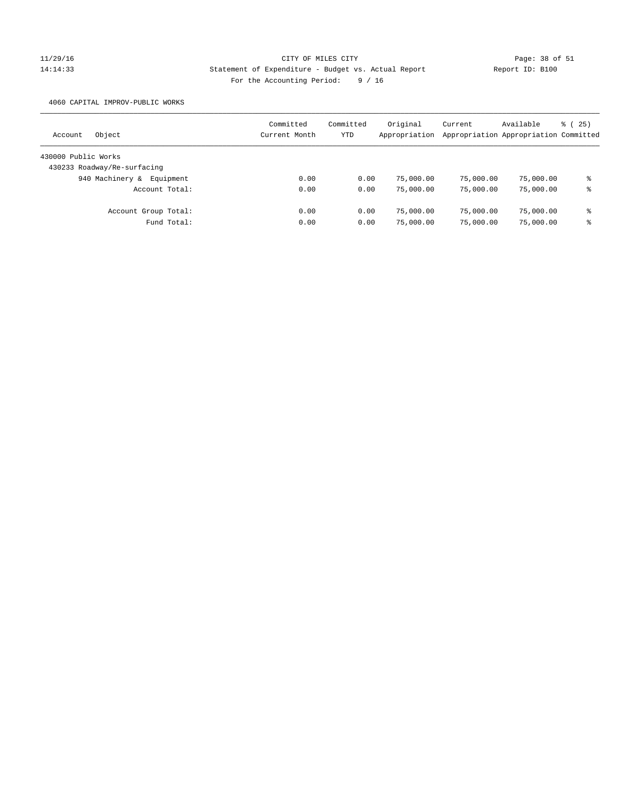# 11/29/16 CITY OF MILES CITY Page: 38 of 51 14:14:33 Statement of Expenditure - Budget vs. Actual Report Report ID: B100 For the Accounting Period: 9 / 16

4060 CAPITAL IMPROV-PUBLIC WORKS

| Object<br>Account            | Committed<br>Current Month | Committed<br>YTD | Original<br>Appropriation | Current   | Available<br>Appropriation Appropriation Committed | $\frac{3}{2}$ ( 25 ) |
|------------------------------|----------------------------|------------------|---------------------------|-----------|----------------------------------------------------|----------------------|
| 430000 Public Works          |                            |                  |                           |           |                                                    |                      |
| 430233 Roadway/Re-surfacing  |                            |                  |                           |           |                                                    |                      |
| 940 Machinery &<br>Equipment | 0.00                       | 0.00             | 75,000.00                 | 75,000.00 | 75,000.00                                          | ి                    |
| Account Total:               | 0.00                       | 0.00             | 75,000.00                 | 75,000.00 | 75,000.00                                          | ႜ                    |
| Account Group Total:         | 0.00                       | 0.00             | 75,000.00                 | 75,000.00 | 75,000.00                                          | နွ                   |
| Fund Total:                  | 0.00                       | 0.00             | 75,000.00                 | 75,000.00 | 75,000.00                                          | ి                    |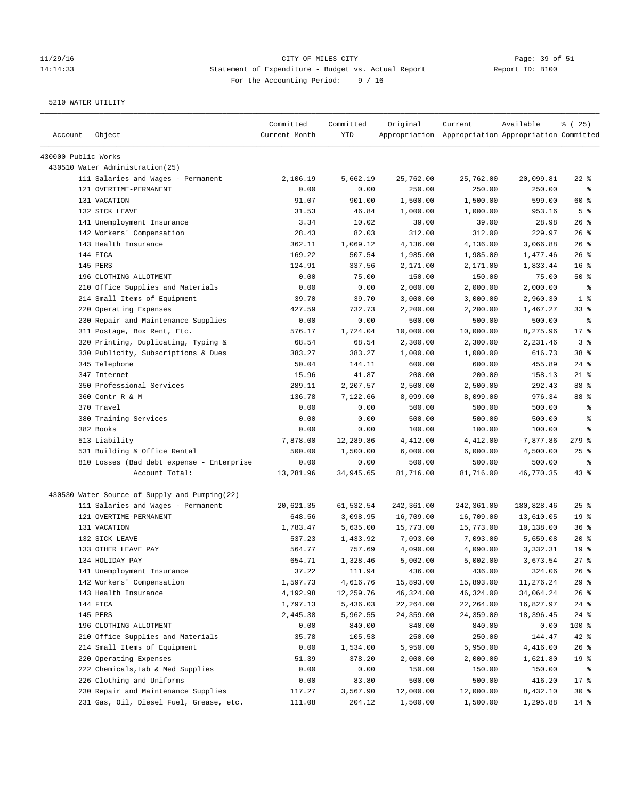# 11/29/16 Page: 39 of 51 14:14:33 Statement of Expenditure - Budget vs. Actual Report Report ID: B100 For the Accounting Period: 9 / 16

| Account             | Object                                        | Committed<br>Current Month | Committed<br>YTD | Original   | Current<br>Appropriation Appropriation Appropriation Committed | Available   | % (25)                   |
|---------------------|-----------------------------------------------|----------------------------|------------------|------------|----------------------------------------------------------------|-------------|--------------------------|
| 430000 Public Works |                                               |                            |                  |            |                                                                |             |                          |
|                     | 430510 Water Administration (25)              |                            |                  |            |                                                                |             |                          |
|                     | 111 Salaries and Wages - Permanent            | 2,106.19                   | 5,662.19         | 25,762.00  | 25,762.00                                                      | 20,099.81   | $22$ %                   |
|                     | 121 OVERTIME-PERMANENT                        | 0.00                       | 0.00             | 250.00     | 250.00                                                         | 250.00      | နွ                       |
|                     | 131 VACATION                                  | 91.07                      | 901.00           | 1,500.00   | 1,500.00                                                       | 599.00      | 60 %                     |
|                     | 132 SICK LEAVE                                | 31.53                      | 46.84            | 1,000.00   | 1,000.00                                                       | 953.16      | 5 <sup>8</sup>           |
|                     | 141 Unemployment Insurance                    | 3.34                       | 10.02            | 39.00      | 39.00                                                          | 28.98       | $26$ %                   |
|                     | 142 Workers' Compensation                     | 28.43                      | 82.03            | 312.00     | 312.00                                                         | 229.97      | $26$ %                   |
|                     | 143 Health Insurance                          | 362.11                     | 1,069.12         | 4,136.00   | 4,136.00                                                       | 3,066.88    | 26%                      |
|                     | 144 FICA                                      | 169.22                     | 507.54           | 1,985.00   | 1,985.00                                                       | 1,477.46    | 26%                      |
|                     | 145 PERS                                      | 124.91                     | 337.56           | 2,171.00   | 2,171.00                                                       | 1,833.44    | 16 <sup>8</sup>          |
|                     | 196 CLOTHING ALLOTMENT                        | 0.00                       | 75.00            | 150.00     | 150.00                                                         | 75.00       | 50%                      |
|                     | 210 Office Supplies and Materials             | 0.00                       | 0.00             | 2,000.00   | 2,000.00                                                       | 2,000.00    | ႜ                        |
|                     | 214 Small Items of Equipment                  | 39.70                      | 39.70            | 3,000.00   | 3,000.00                                                       | 2,960.30    | 1 <sup>8</sup>           |
|                     | 220 Operating Expenses                        | 427.59                     | 732.73           | 2,200.00   | 2,200.00                                                       | 1,467.27    | $33$ $%$                 |
|                     | 230 Repair and Maintenance Supplies           | 0.00                       | 0.00             | 500.00     | 500.00                                                         | 500.00      | နွ                       |
|                     | 311 Postage, Box Rent, Etc.                   | 576.17                     | 1,724.04         | 10,000.00  | 10,000.00                                                      | 8,275.96    | $17*$                    |
|                     | 320 Printing, Duplicating, Typing &           | 68.54                      | 68.54            | 2,300.00   | 2,300.00                                                       | 2,231.46    | 3 <sup>°</sup>           |
|                     | 330 Publicity, Subscriptions & Dues           | 383.27                     | 383.27           | 1,000.00   | 1,000.00                                                       | 616.73      | $38*$                    |
|                     | 345 Telephone                                 | 50.04                      | 144.11           | 600.00     | 600.00                                                         | 455.89      | $24$ %                   |
|                     | 347 Internet                                  | 15.96                      | 41.87            | 200.00     | 200.00                                                         | 158.13      | $21$ %                   |
|                     | 350 Professional Services                     | 289.11                     | 2,207.57         | 2,500.00   | 2,500.00                                                       | 292.43      | 88 %                     |
|                     | 360 Contr R & M                               | 136.78                     | 7,122.66         | 8,099.00   | 8,099.00                                                       | 976.34      | 88 %                     |
|                     | 370 Travel                                    | 0.00                       | 0.00             | 500.00     | 500.00                                                         | 500.00      | $\epsilon$               |
|                     | 380 Training Services                         | 0.00                       | 0.00             | 500.00     | 500.00                                                         | 500.00      | $\epsilon$               |
|                     | 382 Books                                     | 0.00                       | 0.00             | 100.00     | 100.00                                                         | 100.00      | နွ                       |
|                     | 513 Liability                                 | 7,878.00                   | 12,289.86        | 4,412.00   | 4,412.00                                                       | $-7,877.86$ | $279$ $%$                |
|                     | 531 Building & Office Rental                  | 500.00                     | 1,500.00         | 6,000.00   | 6,000.00                                                       | 4,500.00    | 25%                      |
|                     | 810 Losses (Bad debt expense - Enterprise     | 0.00                       | 0.00             | 500.00     | 500.00                                                         | 500.00      | $\,{}^{\circ}\!\!\delta$ |
|                     | Account Total:                                | 13,281.96                  | 34,945.65        | 81,716.00  | 81,716.00                                                      | 46,770.35   | 43%                      |
|                     | 430530 Water Source of Supply and Pumping(22) |                            |                  |            |                                                                |             |                          |
|                     | 111 Salaries and Wages - Permanent            | 20,621.35                  | 61,532.54        | 242,361.00 | 242,361.00                                                     | 180,828.46  | 25%                      |
|                     | 121 OVERTIME-PERMANENT                        | 648.56                     | 3,098.95         | 16,709.00  | 16,709.00                                                      | 13,610.05   | 19 <sup>°</sup>          |
|                     | 131 VACATION                                  | 1,783.47                   | 5,635.00         | 15,773.00  | 15,773.00                                                      | 10,138.00   | 36%                      |
|                     | 132 SICK LEAVE                                | 537.23                     | 1,433.92         | 7,093.00   | 7,093.00                                                       | 5,659.08    | 20%                      |
|                     | 133 OTHER LEAVE PAY                           | 564.77                     | 757.69           | 4,090.00   | 4,090.00                                                       | 3,332.31    | 19 <sup>°</sup>          |
|                     | 134 HOLIDAY PAY                               | 654.71                     | 1,328.46         | 5,002.00   | 5,002.00                                                       | 3,673.54    | $27$ $%$                 |
|                     | 141 Unemployment Insurance                    | 37.22                      | 111.94           | 436.00     | 436.00                                                         | 324.06      | 26%                      |
|                     | 142 Workers' Compensation                     | 1,597.73                   | 4,616.76         | 15,893.00  | 15,893.00                                                      | 11,276.24   | 29%                      |
|                     | 143 Health Insurance                          | 4,192.98                   | 12,259.76        | 46,324.00  | 46,324.00                                                      | 34,064.24   | 26%                      |
|                     | 144 FICA                                      | 1,797.13                   | 5,436.03         | 22,264.00  | 22, 264.00                                                     | 16,827.97   | $24$ %                   |
|                     | 145 PERS                                      | 2,445.38                   | 5,962.55         | 24,359.00  | 24,359.00                                                      | 18,396.45   | $24$ %                   |
|                     | 196 CLOTHING ALLOTMENT                        | 0.00                       | 840.00           | 840.00     | 840.00                                                         | 0.00        | 100 %                    |
|                     | 210 Office Supplies and Materials             | 35.78                      | 105.53           | 250.00     | 250.00                                                         | 144.47      | 42 %                     |
|                     | 214 Small Items of Equipment                  | 0.00                       | 1,534.00         | 5,950.00   | 5,950.00                                                       | 4,416.00    | 26%                      |
|                     | 220 Operating Expenses                        | 51.39                      | 378.20           | 2,000.00   | 2,000.00                                                       | 1,621.80    | 19 %                     |
|                     | 222 Chemicals, Lab & Med Supplies             | 0.00                       | 0.00             | 150.00     | 150.00                                                         | 150.00      | ႜ                        |
|                     | 226 Clothing and Uniforms                     | 0.00                       | 83.80            | 500.00     | 500.00                                                         | 416.20      | $17$ %                   |
|                     | 230 Repair and Maintenance Supplies           | 117.27                     | 3,567.90         | 12,000.00  | 12,000.00                                                      | 8,432.10    | $30*$                    |
|                     | 231 Gas, Oil, Diesel Fuel, Grease, etc.       | 111.08                     | 204.12           | 1,500.00   | 1,500.00                                                       | 1,295.88    | $14$ %                   |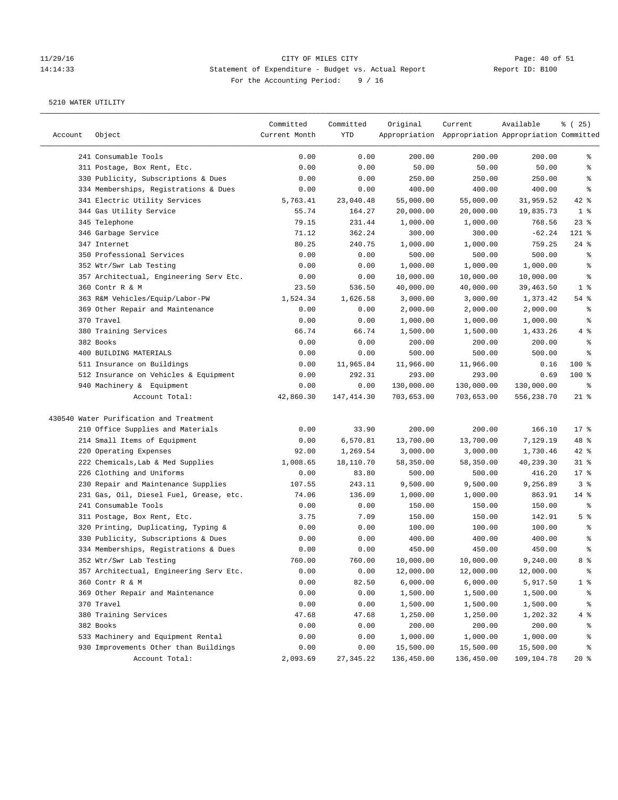# 11/29/16 Page: 40 of 51<br>
Statement of Expenditure - Budget vs. Actual Report Page: 10 of 51<br>
Statement of Expenditure - Budget vs. Actual Report Page of Report ID: B100 14:14:33 Statement of Expenditure - Budget vs. Actual Report For the Accounting Period: 9 / 16

| Account | Object                                  | Committed<br>Current Month | Committed<br>YTD | Original   | Current<br>Appropriation Appropriation Appropriation Committed | Available  | % (25)         |
|---------|-----------------------------------------|----------------------------|------------------|------------|----------------------------------------------------------------|------------|----------------|
|         | 241 Consumable Tools                    | 0.00                       | 0.00             | 200.00     | 200.00                                                         | 200.00     | ႜ              |
|         | 311 Postage, Box Rent, Etc.             | 0.00                       | 0.00             | 50.00      | 50.00                                                          | 50.00      | ి              |
|         | 330 Publicity, Subscriptions & Dues     | 0.00                       | 0.00             | 250.00     | 250.00                                                         | 250.00     | ႜ              |
|         | 334 Memberships, Registrations & Dues   | 0.00                       | 0.00             | 400.00     | 400.00                                                         | 400.00     | ್ಠಿ            |
|         | 341 Electric Utility Services           | 5,763.41                   | 23,040.48        | 55,000.00  | 55,000.00                                                      | 31,959.52  | $42$ %         |
|         | 344 Gas Utility Service                 | 55.74                      | 164.27           | 20,000.00  | 20,000.00                                                      | 19,835.73  | 1 <sup>8</sup> |
|         | 345 Telephone                           | 79.15                      | 231.44           | 1,000.00   | 1,000.00                                                       | 768.56     | $23$ $%$       |
|         | 346 Garbage Service                     | 71.12                      | 362.24           | 300.00     | 300.00                                                         | $-62.24$   | 121 %          |
|         | 347 Internet                            | 80.25                      | 240.75           | 1,000.00   | 1,000.00                                                       | 759.25     | 24%            |
|         | 350 Professional Services               | 0.00                       | 0.00             | 500.00     | 500.00                                                         | 500.00     | ್ಠಿ            |
|         | 352 Wtr/Swr Lab Testing                 | 0.00                       | 0.00             | 1,000.00   | 1,000.00                                                       | 1,000.00   | ್ಠಿ            |
|         | 357 Architectual, Engineering Serv Etc. | 0.00                       | 0.00             | 10,000.00  | 10,000.00                                                      | 10,000.00  | ್ಠಿ            |
|         | 360 Contr R & M                         | 23.50                      | 536.50           | 40,000.00  | 40,000.00                                                      | 39,463.50  | 1 <sup>8</sup> |
|         | 363 R&M Vehicles/Equip/Labor-PW         | 1,524.34                   | 1,626.58         | 3,000.00   | 3,000.00                                                       | 1,373.42   | $54$ $%$       |
|         | 369 Other Repair and Maintenance        | 0.00                       | 0.00             | 2,000.00   | 2,000.00                                                       | 2,000.00   | ್ಠಿ            |
|         | 370 Travel                              | 0.00                       | 0.00             | 1,000.00   | 1,000.00                                                       | 1,000.00   | ್ಠಿ            |
|         | 380 Training Services                   | 66.74                      | 66.74            | 1,500.00   | 1,500.00                                                       | 1,433.26   | 4 %            |
|         | 382 Books                               | 0.00                       | 0.00             | 200.00     | 200.00                                                         | 200.00     | နွ             |
|         | 400 BUILDING MATERIALS                  | 0.00                       | 0.00             | 500.00     | 500.00                                                         | 500.00     | ್ಠಿ            |
|         | 511 Insurance on Buildings              | 0.00                       | 11,965.84        | 11,966.00  | 11,966.00                                                      | 0.16       | 100 %          |
|         | 512 Insurance on Vehicles & Equipment   | 0.00                       | 292.31           | 293.00     | 293.00                                                         | 0.69       | $100$ %        |
|         | 940 Machinery & Equipment               | 0.00                       | 0.00             | 130,000.00 | 130,000.00                                                     | 130,000.00 | နွ             |
|         | Account Total:                          | 42,860.30                  | 147,414.30       | 703,653.00 | 703,653.00                                                     | 556,238.70 | $21$ %         |
|         | 430540 Water Purification and Treatment |                            |                  |            |                                                                |            |                |
|         | 210 Office Supplies and Materials       | 0.00                       | 33.90            | 200.00     | 200.00                                                         | 166.10     | $17*$          |
|         | 214 Small Items of Equipment            | 0.00                       | 6,570.81         | 13,700.00  | 13,700.00                                                      | 7,129.19   | 48 %           |
|         | 220 Operating Expenses                  | 92.00                      | 1,269.54         | 3,000.00   | 3,000.00                                                       | 1,730.46   | $42$ %         |
|         | 222 Chemicals, Lab & Med Supplies       | 1,008.65                   | 18,110.70        | 58,350.00  | 58,350.00                                                      | 40,239.30  | $31$ %         |
|         | 226 Clothing and Uniforms               | 0.00                       | 83.80            | 500.00     | 500.00                                                         | 416.20     | $17$ %         |
|         | 230 Repair and Maintenance Supplies     | 107.55                     | 243.11           | 9,500.00   | 9,500.00                                                       | 9,256.89   | 3 <sup>°</sup> |
|         | 231 Gas, Oil, Diesel Fuel, Grease, etc. | 74.06                      | 136.09           | 1,000.00   | 1,000.00                                                       | 863.91     | $14$ %         |
|         | 241 Consumable Tools                    | 0.00                       | 0.00             | 150.00     | 150.00                                                         | 150.00     | နွ             |
|         | 311 Postage, Box Rent, Etc.             | 3.75                       | 7.09             | 150.00     | 150.00                                                         | 142.91     | 5 <sup>8</sup> |
|         | 320 Printing, Duplicating, Typing &     | 0.00                       | 0.00             | 100.00     | 100.00                                                         | 100.00     | ್ಠಿ            |
|         | 330 Publicity, Subscriptions & Dues     | 0.00                       | 0.00             | 400.00     | 400.00                                                         | 400.00     | ್ಠಿ            |
|         | 334 Memberships, Registrations & Dues   | 0.00                       | 0.00             | 450.00     | 450.00                                                         | 450.00     | ್ಠಿ            |
|         | 352 Wtr/Swr Lab Testing                 | 760.00                     | 760.00           | 10,000.00  | 10,000.00                                                      | 9,240.00   | 8 %            |
|         | 357 Architectual, Engineering Serv Etc. | 0.00                       | 0.00             | 12,000.00  | 12,000.00                                                      | 12,000.00  | ိစ             |
|         | 360 Contr R & M                         | 0.00                       | 82.50            | 6,000.00   | 6,000.00                                                       | 5,917.50   | $1$ %          |
|         | 369 Other Repair and Maintenance        | 0.00                       | 0.00             | 1,500.00   | 1,500.00                                                       | 1,500.00   | န့             |
|         | 370 Travel                              | 0.00                       | 0.00             | 1,500.00   | 1,500.00                                                       | 1,500.00   | ိစ             |
|         | 380 Training Services                   | 47.68                      | 47.68            | 1,250.00   | 1,250.00                                                       | 1,202.32   | 4%             |
|         | 382 Books                               | 0.00                       | 0.00             | 200.00     | 200.00                                                         | 200.00     | ိစ             |
|         | 533 Machinery and Equipment Rental      | 0.00                       | 0.00             | 1,000.00   | 1,000.00                                                       | 1,000.00   | န့             |
|         | 930 Improvements Other than Buildings   | 0.00                       | 0.00             | 15,500.00  | 15,500.00                                                      | 15,500.00  | န့             |
|         | Account Total:                          | 2,093.69                   | 27, 345.22       | 136,450.00 | 136,450.00                                                     | 109,104.78 | $20*$          |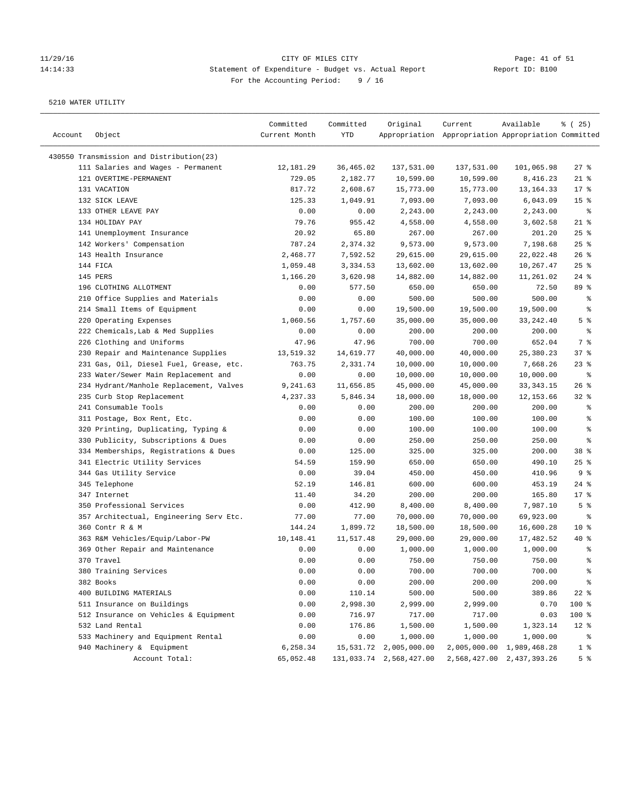## 11/29/16 Page: 41 of 51 14:14:33 Statement of Expenditure - Budget vs. Actual Report Changery Report ID: B100 For the Accounting Period: 9 / 16

| Account | Object                                   | Committed<br>Current Month | Committed<br>YTD | Original                | Current<br>Appropriation Appropriation Appropriation Committed | Available                 | % (25)                   |
|---------|------------------------------------------|----------------------------|------------------|-------------------------|----------------------------------------------------------------|---------------------------|--------------------------|
|         | 430550 Transmission and Distribution(23) |                            |                  |                         |                                                                |                           |                          |
|         | 111 Salaries and Wages - Permanent       | 12,181.29                  | 36,465.02        | 137,531.00              | 137,531.00                                                     | 101,065.98                | $27$ %                   |
|         | 121 OVERTIME-PERMANENT                   | 729.05                     | 2,182.77         | 10,599.00               | 10,599.00                                                      | 8,416.23                  | $21$ %                   |
|         | 131 VACATION                             | 817.72                     | 2,608.67         | 15,773.00               | 15,773.00                                                      | 13, 164. 33               | $17*$                    |
|         | 132 SICK LEAVE                           | 125.33                     | 1,049.91         | 7,093.00                | 7,093.00                                                       | 6,043.09                  | 15 <sup>°</sup>          |
|         | 133 OTHER LEAVE PAY                      | 0.00                       | 0.00             | 2,243.00                | 2,243.00                                                       | 2,243.00                  | နွ                       |
|         | 134 HOLIDAY PAY                          | 79.76                      | 955.42           | 4,558.00                | 4,558.00                                                       | 3,602.58                  | $21$ %                   |
|         | 141 Unemployment Insurance               | 20.92                      | 65.80            | 267.00                  | 267.00                                                         | 201.20                    | $25$ %                   |
|         | 142 Workers' Compensation                | 787.24                     | 2,374.32         | 9,573.00                | 9,573.00                                                       | 7,198.68                  | 25%                      |
|         | 143 Health Insurance                     | 2,468.77                   | 7,592.52         | 29,615.00               | 29,615.00                                                      | 22,022.48                 | 26%                      |
|         | 144 FICA                                 | 1,059.48                   | 3,334.53         | 13,602.00               | 13,602.00                                                      | 10,267.47                 | 25%                      |
|         | 145 PERS                                 | 1,166.20                   | 3,620.98         | 14,882.00               | 14,882.00                                                      | 11,261.02                 | $24$ %                   |
|         | 196 CLOTHING ALLOTMENT                   | 0.00                       | 577.50           | 650.00                  | 650.00                                                         | 72.50                     | 89 %                     |
|         | 210 Office Supplies and Materials        | 0.00                       | 0.00             | 500.00                  | 500.00                                                         | 500.00                    | ್ಠಿ                      |
|         | 214 Small Items of Equipment             | 0.00                       | 0.00             | 19,500.00               | 19,500.00                                                      | 19,500.00                 | ್ಠಿ                      |
|         | 220 Operating Expenses                   | 1,060.56                   | 1,757.60         | 35,000.00               | 35,000.00                                                      | 33, 242.40                | 5 <sup>8</sup>           |
|         | 222 Chemicals, Lab & Med Supplies        | 0.00                       | 0.00             | 200.00                  | 200.00                                                         | 200.00                    | ್ಠಿ                      |
|         | 226 Clothing and Uniforms                | 47.96                      | 47.96            | 700.00                  | 700.00                                                         | 652.04                    | 7 %                      |
|         | 230 Repair and Maintenance Supplies      | 13,519.32                  | 14,619.77        | 40,000.00               | 40,000.00                                                      | 25,380.23                 | 37%                      |
|         | 231 Gas, Oil, Diesel Fuel, Grease, etc.  | 763.75                     | 2,331.74         | 10,000.00               | 10,000.00                                                      | 7,668.26                  | $23$ $%$                 |
|         | 233 Water/Sewer Main Replacement and     | 0.00                       | 0.00             | 10,000.00               | 10,000.00                                                      | 10,000.00                 | နွ                       |
|         | 234 Hydrant/Manhole Replacement, Valves  |                            | 11,656.85        | 45,000.00               | 45,000.00                                                      |                           | $26$ %                   |
|         | 235 Curb Stop Replacement                | 9,241.63                   | 5,846.34         | 18,000.00               |                                                                | 33, 343. 15               |                          |
|         |                                          | 4,237.33                   |                  |                         | 18,000.00                                                      | 12, 153.66                | $32$ $%$                 |
|         | 241 Consumable Tools                     | 0.00                       | 0.00             | 200.00                  | 200.00                                                         | 200.00                    | ್ಠಿ<br>್ಠಿ               |
|         | 311 Postage, Box Rent, Etc.              | 0.00                       | 0.00             | 100.00                  | 100.00                                                         | 100.00                    |                          |
|         | 320 Printing, Duplicating, Typing &      | 0.00                       | 0.00             | 100.00                  | 100.00                                                         | 100.00                    | ి                        |
|         | 330 Publicity, Subscriptions & Dues      | 0.00                       | 0.00             | 250.00                  | 250.00                                                         | 250.00                    | ి                        |
|         | 334 Memberships, Registrations & Dues    | 0.00                       | 125.00           | 325.00                  | 325.00                                                         | 200.00                    | 38 <sup>8</sup>          |
|         | 341 Electric Utility Services            | 54.59                      | 159.90           | 650.00                  | 650.00                                                         | 490.10                    | 25%                      |
|         | 344 Gas Utility Service                  | 0.00                       | 39.04            | 450.00                  | 450.00                                                         | 410.96                    | 9%                       |
|         | 345 Telephone                            | 52.19                      | 146.81           | 600.00                  | 600.00                                                         | 453.19                    | $24$ %                   |
|         | 347 Internet                             | 11.40                      | 34.20            | 200.00                  | 200.00                                                         | 165.80                    | $17*$                    |
|         | 350 Professional Services                | 0.00                       | 412.90           | 8,400.00                | 8,400.00                                                       | 7,987.10                  | 5 <sup>8</sup>           |
|         | 357 Architectual, Engineering Serv Etc.  | 77.00                      | 77.00            | 70,000.00               | 70,000.00                                                      | 69,923.00                 | ್ಠಿ                      |
|         | 360 Contr R & M                          | 144.24                     | 1,899.72         | 18,500.00               | 18,500.00                                                      | 16,600.28                 | $10*$                    |
|         | 363 R&M Vehicles/Equip/Labor-PW          | 10,148.41                  | 11,517.48        | 29,000.00               | 29,000.00                                                      | 17,482.52                 | $40*$                    |
|         | 369 Other Repair and Maintenance         | 0.00                       | 0.00             | 1,000.00                | 1,000.00                                                       | 1,000.00                  | ್ಠಿ                      |
|         | 370 Travel                               | 0.00                       | 0.00             | 750.00                  | 750.00                                                         | 750.00                    | ి                        |
|         | 380 Training Services                    | 0.00                       | 0.00             | 700.00                  | 700.00                                                         | 700.00                    | န့                       |
|         | 382 Books                                | 0.00                       | 0.00             | 200.00                  | 200.00                                                         | 200.00                    | $\,{}^{\circ}\!\!\delta$ |
|         | 400 BUILDING MATERIALS                   | 0.00                       | 110.14           | 500.00                  | 500.00                                                         | 389.86                    | $22$ %                   |
|         | 511 Insurance on Buildings               | 0.00                       | 2,998.30         | 2,999.00                | 2,999.00                                                       | 0.70                      | 100 %                    |
|         | 512 Insurance on Vehicles & Equipment    | 0.00                       | 716.97           | 717.00                  | 717.00                                                         | 0.03                      | 100 %                    |
|         | 532 Land Rental                          | 0.00                       | 176.86           | 1,500.00                | 1,500.00                                                       | 1,323.14                  | $12$ %                   |
|         | 533 Machinery and Equipment Rental       | 0.00                       | 0.00             | 1,000.00                | 1,000.00                                                       | 1,000.00                  | ွေ                       |
|         | 940 Machinery & Equipment                | 6,258.34                   | 15,531.72        | 2,005,000.00            | 2,005,000.00                                                   | 1,989,468.28              | 1 <sup>8</sup>           |
|         | Account Total:                           | 65,052.48                  |                  | 131,033.74 2,568,427.00 |                                                                | 2,568,427.00 2,437,393.26 | 5 <sup>8</sup>           |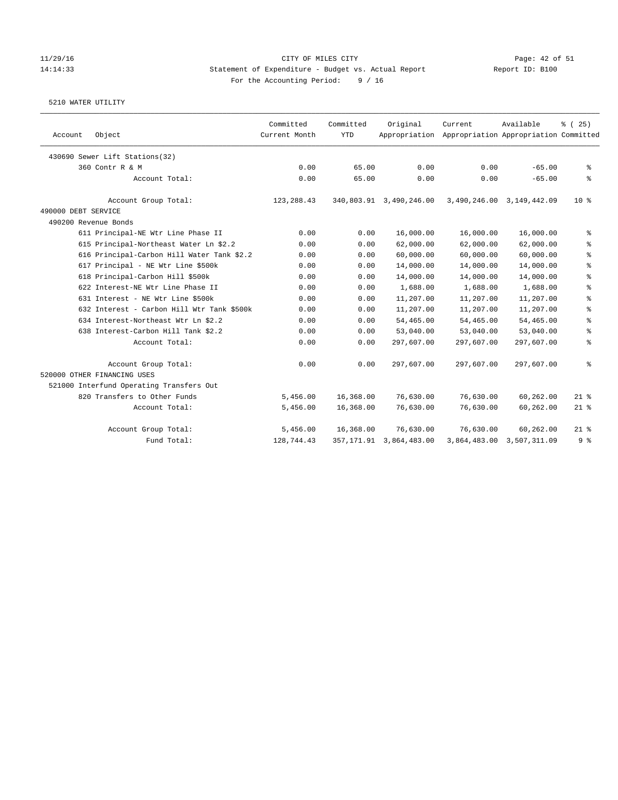### 11/29/16 CITY OF MILES CITY Page: 42 of 51 14:14:33 Statement of Expenditure - Budget vs. Actual Report Report ID: B100 For the Accounting Period: 9 / 16

| Account             | Object                                     | Committed<br>Current Month | Committed<br><b>YTD</b> | Original                   | Current<br>Appropriation Appropriation Appropriation Committed | Available                 | % (25)         |
|---------------------|--------------------------------------------|----------------------------|-------------------------|----------------------------|----------------------------------------------------------------|---------------------------|----------------|
|                     | 430690 Sewer Lift Stations(32)             |                            |                         |                            |                                                                |                           |                |
|                     | 360 Contr R & M                            | 0.00                       | 65.00                   | 0.00                       | 0.00                                                           | $-65.00$                  | နွ             |
|                     | Account Total:                             | 0.00                       | 65.00                   | 0.00                       | 0.00                                                           | $-65.00$                  | နွ             |
|                     | Account Group Total:                       | 123,288.43                 |                         | 340,803.91 3,490,246.00    |                                                                | 3,490,246.00 3,149,442.09 | $10*$          |
| 490000 DEBT SERVICE |                                            |                            |                         |                            |                                                                |                           |                |
|                     | 490200 Revenue Bonds                       |                            |                         |                            |                                                                |                           |                |
|                     | 611 Principal-NE Wtr Line Phase II         | 0.00                       | 0.00                    | 16,000.00                  | 16,000.00                                                      | 16,000.00                 | နွ             |
|                     | 615 Principal-Northeast Water Ln \$2.2     | 0.00                       | 0.00                    | 62,000.00                  | 62,000.00                                                      | 62,000.00                 | る              |
|                     | 616 Principal-Carbon Hill Water Tank \$2.2 | 0.00                       | 0.00                    | 60,000.00                  | 60,000.00                                                      | 60,000.00                 | ి              |
|                     | 617 Principal - NE Wtr Line \$500k         | 0.00                       | 0.00                    | 14,000.00                  | 14,000.00                                                      | 14,000.00                 | နွ             |
|                     | 618 Principal-Carbon Hill \$500k           | 0.00                       | 0.00                    | 14,000.00                  | 14,000.00                                                      | 14,000.00                 | ್ಠಿ            |
|                     | 622 Interest-NE Wtr Line Phase II          | 0.00                       | 0.00                    | 1,688.00                   | 1,688.00                                                       | 1,688.00                  | ి              |
|                     | 631 Interest - NE Wtr Line \$500k          | 0.00                       | 0.00                    | 11,207.00                  | 11,207.00                                                      | 11,207.00                 | ి              |
|                     | 632 Interest - Carbon Hill Wtr Tank \$500k | 0.00                       | 0.00                    | 11,207.00                  | 11,207.00                                                      | 11,207.00                 | ి              |
|                     | 634 Interest-Northeast Wtr Ln \$2.2        | 0.00                       | 0.00                    | 54,465.00                  | 54,465.00                                                      | 54,465.00                 | る              |
|                     | 638 Interest-Carbon Hill Tank \$2.2        | 0.00                       | 0.00                    | 53,040.00                  | 53,040.00                                                      | 53,040.00                 | ి              |
|                     | Account Total:                             | 0.00                       | 0.00                    | 297,607.00                 | 297,607.00                                                     | 297,607.00                | ್ಠಿ            |
|                     | Account Group Total:                       | 0.00                       | 0.00                    | 297,607.00                 | 297,607.00                                                     | 297,607.00                | る              |
|                     | 520000 OTHER FINANCING USES                |                            |                         |                            |                                                                |                           |                |
|                     | 521000 Interfund Operating Transfers Out   |                            |                         |                            |                                                                |                           |                |
|                     | 820 Transfers to Other Funds               | 5,456.00                   | 16,368.00               | 76,630.00                  | 76,630.00                                                      | 60,262.00                 | $21$ %         |
|                     | Account Total:                             | 5,456.00                   | 16,368.00               | 76,630.00                  | 76,630.00                                                      | 60,262.00                 | $21$ %         |
|                     | Account Group Total:                       | 5,456.00                   | 16,368.00               | 76,630.00                  | 76,630.00                                                      | 60,262.00                 | $21$ %         |
|                     | Fund Total:                                | 128,744.43                 |                         | 357, 171.91 3, 864, 483.00 |                                                                | 3,864,483.00 3,507,311.09 | 9 <sup>8</sup> |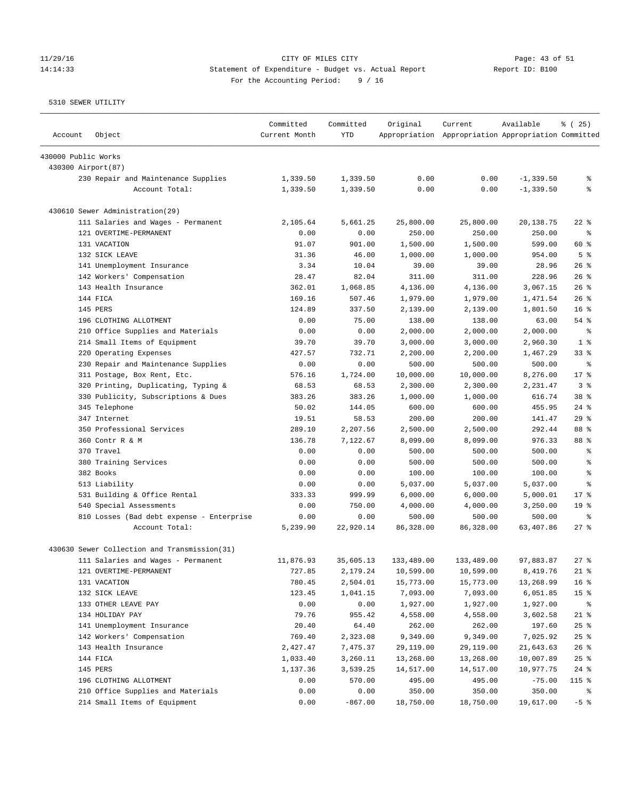# 11/29/16 Page: 43 of 51 14:14:33 Statement of Expenditure - Budget vs. Actual Report Changer Report ID: B100 For the Accounting Period: 9 / 16

| Account             | Object                                       | Committed<br>Current Month | Committed<br><b>YTD</b> | Original   | Current<br>Appropriation Appropriation Appropriation Committed | Available    | % (25)                   |
|---------------------|----------------------------------------------|----------------------------|-------------------------|------------|----------------------------------------------------------------|--------------|--------------------------|
| 430000 Public Works |                                              |                            |                         |            |                                                                |              |                          |
|                     | 430300 Airport(87)                           |                            |                         |            |                                                                |              |                          |
|                     | 230 Repair and Maintenance Supplies          | 1,339.50                   | 1,339.50                | 0.00       | 0.00                                                           | $-1, 339.50$ | g,                       |
|                     | Account Total:                               | 1,339.50                   | 1,339.50                | 0.00       | 0.00                                                           | $-1, 339.50$ | g                        |
|                     | 430610 Sewer Administration(29)              |                            |                         |            |                                                                |              |                          |
|                     | 111 Salaries and Wages - Permanent           | 2,105.64                   | 5,661.25                | 25,800.00  | 25,800.00                                                      | 20,138.75    | $22$ %                   |
|                     | 121 OVERTIME-PERMANENT                       | 0.00                       | 0.00                    | 250.00     | 250.00                                                         | 250.00       | နွ                       |
|                     | 131 VACATION                                 | 91.07                      | 901.00                  | 1,500.00   | 1,500.00                                                       | 599.00       | 60 %                     |
|                     | 132 SICK LEAVE                               | 31.36                      | 46.00                   | 1,000.00   | 1,000.00                                                       | 954.00       | 5 <sup>°</sup>           |
|                     | 141 Unemployment Insurance                   | 3.34                       | 10.04                   | 39.00      | 39.00                                                          | 28.96        | $26$ %                   |
|                     | 142 Workers' Compensation                    | 28.47                      | 82.04                   | 311.00     | 311.00                                                         | 228.96       | $26$ %                   |
|                     | 143 Health Insurance                         | 362.01                     | 1,068.85                | 4,136.00   | 4,136.00                                                       | 3,067.15     | $26$ %                   |
|                     | 144 FICA                                     | 169.16                     | 507.46                  | 1,979.00   | 1,979.00                                                       | 1,471.54     | $26$ %                   |
|                     | 145 PERS                                     | 124.89                     | 337.50                  | 2,139.00   | 2,139.00                                                       | 1,801.50     | 16 <sup>8</sup>          |
|                     | 196 CLOTHING ALLOTMENT                       | 0.00                       | 75.00                   | 138.00     | 138.00                                                         | 63.00        | 54 %                     |
|                     | 210 Office Supplies and Materials            | 0.00                       | 0.00                    | 2,000.00   | 2,000.00                                                       | 2,000.00     | ႜ                        |
|                     | 214 Small Items of Equipment                 | 39.70                      | 39.70                   | 3,000.00   | 3,000.00                                                       | 2,960.30     | 1 <sup>8</sup>           |
|                     | 220 Operating Expenses                       | 427.57                     | 732.71                  | 2,200.00   | 2,200.00                                                       | 1,467.29     | $33$ $%$                 |
|                     | 230 Repair and Maintenance Supplies          | 0.00                       | 0.00                    | 500.00     | 500.00                                                         | 500.00       | $\,{}^{\circ}\!\!\delta$ |
|                     | 311 Postage, Box Rent, Etc.                  | 576.16                     | 1,724.00                | 10,000.00  | 10,000.00                                                      | 8,276.00     | $17*$                    |
|                     | 320 Printing, Duplicating, Typing &          | 68.53                      | 68.53                   | 2,300.00   | 2,300.00                                                       | 2,231.47     | 3%                       |
|                     | 330 Publicity, Subscriptions & Dues          | 383.26                     | 383.26                  | 1,000.00   | 1,000.00                                                       | 616.74       | 38 <sup>8</sup>          |
|                     | 345 Telephone                                | 50.02                      | 144.05                  | 600.00     | 600.00                                                         | 455.95       | $24$ %                   |
|                     | 347 Internet                                 | 19.51                      | 58.53                   | 200.00     | 200.00                                                         | 141.47       | 29%                      |
|                     | 350 Professional Services                    | 289.10                     | 2,207.56                | 2,500.00   | 2,500.00                                                       | 292.44       | 88 %                     |
|                     | 360 Contr R & M                              | 136.78                     | 7,122.67                | 8,099.00   | 8,099.00                                                       | 976.33       | 88 %                     |
|                     | 370 Travel                                   | 0.00                       | 0.00                    | 500.00     | 500.00                                                         | 500.00       | g,                       |
|                     | 380 Training Services                        | 0.00                       | 0.00                    | 500.00     | 500.00                                                         | 500.00       | $\epsilon$               |
|                     | 382 Books                                    | 0.00                       | 0.00                    | 100.00     | 100.00                                                         | 100.00       | $\epsilon$               |
|                     | 513 Liability                                | 0.00                       | 0.00                    | 5,037.00   | 5,037.00                                                       | 5,037.00     | နွ                       |
|                     | 531 Building & Office Rental                 | 333.33                     | 999.99                  | 6,000.00   | 6,000.00                                                       | 5,000.01     | $17*$                    |
|                     | 540 Special Assessments                      | 0.00                       | 750.00                  | 4,000.00   | 4,000.00                                                       | 3,250.00     | 19 <sup>°</sup>          |
|                     | 810 Losses (Bad debt expense - Enterprise    | 0.00                       | 0.00                    | 500.00     | 500.00                                                         | 500.00       | ి                        |
|                     | Account Total:                               | 5,239.90                   | 22,920.14               | 86,328.00  | 86,328.00                                                      | 63,407.86    | $27$ %                   |
|                     | 430630 Sewer Collection and Transmission(31) |                            |                         |            |                                                                |              |                          |
|                     | 111 Salaries and Wages - Permanent           | 11,876.93                  | 35,605.13               | 133,489.00 | 133,489.00                                                     | 97,883.87    | $27$ $%$                 |
|                     | 121 OVERTIME-PERMANENT                       | 727.85                     | 2,179.24                | 10,599.00  | 10,599.00                                                      | 8,419.76     | $21$ %                   |
|                     | 131 VACATION                                 | 780.45                     | 2,504.01                | 15,773.00  | 15,773.00                                                      | 13,268.99    | 16 <sup>°</sup>          |
|                     | 132 SICK LEAVE                               | 123.45                     | 1,041.15                | 7,093.00   | 7,093.00                                                       | 6,051.85     | 15 <sup>°</sup>          |
|                     | 133 OTHER LEAVE PAY                          | 0.00                       | 0.00                    | 1,927.00   | 1,927.00                                                       | 1,927.00     | ႜ                        |
|                     | 134 HOLIDAY PAY                              | 79.76                      | 955.42                  | 4,558.00   | 4,558.00                                                       | 3,602.58     | $21$ %                   |
|                     | 141 Unemployment Insurance                   | 20.40                      | 64.40                   | 262.00     | 262.00                                                         | 197.60       | $25$ %                   |
|                     | 142 Workers' Compensation                    | 769.40                     | 2,323.08                | 9,349.00   | 9,349.00                                                       | 7,025.92     | 25%                      |
|                     | 143 Health Insurance                         | 2,427.47                   | 7,475.37                | 29,119.00  | 29,119.00                                                      | 21,643.63    | 26%                      |
|                     | 144 FICA                                     | 1,033.40                   | 3,260.11                | 13,268.00  | 13,268.00                                                      | 10,007.89    | 25%                      |
|                     | 145 PERS                                     | 1,137.36                   | 3,539.25                | 14,517.00  | 14,517.00                                                      | 10,977.75    | $24$ %                   |
|                     | 196 CLOTHING ALLOTMENT                       | 0.00                       | 570.00                  | 495.00     | 495.00                                                         | $-75.00$     | 115 %                    |
|                     | 210 Office Supplies and Materials            | 0.00                       | 0.00                    | 350.00     | 350.00                                                         | 350.00       | န့                       |
|                     | 214 Small Items of Equipment                 | 0.00                       | $-867.00$               | 18,750.00  | 18,750.00                                                      | 19,617.00    | $-5$ %                   |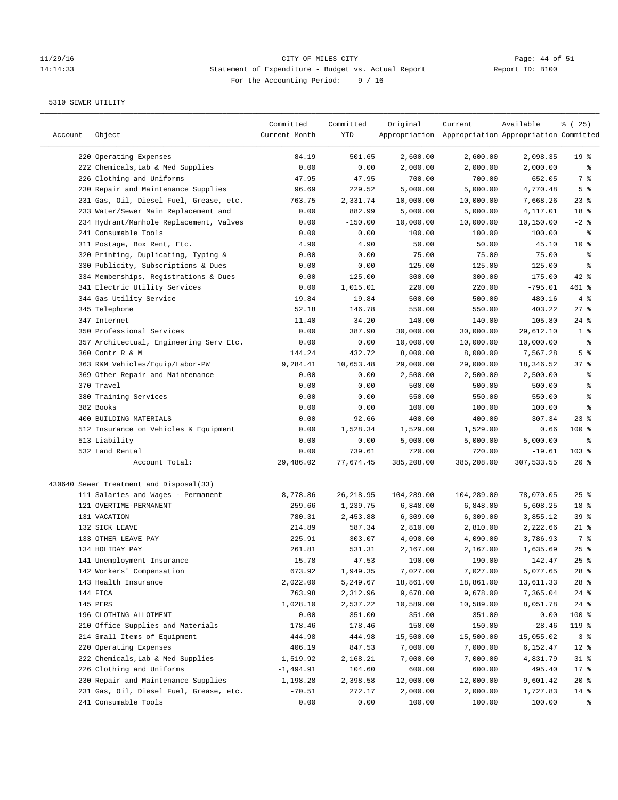# Page: 44 of 51<br>14:14:33 Statement of Expenditure - Budget vs. Actual Report Report ID: B100 14:14:33 Statement of Expenditure - Budget vs. Actual Report For the Accounting Period: 9 / 16

| Account | Object                                  | Committed<br>Current Month | Committed<br>YTD | Original   | Current<br>Appropriation Appropriation Appropriation Committed | Available  | % (25)          |
|---------|-----------------------------------------|----------------------------|------------------|------------|----------------------------------------------------------------|------------|-----------------|
|         | 220 Operating Expenses                  | 84.19                      | 501.65           | 2,600.00   | 2,600.00                                                       | 2,098.35   | 19 <sup>°</sup> |
|         | 222 Chemicals, Lab & Med Supplies       | 0.00                       | 0.00             | 2,000.00   | 2,000.00                                                       | 2,000.00   | ိစ              |
|         | 226 Clothing and Uniforms               | 47.95                      | 47.95            | 700.00     | 700.00                                                         | 652.05     | 7 %             |
|         | 230 Repair and Maintenance Supplies     | 96.69                      | 229.52           | 5,000.00   | 5,000.00                                                       | 4,770.48   | 5 <sup>8</sup>  |
|         | 231 Gas, Oil, Diesel Fuel, Grease, etc. | 763.75                     | 2,331.74         | 10,000.00  | 10,000.00                                                      | 7,668.26   | $23$ %          |
|         | 233 Water/Sewer Main Replacement and    | 0.00                       | 882.99           | 5,000.00   | 5,000.00                                                       | 4,117.01   | 18 <sup>°</sup> |
|         | 234 Hydrant/Manhole Replacement, Valves | 0.00                       | $-150.00$        | 10,000.00  | 10,000.00                                                      | 10,150.00  | $-2$ %          |
|         | 241 Consumable Tools                    | 0.00                       | 0.00             | 100.00     | 100.00                                                         | 100.00     | နွ              |
|         | 311 Postage, Box Rent, Etc.             | 4.90                       | 4.90             | 50.00      | 50.00                                                          | 45.10      | $10*$           |
|         | 320 Printing, Duplicating, Typing &     | 0.00                       | 0.00             | 75.00      | 75.00                                                          | 75.00      | ್ಠಿ             |
|         | 330 Publicity, Subscriptions & Dues     | 0.00                       | 0.00             | 125.00     | 125.00                                                         | 125.00     | နွ              |
|         | 334 Memberships, Registrations & Dues   | 0.00                       | 125.00           | 300.00     | 300.00                                                         | 175.00     | $42$ %          |
|         | 341 Electric Utility Services           | 0.00                       | 1,015.01         | 220.00     | 220.00                                                         | $-795.01$  | $461$ %         |
|         | 344 Gas Utility Service                 | 19.84                      | 19.84            | 500.00     | 500.00                                                         | 480.16     | 4%              |
|         | 345 Telephone                           | 52.18                      | 146.78           | 550.00     | 550.00                                                         | 403.22     | $27$ %          |
|         | 347 Internet                            | 11.40                      | 34.20            | 140.00     | 140.00                                                         | 105.80     | $24$ %          |
|         | 350 Professional Services               | 0.00                       | 387.90           | 30,000.00  | 30,000.00                                                      | 29,612.10  | 1 <sup>8</sup>  |
|         | 357 Architectual, Engineering Serv Etc. | 0.00                       | 0.00             | 10,000.00  | 10,000.00                                                      | 10,000.00  | နွ              |
|         | 360 Contr R & M                         | 144.24                     | 432.72           | 8,000.00   | 8,000.00                                                       | 7,567.28   | 5 <sup>8</sup>  |
|         | 363 R&M Vehicles/Equip/Labor-PW         | 9,284.41                   | 10,653.48        | 29,000.00  | 29,000.00                                                      | 18,346.52  | 37%             |
|         | 369 Other Repair and Maintenance        | 0.00                       | 0.00             | 2,500.00   | 2,500.00                                                       | 2,500.00   | ႜ               |
|         | 370 Travel                              | 0.00                       | 0.00             | 500.00     | 500.00                                                         | 500.00     | ి               |
|         | 380 Training Services                   | 0.00                       | 0.00             | 550.00     | 550.00                                                         | 550.00     | ి               |
|         | 382 Books                               | 0.00                       | 0.00             | 100.00     | 100.00                                                         | 100.00     | る               |
|         | 400 BUILDING MATERIALS                  | 0.00                       | 92.66            | 400.00     | 400.00                                                         | 307.34     | $23$ $%$        |
|         | 512 Insurance on Vehicles & Equipment   | 0.00                       | 1,528.34         | 1,529.00   | 1,529.00                                                       | 0.66       | $100$ %         |
|         | 513 Liability                           | 0.00                       | 0.00             | 5,000.00   | 5,000.00                                                       | 5,000.00   | နွ              |
|         | 532 Land Rental                         | 0.00                       | 739.61           | 720.00     | 720.00                                                         | $-19.61$   | $103$ %         |
|         | Account Total:                          | 29,486.02                  | 77,674.45        | 385,208.00 | 385,208.00                                                     | 307,533.55 | $20*$           |
|         |                                         |                            |                  |            |                                                                |            |                 |
|         | 430640 Sewer Treatment and Disposal(33) |                            |                  |            |                                                                |            |                 |
|         | 111 Salaries and Wages - Permanent      | 8,778.86                   | 26, 218.95       | 104,289.00 | 104,289.00                                                     | 78,070.05  | $25$ %          |
|         | 121 OVERTIME-PERMANENT                  | 259.66                     | 1,239.75         | 6,848.00   | 6,848.00                                                       | 5,608.25   | 18 %            |
|         | 131 VACATION                            | 780.31                     | 2,453.88         | 6,309.00   | 6,309.00                                                       | 3,855.12   | 39%             |
|         | 132 SICK LEAVE                          | 214.89                     | 587.34           | 2,810.00   | 2,810.00                                                       | 2,222.66   | $21$ %          |
|         | 133 OTHER LEAVE PAY                     | 225.91                     | 303.07           | 4,090.00   | 4,090.00                                                       | 3,786.93   | 7 %             |
|         | 134 HOLIDAY PAY                         | 261.81                     | 531.31           | 2,167.00   | 2,167.00                                                       | 1,635.69   | 25%             |
|         | 141 Unemployment Insurance              | 15.78                      | 47.53            | 190.00     | 190.00                                                         | 142.47     | $25$ $%$        |
|         | 142 Workers' Compensation               | 673.92                     | 1,949.35         | 7,027.00   | 7,027.00                                                       | 5,077.65   | $28$ %          |
|         | 143 Health Insurance                    | 2,022.00                   | 5,249.67         | 18,861.00  | 18,861.00                                                      | 13,611.33  | $28$ %          |
|         | 144 FICA                                | 763.98                     | 2,312.96         | 9,678.00   | 9,678.00                                                       | 7,365.04   | $24$ %          |
|         | 145 PERS                                | 1,028.10                   | 2,537.22         | 10,589.00  | 10,589.00                                                      | 8,051.78   | $24$ %          |
|         | 196 CLOTHING ALLOTMENT                  | 0.00                       | 351.00           | 351.00     | 351.00                                                         | 0.00       | 100 %           |
|         | 210 Office Supplies and Materials       | 178.46                     | 178.46           | 150.00     | 150.00                                                         | $-28.46$   | 119 %           |
|         | 214 Small Items of Equipment            | 444.98                     | 444.98           | 15,500.00  | 15,500.00                                                      | 15,055.02  | 3%              |
|         | 220 Operating Expenses                  | 406.19                     | 847.53           | 7,000.00   | 7,000.00                                                       | 6,152.47   | $12$ %          |
|         | 222 Chemicals, Lab & Med Supplies       | 1,519.92                   | 2,168.21         | 7,000.00   | 7,000.00                                                       | 4,831.79   | $31$ %          |
|         | 226 Clothing and Uniforms               | $-1,494.91$                | 104.60           | 600.00     | 600.00                                                         | 495.40     | 17 <sub>8</sub> |
|         | 230 Repair and Maintenance Supplies     | 1,198.28                   | 2,398.58         | 12,000.00  | 12,000.00                                                      | 9,601.42   | $20*$           |
|         | 231 Gas, Oil, Diesel Fuel, Grease, etc. | $-70.51$                   | 272.17           | 2,000.00   | 2,000.00                                                       | 1,727.83   | $14$ %          |
|         | 241 Consumable Tools                    | 0.00                       | 0.00             | 100.00     | 100.00                                                         | 100.00     | ႜ               |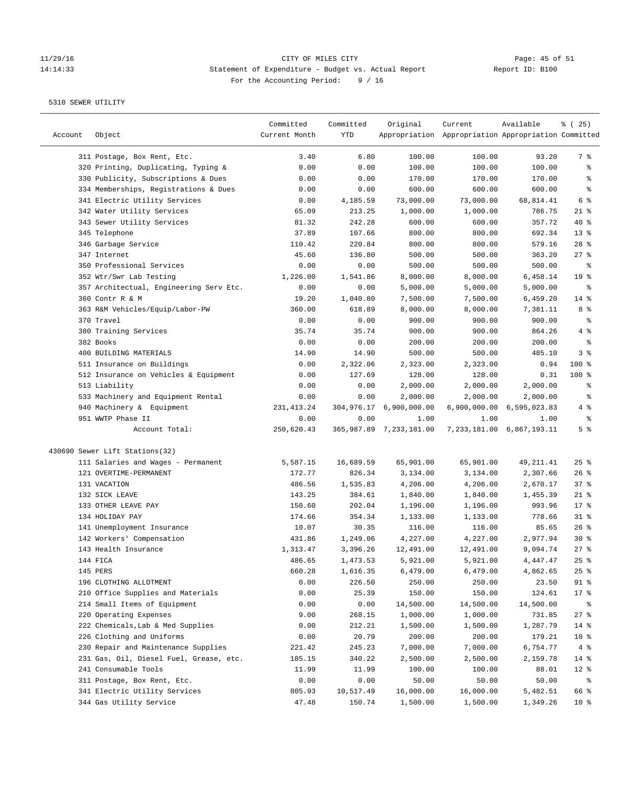# Page: 45 of 51<br>11/29/16 Page: 45 of 51<br>11:14:33 Statement of Expenditure - Budget vs. Actual Report (Report ID: B100 14:14:33 Statement of Expenditure - Budget vs. Actual Report For the Accounting Period: 9 / 16

| Account | Object                                  | Committed<br>Current Month | Committed<br>YTD | Original                        | Current<br>Appropriation Appropriation Appropriation Committed | Available                             | % (25)                |
|---------|-----------------------------------------|----------------------------|------------------|---------------------------------|----------------------------------------------------------------|---------------------------------------|-----------------------|
|         | 311 Postage, Box Rent, Etc.             | 3.40                       | 6.80             | 100.00                          | 100.00                                                         | 93.20                                 | 7 %                   |
|         | 320 Printing, Duplicating, Typing &     | 0.00                       | 0.00             | 100.00                          | 100.00                                                         | 100.00                                | ್ಠಿ                   |
|         | 330 Publicity, Subscriptions & Dues     | 0.00                       | 0.00             | 170.00                          | 170.00                                                         | 170.00                                | ್ಠಿ                   |
|         | 334 Memberships, Registrations & Dues   | 0.00                       | 0.00             | 600.00                          | 600.00                                                         | 600.00                                | ್ಠಿ                   |
|         | 341 Electric Utility Services           | 0.00                       | 4,185.59         | 73,000.00                       | 73,000.00                                                      | 68,814.41                             | 6 %                   |
|         | 342 Water Utility Services              | 65.09                      | 213.25           | 1,000.00                        | 1,000.00                                                       | 786.75                                | $21$ %                |
|         | 343 Sewer Utility Services              | 81.32                      | 242.28           | 600.00                          | 600.00                                                         | 357.72                                | $40*$                 |
|         | 345 Telephone                           | 37.89                      | 107.66           | 800.00                          | 800.00                                                         | 692.34                                | 13 <sup>°</sup>       |
|         | 346 Garbage Service                     | 110.42                     | 220.84           | 800.00                          | 800.00                                                         | 579.16                                | $28$ %                |
|         | 347 Internet                            | 45.60                      | 136.80           | 500.00                          | 500.00                                                         | 363.20                                | $27$ %                |
|         | 350 Professional Services               | 0.00                       | 0.00             | 500.00                          | 500.00                                                         | 500.00                                | နွ                    |
|         | 352 Wtr/Swr Lab Testing                 | 1,226.00                   | 1,541.86         | 8,000.00                        | 8,000.00                                                       | 6,458.14                              | 19 <sup>°</sup>       |
|         | 357 Architectual, Engineering Serv Etc. | 0.00                       | 0.00             | 5,000.00                        | 5,000.00                                                       | 5,000.00                              | နွ                    |
|         | 360 Contr R & M                         | 19.20                      | 1,040.80         | 7,500.00                        | 7,500.00                                                       | 6,459.20                              | $14*$                 |
|         | 363 R&M Vehicles/Equip/Labor-PW         | 360.00                     | 618.89           | 8,000.00                        | 8,000.00                                                       | 7,381.11                              | 8 %                   |
|         | 370 Travel                              | 0.00                       | 0.00             | 900.00                          | 900.00                                                         | 900.00                                | ್ಠಿ                   |
|         | 380 Training Services                   | 35.74                      | 35.74            | 900.00                          | 900.00                                                         | 864.26                                | 4 %                   |
|         | 382 Books                               | 0.00                       | 0.00             | 200.00                          | 200.00                                                         | 200.00                                | ್ಠಿ                   |
|         | 400 BUILDING MATERIALS                  | 14.90                      | 14.90            | 500.00                          | 500.00                                                         | 485.10                                | 3%                    |
|         | 511 Insurance on Buildings              | 0.00                       | 2,322.06         | 2,323.00                        | 2,323.00                                                       | 0.94                                  | 100 %                 |
|         |                                         | 0.00                       | 127.69           | 128.00                          | 128.00                                                         | 0.31                                  | $100$ %               |
|         | 512 Insurance on Vehicles & Equipment   |                            |                  | 2,000.00                        |                                                                |                                       |                       |
|         | 513 Liability                           | 0.00                       | 0.00             |                                 | 2,000.00                                                       | 2,000.00                              | နွ                    |
|         | 533 Machinery and Equipment Rental      | 0.00                       | 0.00             | 2,000.00                        | 2,000.00                                                       | 2,000.00                              | နွ                    |
|         | 940 Machinery & Equipment               | 231, 413.24                | 304,976.17       | 6,900,000.00                    |                                                                | 6,900,000.00 6,595,023.83             | 4 %                   |
|         | 951 WWTP Phase II<br>Account Total:     | 0.00<br>250,620.43         | 0.00             | 1.00<br>365,987.89 7,233,181.00 | 1.00                                                           | 1.00<br>7, 233, 181.00 6, 867, 193.11 | ್ಠಿ<br>5 <sup>8</sup> |
|         | 430690 Sewer Lift Stations(32)          |                            |                  |                                 |                                                                |                                       |                       |
|         | 111 Salaries and Wages - Permanent      | 5,587.15                   | 16,689.59        | 65,901.00                       | 65,901.00                                                      | 49, 211.41                            | $25$ %                |
|         | 121 OVERTIME-PERMANENT                  | 172.77                     | 826.34           | 3,134.00                        | 3,134.00                                                       | 2,307.66                              | $26$ %                |
|         | 131 VACATION                            | 486.56                     | 1,535.83         | 4,206.00                        | 4,206.00                                                       | 2,670.17                              | 37%                   |
|         | 132 SICK LEAVE                          | 143.25                     | 384.61           | 1,840.00                        | 1,840.00                                                       | 1,455.39                              | $21$ %                |
|         | 133 OTHER LEAVE PAY                     | 150.60                     | 202.04           | 1,196.00                        | 1,196.00                                                       | 993.96                                | $17*$                 |
|         | 134 HOLIDAY PAY                         | 174.66                     | 354.34           | 1,133.00                        | 1,133.00                                                       | 778.66                                | $31$ %                |
|         | 141 Unemployment Insurance              | 10.07                      | 30.35            | 116.00                          | 116.00                                                         | 85.65                                 | $26$ %                |
|         | 142 Workers' Compensation               | 431.86                     | 1,249.06         | 4,227.00                        | 4,227.00                                                       | 2,977.94                              | $30*$                 |
|         | 143 Health Insurance                    | 1,313.47                   | 3,396.26         | 12,491.00                       | 12,491.00                                                      | 9,094.74                              | 27%                   |
|         | 144 FICA                                | 486.65                     | 1,473.53         | 5,921.00                        | 5,921.00                                                       | 4,447.47                              | $25$ $%$              |
|         | 145 PERS                                | 660.28                     | 1,616.35         | 6,479.00                        | 6,479.00                                                       | 4,862.65                              | $25$ $%$              |
|         | 196 CLOTHING ALLOTMENT                  | 0.00                       | 226.50           | 250.00                          | 250.00                                                         | 23.50                                 | 91 %                  |
|         | 210 Office Supplies and Materials       | 0.00                       | 25.39            | 150.00                          | 150.00                                                         | 124.61                                | 17 <sub>8</sub>       |
|         | 214 Small Items of Equipment            | 0.00                       | 0.00             | 14,500.00                       | 14,500.00                                                      | 14,500.00                             | ိစ                    |
|         | 220 Operating Expenses                  | 9.00                       | 268.15           | 1,000.00                        | 1,000.00                                                       | 731.85                                | 27%                   |
|         | 222 Chemicals, Lab & Med Supplies       | 0.00                       | 212.21           | 1,500.00                        | 1,500.00                                                       | 1,287.79                              | $14$ %                |
|         | 226 Clothing and Uniforms               | 0.00                       | 20.79            | 200.00                          | 200.00                                                         | 179.21                                | 10 <sup>°</sup>       |
|         |                                         |                            |                  |                                 | 7,000.00                                                       | 6,754.77                              |                       |
|         | 230 Repair and Maintenance Supplies     | 221.42                     | 245.23<br>340.22 | 7,000.00                        | 2,500.00                                                       |                                       | 4%                    |
|         | 231 Gas, Oil, Diesel Fuel, Grease, etc. | 185.15                     |                  | 2,500.00                        |                                                                | 2,159.78                              | 14 %                  |
|         | 241 Consumable Tools                    | 11.99                      | 11.99            | 100.00                          | 100.00                                                         | 88.01                                 | $12$ %                |
|         | 311 Postage, Box Rent, Etc.             | 0.00                       | 0.00             | 50.00                           | 50.00                                                          | 50.00                                 | ಿ                     |
|         | 341 Electric Utility Services           | 805.93                     | 10,517.49        | 16,000.00                       | 16,000.00                                                      | 5,482.51                              | 66 %                  |
|         | 344 Gas Utility Service                 | 47.48                      | 150.74           | 1,500.00                        | 1,500.00                                                       | 1,349.26                              | 10 <sup>°</sup>       |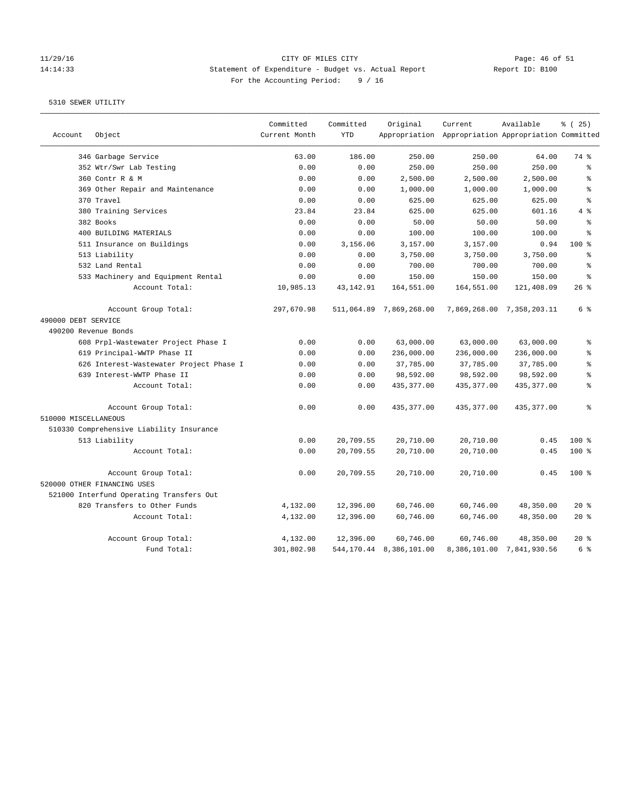### 11/29/16 CITY OF MILES CITY Page: 46 of 51 14:14:33 Statement of Expenditure - Budget vs. Actual Report Report ID: B100 For the Accounting Period: 9 / 16

|                      |                                          | Committed     | Committed   | Original                   | Current                                             | Available                 | % (25)    |
|----------------------|------------------------------------------|---------------|-------------|----------------------------|-----------------------------------------------------|---------------------------|-----------|
| Account              | Object                                   | Current Month | <b>YTD</b>  |                            | Appropriation Appropriation Appropriation Committed |                           |           |
|                      | 346 Garbage Service                      | 63.00         | 186.00      | 250.00                     | 250.00                                              | 64.00                     | 74 %      |
|                      | 352 Wtr/Swr Lab Testing                  | 0.00          | 0.00        | 250.00                     | 250.00                                              | 250.00                    | ៖         |
|                      | 360 Contr R & M                          | 0.00          | 0.00        | 2,500.00                   | 2,500.00                                            | 2,500.00                  | $\approx$ |
|                      | 369 Other Repair and Maintenance         | 0.00          | 0.00        | 1,000.00                   | 1,000.00                                            | 1,000.00                  | ៖         |
|                      | 370 Travel                               | 0.00          | 0.00        | 625.00                     | 625.00                                              | 625.00                    | $\approx$ |
|                      | 380 Training Services                    | 23.84         | 23.84       | 625.00                     | 625.00                                              | 601.16                    | 4%        |
|                      | 382 Books                                | 0.00          | 0.00        | 50.00                      | 50.00                                               | 50.00                     | ៖         |
|                      | 400 BUILDING MATERIALS                   | 0.00          | 0.00        | 100.00                     | 100.00                                              | 100.00                    | $\approx$ |
|                      | 511 Insurance on Buildings               | 0.00          | 3,156.06    | 3,157.00                   | 3,157.00                                            | 0.94                      | 100%      |
|                      | 513 Liability                            | 0.00          | 0.00        | 3,750.00                   | 3,750.00                                            | 3,750.00                  | န္        |
|                      | 532 Land Rental                          | 0.00          | 0.00        | 700.00                     | 700.00                                              | 700.00                    | န္        |
|                      | 533 Machinery and Equipment Rental       | 0.00          | 0.00        | 150.00                     | 150.00                                              | 150.00                    | န္        |
|                      | Account Total:                           | 10,985.13     | 43, 142. 91 | 164,551.00                 | 164,551.00                                          | 121,408.09                | 26%       |
|                      | Account Group Total:                     | 297,670.98    |             | 511,064.89 7,869,268.00    |                                                     | 7,869,268.00 7,358,203.11 | 6 %       |
| 490000 DEBT SERVICE  |                                          |               |             |                            |                                                     |                           |           |
| 490200 Revenue Bonds |                                          |               |             |                            |                                                     |                           |           |
|                      | 608 Prpl-Wastewater Project Phase I      | 0.00          | 0.00        | 63,000.00                  | 63,000.00                                           | 63,000.00                 | ÷.        |
|                      | 619 Principal-WWTP Phase II              | 0.00          | 0.00        | 236,000.00                 | 236,000.00                                          | 236,000.00                | ៖         |
|                      | 626 Interest-Wastewater Project Phase I  | 0.00          | 0.00        | 37,785.00                  | 37,785.00                                           | 37,785.00                 | ៖         |
|                      | 639 Interest-WWTP Phase II               | 0.00          | 0.00        | 98,592.00                  | 98,592.00                                           | 98,592.00                 | $\approx$ |
|                      | Account Total:                           | 0.00          | 0.00        | 435, 377.00                | 435, 377.00                                         | 435, 377.00               | ៖         |
|                      | Account Group Total:                     | 0.00          | 0.00        | 435, 377.00                | 435, 377.00                                         | 435, 377.00               | ి         |
| 510000 MISCELLANEOUS |                                          |               |             |                            |                                                     |                           |           |
|                      | 510330 Comprehensive Liability Insurance |               |             |                            |                                                     |                           |           |
|                      | 513 Liability                            | 0.00          | 20,709.55   | 20,710.00                  | 20,710.00                                           | 0.45                      | $100*$    |
|                      | Account Total:                           | 0.00          | 20,709.55   | 20,710.00                  | 20,710.00                                           | 0.45                      | 100 %     |
|                      | Account Group Total:                     | 0.00          | 20,709.55   | 20,710.00                  | 20,710.00                                           | 0.45                      | $100*$    |
|                      | 520000 OTHER FINANCING USES              |               |             |                            |                                                     |                           |           |
|                      | 521000 Interfund Operating Transfers Out |               |             |                            |                                                     |                           |           |
|                      | 820 Transfers to Other Funds             | 4,132.00      | 12,396.00   | 60,746.00                  | 60,746.00                                           | 48,350.00                 | $20*$     |
|                      | Account Total:                           | 4,132.00      | 12,396.00   | 60,746.00                  | 60,746.00                                           | 48,350.00                 | $20*$     |
|                      | Account Group Total:                     | 4,132.00      | 12,396.00   | 60,746.00                  | 60,746.00                                           | 48,350.00                 | $20*$     |
|                      | Fund Total:                              | 301,802.98    |             | 544, 170.44 8, 386, 101.00 |                                                     | 8,386,101.00 7,841,930.56 | 6 %       |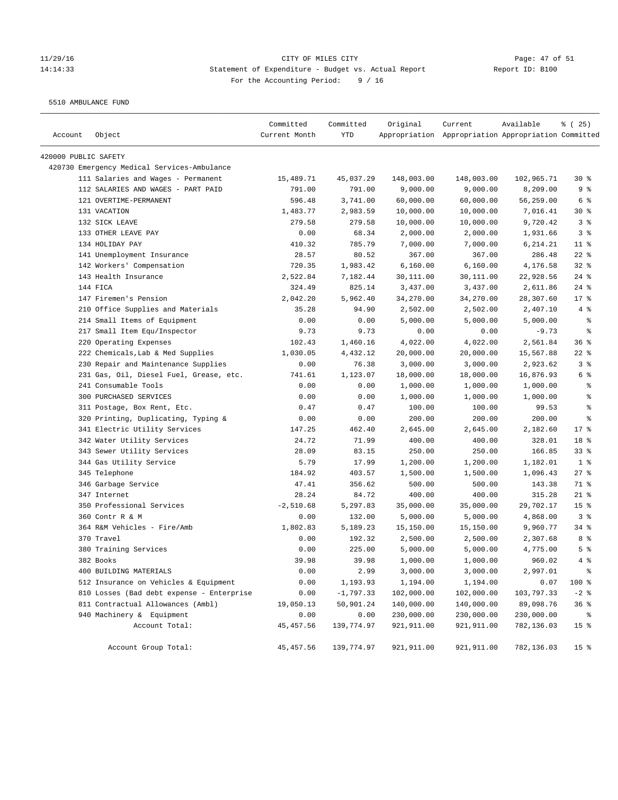# 11/29/16 Page: 47 of 51 14:14:33 Statement of Expenditure - Budget vs. Actual Report Report ID: B100 For the Accounting Period: 9 / 16

5510 AMBULANCE FUND

| Account              | Object                                      | Committed<br>Current Month | Committed<br>YTD | Original   | Current<br>Appropriation Appropriation Appropriation Committed | Available  | % (25)          |
|----------------------|---------------------------------------------|----------------------------|------------------|------------|----------------------------------------------------------------|------------|-----------------|
| 420000 PUBLIC SAFETY |                                             |                            |                  |            |                                                                |            |                 |
|                      | 420730 Emergency Medical Services-Ambulance |                            |                  |            |                                                                |            |                 |
|                      | 111 Salaries and Wages - Permanent          | 15,489.71                  | 45,037.29        | 148,003.00 | 148,003.00                                                     | 102,965.71 | $30*$           |
|                      | 112 SALARIES AND WAGES - PART PAID          | 791.00                     | 791.00           | 9,000.00   | 9,000.00                                                       | 8,209.00   | 9%              |
|                      | 121 OVERTIME-PERMANENT                      | 596.48                     | 3,741.00         | 60,000.00  | 60,000.00                                                      | 56,259.00  | 6 %             |
|                      | 131 VACATION                                | 1,483.77                   | 2,983.59         | 10,000.00  | 10,000.00                                                      | 7,016.41   | $30*$           |
|                      | 132 SICK LEAVE                              | 279.58                     | 279.58           | 10,000.00  | 10,000.00                                                      | 9,720.42   | 3%              |
|                      | 133 OTHER LEAVE PAY                         | 0.00                       | 68.34            | 2,000.00   | 2,000.00                                                       | 1,931.66   | 3%              |
|                      | 134 HOLIDAY PAY                             | 410.32                     | 785.79           | 7,000.00   | 7,000.00                                                       | 6,214.21   | $11$ %          |
|                      | 141 Unemployment Insurance                  | 28.57                      | 80.52            | 367.00     | 367.00                                                         | 286.48     | $22$ %          |
|                      | 142 Workers' Compensation                   | 720.35                     | 1,983.42         | 6,160.00   | 6,160.00                                                       | 4,176.58   | $32$ $%$        |
|                      | 143 Health Insurance                        | 2,522.84                   | 7,182.44         | 30,111.00  | 30,111.00                                                      | 22,928.56  | $24$ %          |
|                      | 144 FICA                                    | 324.49                     | 825.14           | 3,437.00   | 3,437.00                                                       | 2,611.86   | $24$ %          |
|                      | 147 Firemen's Pension                       | 2,042.20                   | 5,962.40         | 34,270.00  | 34,270.00                                                      | 28,307.60  | 17.8            |
|                      | 210 Office Supplies and Materials           | 35.28                      | 94.90            | 2,502.00   | 2,502.00                                                       | 2,407.10   | 4%              |
|                      | 214 Small Items of Equipment                | 0.00                       | 0.00             | 5,000.00   | 5,000.00                                                       | 5,000.00   | နွ              |
|                      | 217 Small Item Equ/Inspector                | 9.73                       | 9.73             | 0.00       | 0.00                                                           | $-9.73$    | နွ              |
|                      | 220 Operating Expenses                      | 102.43                     | 1,460.16         | 4,022.00   | 4,022.00                                                       | 2,561.84   | 36%             |
|                      | 222 Chemicals, Lab & Med Supplies           | 1,030.05                   | 4,432.12         | 20,000.00  | 20,000.00                                                      | 15,567.88  | $22$ %          |
|                      | 230 Repair and Maintenance Supplies         | 0.00                       | 76.38            | 3,000.00   | 3,000.00                                                       | 2,923.62   | 3%              |
|                      | 231 Gas, Oil, Diesel Fuel, Grease, etc.     | 741.61                     | 1,123.07         | 18,000.00  | 18,000.00                                                      | 16,876.93  | 6 %             |
|                      | 241 Consumable Tools                        | 0.00                       | 0.00             | 1,000.00   | 1,000.00                                                       | 1,000.00   | နွ              |
|                      | 300 PURCHASED SERVICES                      | 0.00                       | 0.00             | 1,000.00   | 1,000.00                                                       | 1,000.00   | ి               |
|                      | 311 Postage, Box Rent, Etc.                 | 0.47                       | 0.47             | 100.00     | 100.00                                                         | 99.53      | ್ಠಿ             |
|                      | 320 Printing, Duplicating, Typing &         | 0.00                       | 0.00             | 200.00     | 200.00                                                         | 200.00     | ి               |
|                      | 341 Electric Utility Services               | 147.25                     | 462.40           | 2,645.00   | 2,645.00                                                       | 2,182.60   | $17*$           |
|                      | 342 Water Utility Services                  | 24.72                      | 71.99            | 400.00     | 400.00                                                         | 328.01     | 18 %            |
|                      | 343 Sewer Utility Services                  | 28.09                      | 83.15            | 250.00     | 250.00                                                         | 166.85     | 33%             |
|                      | 344 Gas Utility Service                     | 5.79                       | 17.99            | 1,200.00   | 1,200.00                                                       | 1,182.01   | 1 <sup>8</sup>  |
|                      | 345 Telephone                               | 184.92                     | 403.57           | 1,500.00   | 1,500.00                                                       | 1,096.43   | $27$ %          |
|                      | 346 Garbage Service                         | 47.41                      | 356.62           | 500.00     | 500.00                                                         | 143.38     | 71 %            |
|                      | 347 Internet                                | 28.24                      | 84.72            | 400.00     | 400.00                                                         | 315.28     | $21$ %          |
|                      | 350 Professional Services                   | $-2,510.68$                | 5,297.83         | 35,000.00  | 35,000.00                                                      | 29,702.17  | 15 <sup>8</sup> |
|                      | 360 Contr R & M                             | 0.00                       | 132.00           | 5,000.00   | 5,000.00                                                       | 4,868.00   | 3%              |
|                      | 364 R&M Vehicles - Fire/Amb                 | 1,802.83                   | 5,189.23         | 15,150.00  | 15,150.00                                                      | 9,960.77   | $34$ %          |
|                      | 370 Travel                                  | 0.00                       | 192.32           | 2,500.00   | 2,500.00                                                       | 2,307.68   | 8%              |
|                      | 380 Training Services                       | 0.00                       | 225.00           | 5,000.00   | 5,000.00                                                       | 4,775.00   | 5 <sup>8</sup>  |
|                      | 382 Books                                   | 39.98                      | 39.98            | 1,000.00   | 1,000.00                                                       | 960.02     | 4%              |
|                      | 400 BUILDING MATERIALS                      | 0.00                       | 2.99             | 3,000.00   | 3,000.00                                                       | 2,997.01   | $\epsilon$      |
|                      | 512 Insurance on Vehicles & Equipment       | 0.00                       | 1,193.93         | 1,194.00   | 1,194.00                                                       | 0.07       | 100 %           |
|                      | 810 Losses (Bad debt expense - Enterprise   | 0.00                       | $-1,797.33$      | 102,000.00 | 102,000.00                                                     | 103,797.33 | $-2$ %          |
|                      | 811 Contractual Allowances (Ambl)           | 19,050.13                  | 50,901.24        | 140,000.00 | 140,000.00                                                     | 89,098.76  | 36%             |
|                      | 940 Machinery & Equipment                   | 0.00                       | 0.00             | 230,000.00 | 230,000.00                                                     | 230,000.00 | နွ              |
|                      | Account Total:                              | 45, 457.56                 | 139,774.97       | 921,911.00 | 921,911.00                                                     | 782,136.03 | $15$ %          |
|                      | Account Group Total:                        | 45, 457.56                 | 139,774.97       | 921,911.00 | 921,911.00                                                     | 782,136.03 | 15 <sup>°</sup> |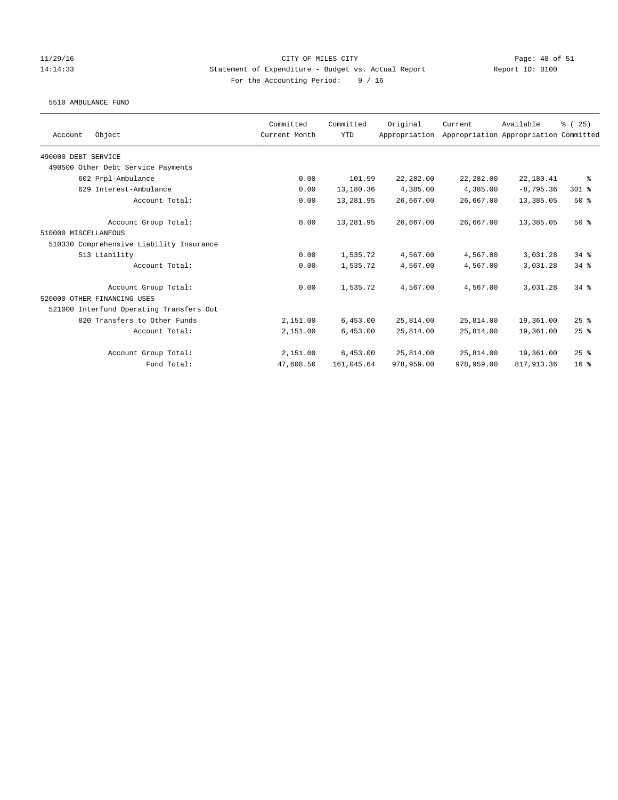### 11/29/16 CITY OF MILES CITY Page: 48 of 51 14:14:33 Statement of Expenditure - Budget vs. Actual Report Report ID: B100 For the Accounting Period: 9 / 16

#### 5510 AMBULANCE FUND

| Object<br>Account                        | Committed<br>Current Month | Committed<br><b>YTD</b> | Original<br>Appropriation | Current    | Available<br>Appropriation Appropriation Committed | % (25)          |
|------------------------------------------|----------------------------|-------------------------|---------------------------|------------|----------------------------------------------------|-----------------|
|                                          |                            |                         |                           |            |                                                    |                 |
| 490000 DEBT SERVICE                      |                            |                         |                           |            |                                                    |                 |
| 490500 Other Debt Service Payments       |                            |                         |                           |            |                                                    |                 |
| 602 Prpl-Ambulance                       | 0.00                       | 101.59                  | 22,282.00                 | 22,282.00  | 22,180.41                                          | ႜ               |
| 629 Interest-Ambulance                   | 0.00                       | 13,180.36               | 4,385.00                  | 4,385.00   | $-8,795.36$                                        | 301 %           |
| Account Total:                           | 0.00                       | 13,281.95               | 26,667.00                 | 26,667.00  | 13,385.05                                          | 50%             |
| Account Group Total:                     | 0.00                       | 13,281.95               | 26,667.00                 | 26,667.00  | 13,385.05                                          | $50*$           |
| 510000 MISCELLANEOUS                     |                            |                         |                           |            |                                                    |                 |
| 510330 Comprehensive Liability Insurance |                            |                         |                           |            |                                                    |                 |
| 513 Liability                            | 0.00                       | 1,535.72                | 4,567.00                  | 4,567.00   | 3,031.28                                           | 34.8            |
| Account Total:                           | 0.00                       | 1,535.72                | 4,567.00                  | 4,567.00   | 3,031.28                                           | $34$ $%$        |
| Account Group Total:                     | 0.00                       | 1,535.72                | 4,567.00                  | 4,567.00   | 3,031.28                                           | $34*$           |
| 520000 OTHER FINANCING USES              |                            |                         |                           |            |                                                    |                 |
| 521000 Interfund Operating Transfers Out |                            |                         |                           |            |                                                    |                 |
| 820 Transfers to Other Funds             | 2,151.00                   | 6,453.00                | 25,814.00                 | 25,814.00  | 19,361.00                                          | 25%             |
| Account Total:                           | 2,151.00                   | 6,453.00                | 25,814.00                 | 25,814.00  | 19,361.00                                          | $25$ $%$        |
| Account Group Total:                     | 2,151.00                   | 6,453.00                | 25,814.00                 | 25,814.00  | 19,361.00                                          | 25%             |
| Fund Total:                              | 47,608.56                  | 161,045.64              | 978,959.00                | 978,959.00 | 817, 913.36                                        | 16 <sup>8</sup> |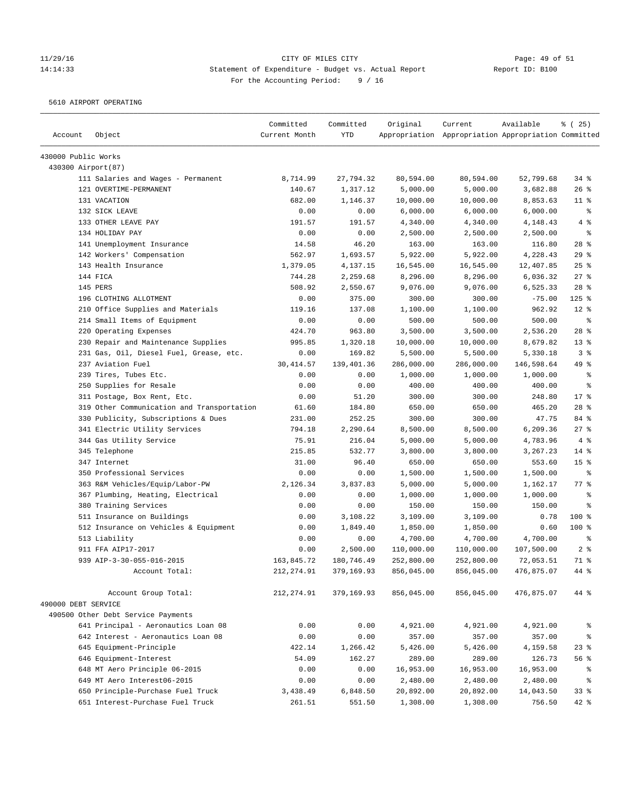# 11/29/16 Page: 49 of 51 14:14:33 Statement of Expenditure - Budget vs. Actual Report Report ID: B100 For the Accounting Period: 9 / 16

5610 AIRPORT OPERATING

| Account             | Object                                     | Committed<br>Current Month | Committed<br><b>YTD</b> | Original   | Current<br>Appropriation Appropriation Appropriation Committed | Available  | % (25)          |
|---------------------|--------------------------------------------|----------------------------|-------------------------|------------|----------------------------------------------------------------|------------|-----------------|
| 430000 Public Works |                                            |                            |                         |            |                                                                |            |                 |
| 430300 Airport(87)  |                                            |                            |                         |            |                                                                |            |                 |
|                     | 111 Salaries and Wages - Permanent         | 8,714.99                   | 27,794.32               | 80,594.00  | 80,594.00                                                      | 52,799.68  | 34%             |
|                     | 121 OVERTIME-PERMANENT                     | 140.67                     | 1,317.12                | 5,000.00   | 5,000.00                                                       | 3,682.88   | 26%             |
|                     | 131 VACATION                               | 682.00                     | 1,146.37                | 10,000.00  | 10,000.00                                                      | 8,853.63   | $11$ %          |
|                     | 132 SICK LEAVE                             | 0.00                       | 0.00                    | 6,000.00   | 6,000.00                                                       | 6,000.00   | $\epsilon$      |
|                     | 133 OTHER LEAVE PAY                        | 191.57                     | 191.57                  | 4,340.00   | 4,340.00                                                       | 4,148.43   | 4%              |
|                     | 134 HOLIDAY PAY                            | 0.00                       | 0.00                    | 2,500.00   | 2,500.00                                                       | 2,500.00   | る               |
|                     | 141 Unemployment Insurance                 | 14.58                      | 46.20                   | 163.00     | 163.00                                                         | 116.80     | $28$ %          |
|                     | 142 Workers' Compensation                  | 562.97                     | 1,693.57                | 5,922.00   | 5,922.00                                                       | 4,228.43   | 29%             |
|                     | 143 Health Insurance                       | 1,379.05                   | 4,137.15                | 16,545.00  | 16,545.00                                                      | 12,407.85  | 25%             |
|                     | 144 FICA                                   | 744.28                     | 2,259.68                | 8,296.00   | 8,296.00                                                       | 6,036.32   | 27%             |
|                     | 145 PERS                                   | 508.92                     | 2,550.67                | 9,076.00   | 9,076.00                                                       | 6,525.33   | $28$ %          |
|                     | 196 CLOTHING ALLOTMENT                     | 0.00                       | 375.00                  | 300.00     | 300.00                                                         | $-75.00$   | $125$ %         |
|                     | 210 Office Supplies and Materials          | 119.16                     | 137.08                  | 1,100.00   | 1,100.00                                                       | 962.92     | $12*$           |
|                     | 214 Small Items of Equipment               | 0.00                       | 0.00                    | 500.00     | 500.00                                                         | 500.00     | $\epsilon$      |
|                     | 220 Operating Expenses                     | 424.70                     | 963.80                  | 3,500.00   | 3,500.00                                                       | 2,536.20   | $28$ %          |
|                     | 230 Repair and Maintenance Supplies        | 995.85                     | 1,320.18                | 10,000.00  | 10,000.00                                                      | 8,679.82   | $13*$           |
|                     | 231 Gas, Oil, Diesel Fuel, Grease, etc.    | 0.00                       | 169.82                  | 5,500.00   | 5,500.00                                                       | 5,330.18   | 3%              |
|                     | 237 Aviation Fuel                          | 30, 414.57                 | 139,401.36              | 286,000.00 | 286,000.00                                                     | 146,598.64 | 49 %            |
|                     | 239 Tires, Tubes Etc.                      | 0.00                       | 0.00                    | 1,000.00   | 1,000.00                                                       | 1,000.00   | နွ              |
|                     | 250 Supplies for Resale                    | 0.00                       | 0.00                    | 400.00     | 400.00                                                         | 400.00     | နွ              |
|                     | 311 Postage, Box Rent, Etc.                | 0.00                       | 51.20                   | 300.00     | 300.00                                                         | 248.80     | $17*$           |
|                     | 319 Other Communication and Transportation | 61.60                      | 184.80                  | 650.00     | 650.00                                                         | 465.20     | $28$ %          |
|                     | 330 Publicity, Subscriptions & Dues        | 231.00                     | 252.25                  | 300.00     | 300.00                                                         | 47.75      | 84 %            |
|                     | 341 Electric Utility Services              | 794.18                     | 2,290.64                | 8,500.00   | 8,500.00                                                       | 6,209.36   | 27%             |
|                     | 344 Gas Utility Service                    | 75.91                      | 216.04                  | 5,000.00   | 5,000.00                                                       | 4,783.96   | 4%              |
|                     | 345 Telephone                              | 215.85                     | 532.77                  | 3,800.00   | 3,800.00                                                       | 3,267.23   | $14*$           |
|                     | 347 Internet                               | 31.00                      | 96.40                   | 650.00     | 650.00                                                         | 553.60     | 15 <sup>°</sup> |
|                     | 350 Professional Services                  | 0.00                       | 0.00                    | 1,500.00   | 1,500.00                                                       | 1,500.00   | $\epsilon$      |
|                     | 363 R&M Vehicles/Equip/Labor-PW            | 2,126.34                   | 3,837.83                | 5,000.00   | 5,000.00                                                       | 1,162.17   | 77 %            |
|                     | 367 Plumbing, Heating, Electrical          | 0.00                       | 0.00                    | 1,000.00   | 1,000.00                                                       | 1,000.00   | နွ              |
|                     | 380 Training Services                      | 0.00                       | 0.00                    | 150.00     | 150.00                                                         | 150.00     | နွ              |
|                     | 511 Insurance on Buildings                 | 0.00                       | 3,108.22                | 3,109.00   | 3,109.00                                                       | 0.78       | $100*$          |
|                     | 512 Insurance on Vehicles & Equipment      | 0.00                       | 1,849.40                | 1,850.00   | 1,850.00                                                       | 0.60       | $100*$          |
|                     | 513 Liability                              | 0.00                       | 0.00                    | 4,700.00   | 4,700.00                                                       | 4,700.00   | နွ              |
|                     | 911 FFA AIP17-2017                         | 0.00                       | 2,500.00                | 110,000.00 | 110,000.00                                                     | 107,500.00 | 2 <sup>8</sup>  |
|                     | 939 AIP-3-30-055-016-2015                  | 163,845.72                 | 180,746.49              | 252,800.00 | 252,800.00                                                     | 72,053.51  | 71 %            |
|                     | Account Total:                             | 212, 274.91                | 379,169.93              | 856,045.00 | 856,045.00                                                     | 476,875.07 | 44 %            |
|                     | Account Group Total:                       | 212, 274.91                | 379,169.93              | 856,045.00 | 856,045.00                                                     | 476,875.07 | 44 %            |
| 490000 DEBT SERVICE |                                            |                            |                         |            |                                                                |            |                 |
|                     | 490500 Other Debt Service Payments         |                            |                         |            |                                                                |            |                 |
|                     | 641 Principal - Aeronautics Loan 08        | 0.00                       | 0.00                    | 4,921.00   | 4,921.00                                                       | 4,921.00   | ိစ              |
|                     | 642 Interest - Aeronautics Loan 08         | 0.00                       | 0.00                    | 357.00     | 357.00                                                         | 357.00     | နွ              |
|                     | 645 Equipment-Principle                    | 422.14                     | 1,266.42                | 5,426.00   | 5,426.00                                                       | 4,159.58   | $23$ $%$        |
|                     | 646 Equipment-Interest                     | 54.09                      | 162.27                  | 289.00     | 289.00                                                         | 126.73     | 56 %            |
|                     | 648 MT Aero Principle 06-2015              | 0.00                       | 0.00                    | 16,953.00  | 16,953.00                                                      | 16,953.00  | ိစ              |
|                     | 649 MT Aero Interest06-2015                | 0.00                       | 0.00                    | 2,480.00   | 2,480.00                                                       | 2,480.00   | $\epsilon$      |
|                     | 650 Principle-Purchase Fuel Truck          | 3,438.49                   | 6,848.50                | 20,892.00  | 20,892.00                                                      | 14,043.50  | 33%             |
|                     | 651 Interest-Purchase Fuel Truck           | 261.51                     | 551.50                  | 1,308.00   | 1,308.00                                                       | 756.50     | 42 %            |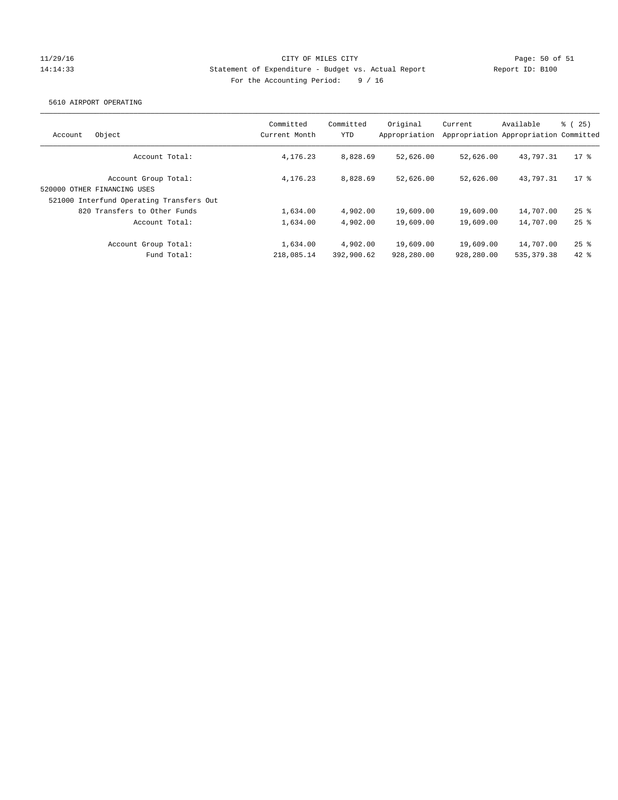## 11/29/16 CITY OF MILES CITY Page: 50 of 51 14:14:33 Statement of Expenditure - Budget vs. Actual Report Report ID: B100 For the Accounting Period: 9 / 16

### 5610 AIRPORT OPERATING

| Object<br>Account                                                                               | Committed<br>Current Month | Committed<br>YTD       | Original<br>Appropriation | Current                 | Available<br>Appropriation Appropriation Committed | $\frac{6}{6}$ ( 25 ) |
|-------------------------------------------------------------------------------------------------|----------------------------|------------------------|---------------------------|-------------------------|----------------------------------------------------|----------------------|
| Account Total:                                                                                  | 4, 176, 23                 | 8,828.69               | 52,626.00                 | 52,626.00               | 43,797.31                                          | 17 <sub>8</sub>      |
| Account Group Total:<br>520000 OTHER FINANCING USES<br>521000 Interfund Operating Transfers Out | 4, 176, 23                 | 8,828.69               | 52,626.00                 | 52,626.00               | 43,797.31                                          | $17*$                |
| 820 Transfers to Other Funds                                                                    | 1,634.00                   | 4,902.00               | 19,609.00                 | 19,609.00               | 14,707.00                                          | $25$ %               |
| Account Total:                                                                                  | 1,634.00                   | 4,902.00               | 19,609.00                 | 19,609.00               | 14,707.00                                          | $25$ $%$             |
| Account Group Total:<br>Fund Total:                                                             | 1,634.00<br>218,085.14     | 4,902.00<br>392,900.62 | 19,609.00<br>928,280.00   | 19,609.00<br>928,280.00 | 14,707.00<br>535, 379.38                           | $25$ $%$<br>$42*$    |